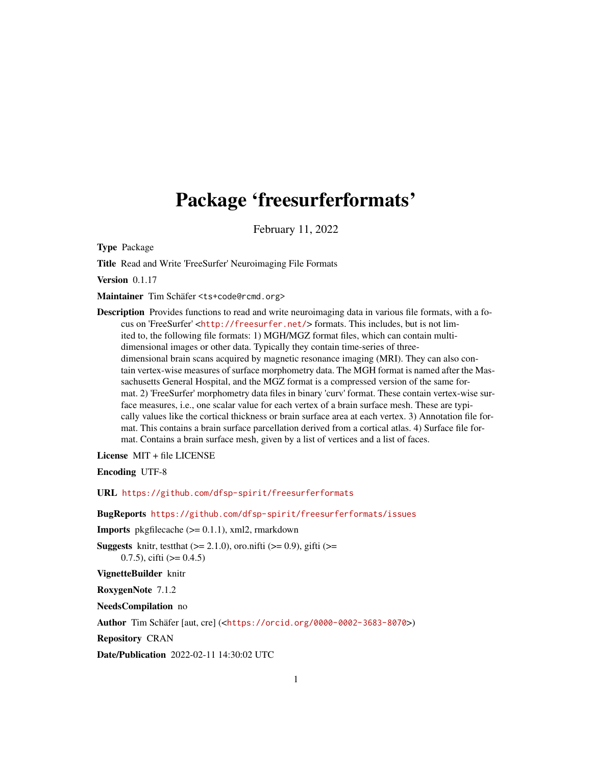# <span id="page-0-0"></span>Package 'freesurferformats'

February 11, 2022

Type Package

Title Read and Write 'FreeSurfer' Neuroimaging File Formats

Version 0.1.17

Maintainer Tim Schäfer <ts+code@rcmd.org>

Description Provides functions to read and write neuroimaging data in various file formats, with a focus on 'FreeSurfer' <<http://freesurfer.net/>> formats. This includes, but is not limited to, the following file formats: 1) MGH/MGZ format files, which can contain multidimensional images or other data. Typically they contain time-series of threedimensional brain scans acquired by magnetic resonance imaging (MRI). They can also contain vertex-wise measures of surface morphometry data. The MGH format is named after the Massachusetts General Hospital, and the MGZ format is a compressed version of the same format. 2) 'FreeSurfer' morphometry data files in binary 'curv' format. These contain vertex-wise surface measures, i.e., one scalar value for each vertex of a brain surface mesh. These are typically values like the cortical thickness or brain surface area at each vertex. 3) Annotation file format. This contains a brain surface parcellation derived from a cortical atlas. 4) Surface file format. Contains a brain surface mesh, given by a list of vertices and a list of faces.

License MIT + file LICENSE

Encoding UTF-8

URL <https://github.com/dfsp-spirit/freesurferformats>

BugReports <https://github.com/dfsp-spirit/freesurferformats/issues>

Imports pkgfilecache (>= 0.1.1), xml2, rmarkdown

**Suggests** knitr, test that  $(>= 2.1.0)$ , oro.nifti  $(>= 0.9)$ , gifti  $(>= 0.9)$ 0.7.5), cifti  $(>= 0.4.5)$ 

VignetteBuilder knitr

RoxygenNote 7.1.2

NeedsCompilation no

Author Tim Schäfer [aut, cre] (<<https://orcid.org/0000-0002-3683-8070>>)

Repository CRAN

Date/Publication 2022-02-11 14:30:02 UTC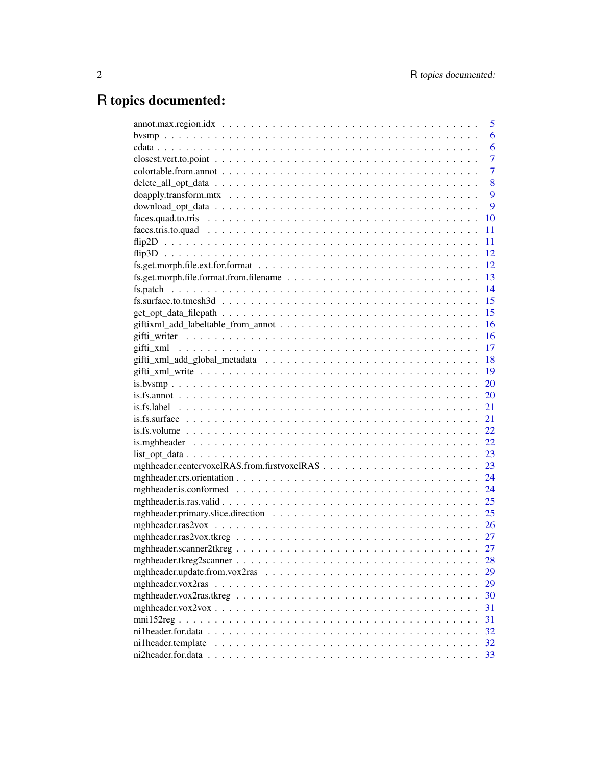# R topics documented:

|                                                                                                                         | 5              |
|-------------------------------------------------------------------------------------------------------------------------|----------------|
|                                                                                                                         | 6              |
|                                                                                                                         | 6              |
|                                                                                                                         | $\overline{7}$ |
|                                                                                                                         | 7              |
|                                                                                                                         | 8              |
|                                                                                                                         | 9              |
|                                                                                                                         | 9              |
|                                                                                                                         | 10             |
|                                                                                                                         | 11             |
|                                                                                                                         | 11             |
|                                                                                                                         | 12             |
|                                                                                                                         | 12             |
| $fs.get.morph. file.format.from. filename \ldots \ldots \ldots \ldots \ldots \ldots \ldots \ldots \ldots$               | 13             |
|                                                                                                                         | 14             |
| $fs.surface.to.tmesh3d \dots \dots \dots \dots \dots \dots \dots \dots \dots \dots \dots \dots \dots \dots \dots \dots$ | 15             |
|                                                                                                                         | 15             |
|                                                                                                                         | 16             |
|                                                                                                                         | 16             |
|                                                                                                                         | 17             |
|                                                                                                                         | 18             |
|                                                                                                                         | 19             |
|                                                                                                                         | 20             |
|                                                                                                                         | 20             |
|                                                                                                                         | 21             |
|                                                                                                                         | 21             |
|                                                                                                                         | 22             |
|                                                                                                                         | 22.            |
|                                                                                                                         | 23             |
|                                                                                                                         | 23             |
|                                                                                                                         | 24             |
|                                                                                                                         | 24             |
|                                                                                                                         | 25             |
|                                                                                                                         | 25             |
|                                                                                                                         | 26             |
|                                                                                                                         | 27             |
|                                                                                                                         | 27             |
|                                                                                                                         | 28             |
|                                                                                                                         | 29             |
|                                                                                                                         | 29             |
|                                                                                                                         | 30             |
|                                                                                                                         | 31             |
|                                                                                                                         | 31             |
|                                                                                                                         | 32             |
| ni1header.template                                                                                                      | 32             |
|                                                                                                                         | 33             |
|                                                                                                                         |                |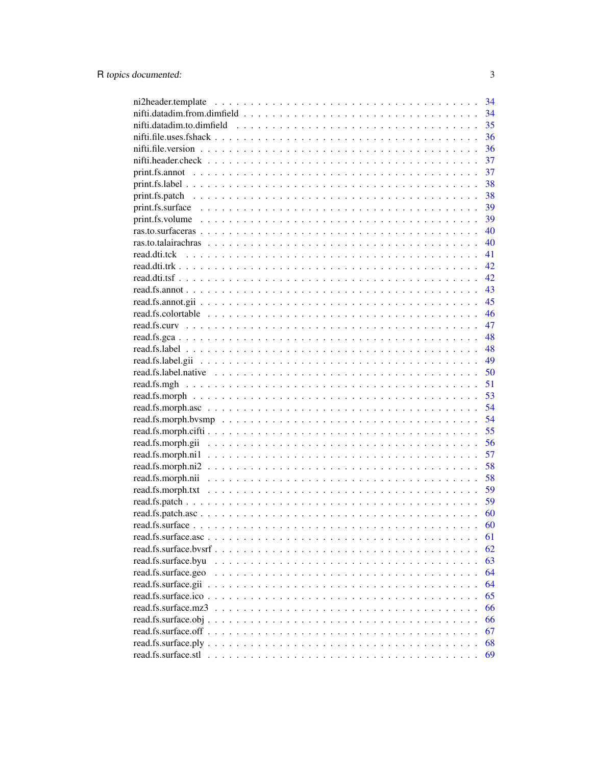|                        | 34 |
|------------------------|----|
|                        | 34 |
|                        | 35 |
|                        | 36 |
|                        | 36 |
|                        | 37 |
|                        | 37 |
|                        | 38 |
|                        | 38 |
|                        | 39 |
|                        |    |
|                        | 40 |
|                        | 40 |
|                        | 41 |
|                        | 42 |
|                        | 42 |
|                        | 43 |
|                        | 45 |
|                        | 46 |
|                        | 47 |
|                        | 48 |
|                        | 48 |
|                        | 49 |
|                        | 50 |
|                        | 51 |
|                        | 53 |
|                        | 54 |
|                        | 54 |
|                        | 55 |
|                        | 56 |
|                        | 57 |
|                        | 58 |
|                        | 58 |
|                        | 59 |
|                        | 59 |
|                        | 60 |
|                        | 60 |
|                        | 61 |
| read.fs.surface.bysrf. | 62 |
| read.fs.surface.byu    | 63 |
| read.fs.surface.geo    | 64 |
| read.fs.surface.gii    | 64 |
| read.fs.surface.ico.   | 65 |
| read.fs.surface.mz3    | 66 |
| read.fs.surface.obj.   | 66 |
| read.fs.surface.off.   | 67 |
|                        | 68 |
|                        | 69 |

 $\overline{3}$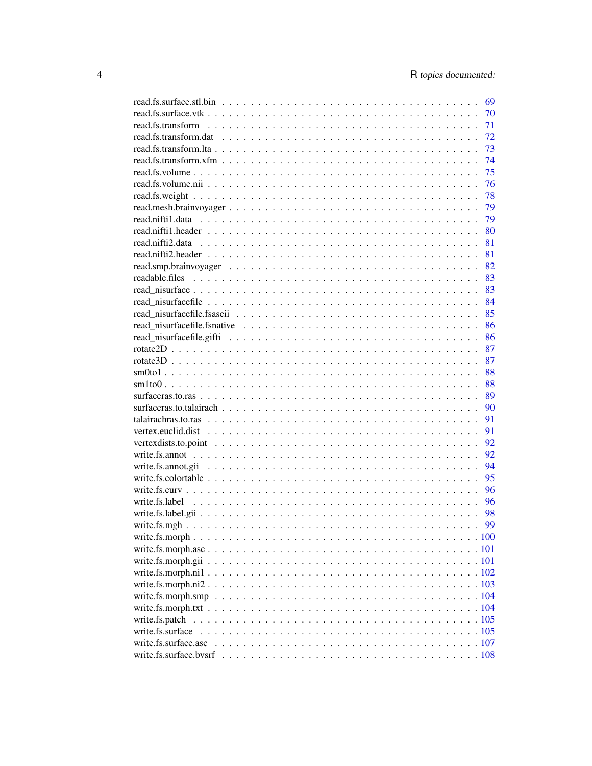| 69 |
|----|
| 70 |
| 71 |
| 72 |
| 73 |
| 74 |
| 75 |
| 76 |
| 78 |
| 79 |
| 79 |
| 80 |
| 81 |
| 81 |
| 82 |
| 83 |
| 83 |
| 84 |
| 85 |
| 86 |
| 86 |
| 87 |
| 87 |
| 88 |
| 88 |
| 89 |
| 90 |
| 91 |
| 91 |
| 92 |
| 92 |
| 94 |
| 95 |
| 96 |
| 96 |
| 98 |
| 99 |
|    |
|    |
|    |
|    |
|    |
|    |
|    |
|    |
|    |
|    |
|    |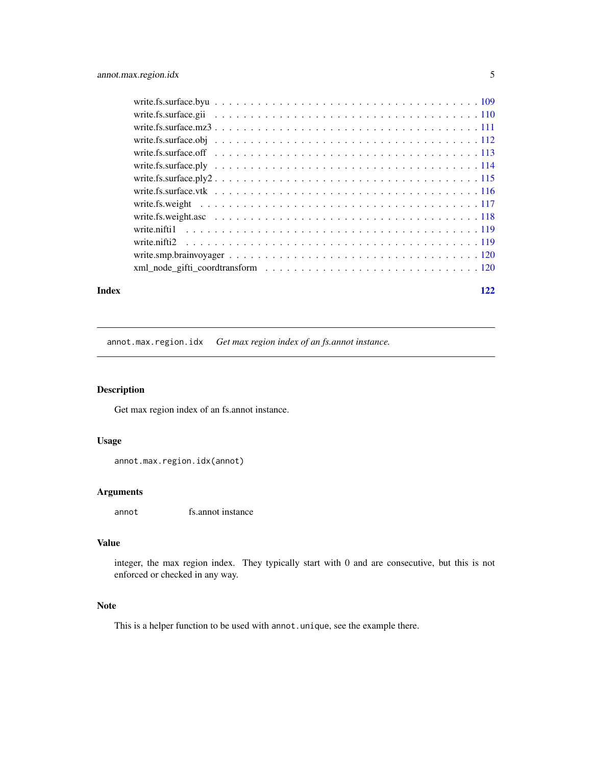<span id="page-4-0"></span>

| write.fs.surface.off $\ldots \ldots \ldots \ldots \ldots \ldots \ldots \ldots \ldots \ldots \ldots \ldots \ldots$ |  |  |  |  |  |  |
|-------------------------------------------------------------------------------------------------------------------|--|--|--|--|--|--|
|                                                                                                                   |  |  |  |  |  |  |
|                                                                                                                   |  |  |  |  |  |  |
|                                                                                                                   |  |  |  |  |  |  |
|                                                                                                                   |  |  |  |  |  |  |
|                                                                                                                   |  |  |  |  |  |  |
|                                                                                                                   |  |  |  |  |  |  |
|                                                                                                                   |  |  |  |  |  |  |
|                                                                                                                   |  |  |  |  |  |  |
|                                                                                                                   |  |  |  |  |  |  |
|                                                                                                                   |  |  |  |  |  |  |

#### **Index** 2008 **Index** 2008 **Index**

annot.max.region.idx *Get max region index of an fs.annot instance.*

# Description

Get max region index of an fs.annot instance.

## Usage

```
annot.max.region.idx(annot)
```
## Arguments

annot fs.annot instance

# Value

integer, the max region index. They typically start with 0 and are consecutive, but this is not enforced or checked in any way.

## Note

This is a helper function to be used with annot.unique, see the example there.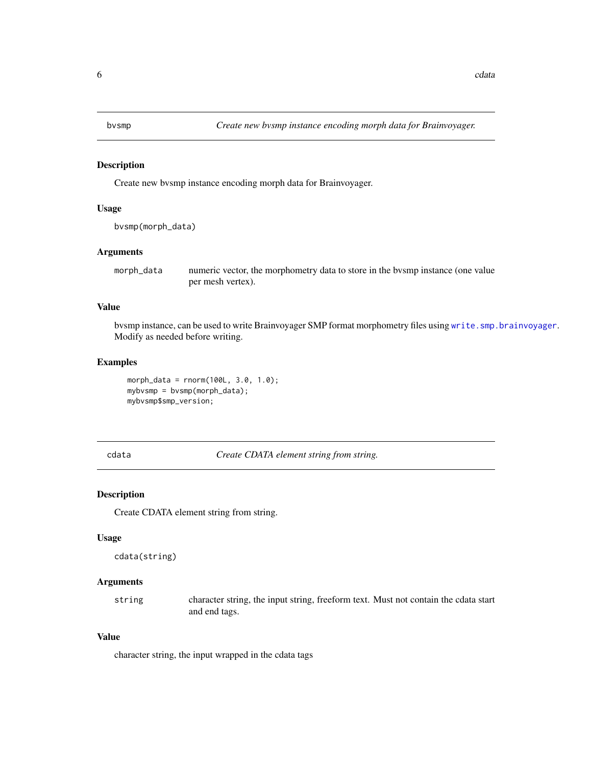<span id="page-5-0"></span>

Create new bvsmp instance encoding morph data for Brainvoyager.

## Usage

```
bvsmp(morph_data)
```
#### Arguments

morph\_data numeric vector, the morphometry data to store in the bvsmp instance (one value per mesh vertex).

## Value

bvsmp instance, can be used to write Brainvoyager SMP format morphometry files using [write.smp.brainvoyager](#page-119-1). Modify as needed before writing.

## Examples

```
morph_data = rnorm(100L, 3.0, 1.0);
mybvsmp = bvsmp(morph_data);
mybvsmp$smp_version;
```
cdata *Create CDATA element string from string.*

## Description

Create CDATA element string from string.

## Usage

```
cdata(string)
```
#### Arguments

string character string, the input string, freeform text. Must not contain the cdata start and end tags.

## Value

character string, the input wrapped in the cdata tags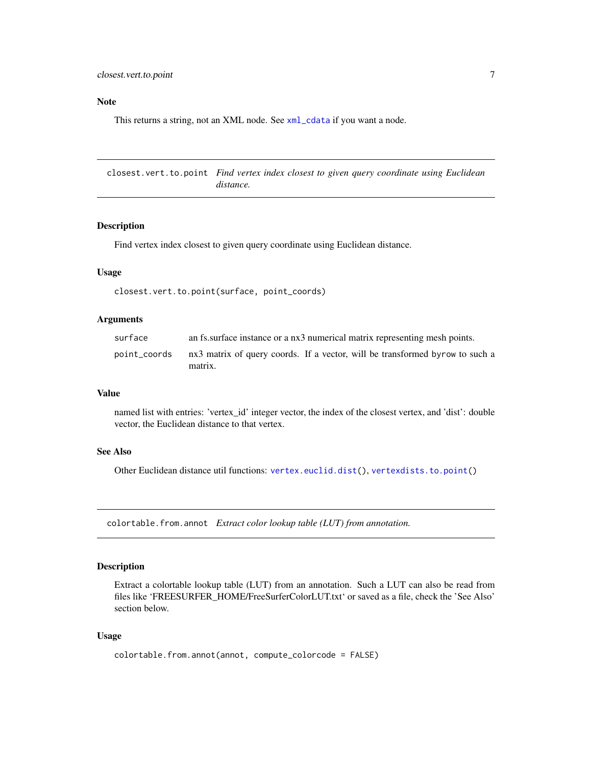## <span id="page-6-0"></span>Note

This returns a string, not an XML node. See [xml\\_cdata](#page-0-0) if you want a node.

closest.vert.to.point *Find vertex index closest to given query coordinate using Euclidean distance.*

#### Description

Find vertex index closest to given query coordinate using Euclidean distance.

#### Usage

closest.vert.to.point(surface, point\_coords)

# Arguments

| surface      | an fs. surface instance or a nx3 numerical matrix representing mesh points.  |
|--------------|------------------------------------------------------------------------------|
| point_coords | nx3 matrix of query coords. If a vector, will be transformed byrow to such a |
|              | matrix.                                                                      |

## Value

named list with entries: 'vertex\_id' integer vector, the index of the closest vertex, and 'dist': double vector, the Euclidean distance to that vertex.

## See Also

Other Euclidean distance util functions: [vertex.euclid.dist\(](#page-90-1)), [vertexdists.to.point\(](#page-91-1))

colortable.from.annot *Extract color lookup table (LUT) from annotation.*

#### Description

Extract a colortable lookup table (LUT) from an annotation. Such a LUT can also be read from files like 'FREESURFER\_HOME/FreeSurferColorLUT.txt' or saved as a file, check the 'See Also' section below.

#### Usage

```
colortable.from.annot(annot, compute_colorcode = FALSE)
```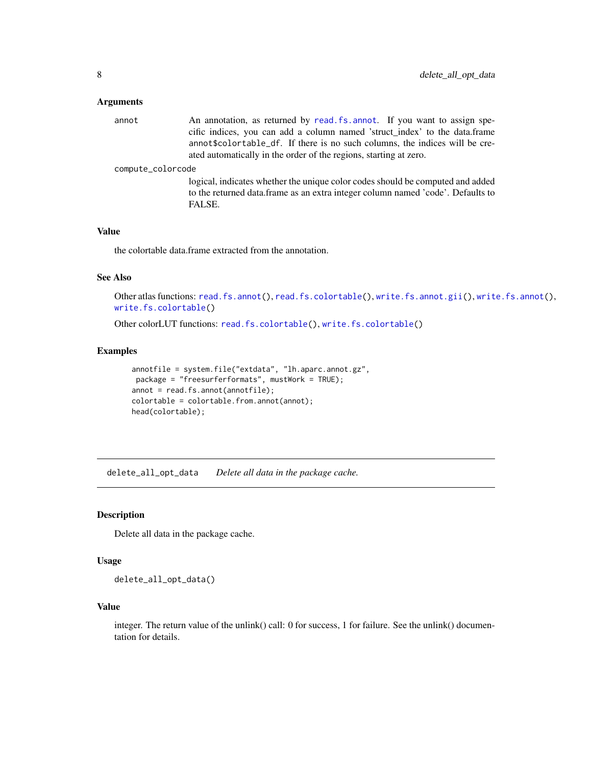### <span id="page-7-0"></span>Arguments

annot An annotation, as returned by [read.fs.annot](#page-42-1). If you want to assign specific indices, you can add a column named 'struct\_index' to the data.frame annot\$colortable\_df. If there is no such columns, the indices will be created automatically in the order of the regions, starting at zero.

#### compute\_colorcode

logical, indicates whether the unique color codes should be computed and added to the returned data.frame as an extra integer column named 'code'. Defaults to FALSE.

#### Value

the colortable data.frame extracted from the annotation.

## See Also

```
Other atlas functions: read.fs.annot(), read.fs.colortable(), write.fs.annot.gii(), write.fs.annot(),
write.fs.colortable()
```
Other colorLUT functions: [read.fs.colortable\(](#page-45-1)), [write.fs.colortable\(](#page-94-1))

#### Examples

```
annotfile = system.file("extdata", "lh.aparc.annot.gz",
package = "freesurferformats", mustWork = TRUE);
annot = read.fs.annot(annotfile);
colortable = colortable.from.annot(annot);
head(colortable);
```
delete\_all\_opt\_data *Delete all data in the package cache.*

#### Description

Delete all data in the package cache.

#### Usage

delete\_all\_opt\_data()

#### Value

integer. The return value of the unlink() call: 0 for success, 1 for failure. See the unlink() documentation for details.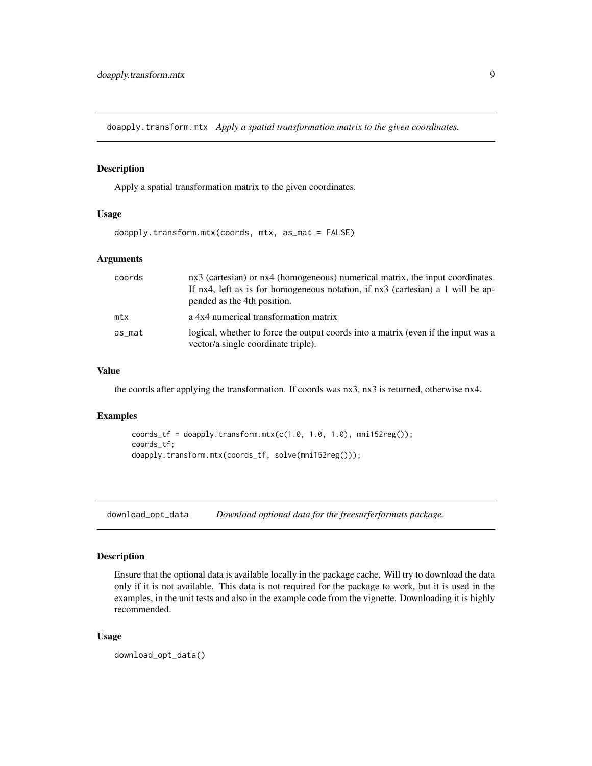<span id="page-8-0"></span>doapply.transform.mtx *Apply a spatial transformation matrix to the given coordinates.*

#### Description

Apply a spatial transformation matrix to the given coordinates.

## Usage

```
doapply.transform.mtx(coords, mtx, as_mat = FALSE)
```
## Arguments

| coords | nx3 (cartesian) or nx4 (homogeneous) numerical matrix, the input coordinates.                                             |
|--------|---------------------------------------------------------------------------------------------------------------------------|
|        | If nx4, left as is for homogeneous notation, if nx3 (cartesian) a 1 will be ap-                                           |
|        | pended as the 4th position.                                                                                               |
| mtx    | a 4x4 numerical transformation matrix                                                                                     |
| as_mat | logical, whether to force the output coords into a matrix (even if the input was a<br>vector/a single coordinate triple). |

## Value

the coords after applying the transformation. If coords was nx3, nx3 is returned, otherwise nx4.

#### Examples

```
coords_tf = doapply.transform.mtx(c(1.0, 1.0, 1.0), mni152reg());
coords_tf;
doapply.transform.mtx(coords_tf, solve(mni152reg()));
```
download\_opt\_data *Download optional data for the freesurferformats package.*

## Description

Ensure that the optional data is available locally in the package cache. Will try to download the data only if it is not available. This data is not required for the package to work, but it is used in the examples, in the unit tests and also in the example code from the vignette. Downloading it is highly recommended.

## Usage

```
download_opt_data()
```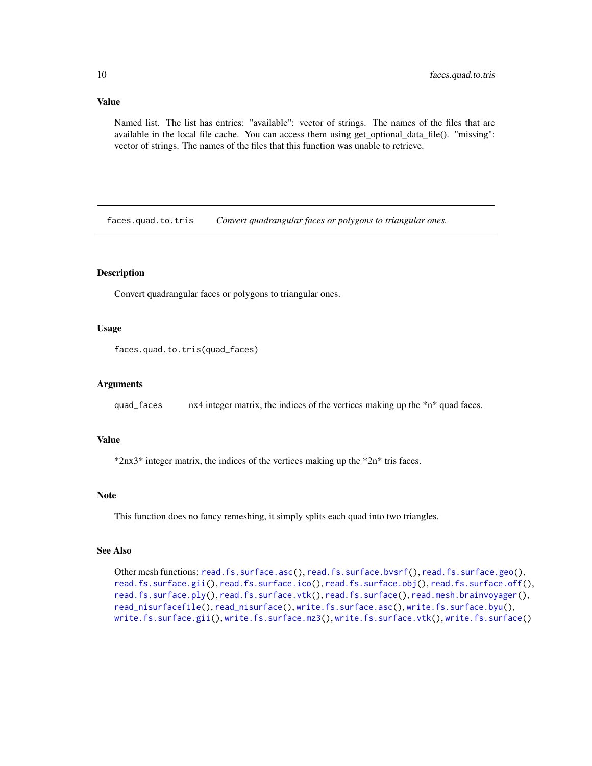## <span id="page-9-0"></span>Value

Named list. The list has entries: "available": vector of strings. The names of the files that are available in the local file cache. You can access them using get\_optional\_data\_file(). "missing": vector of strings. The names of the files that this function was unable to retrieve.

faces.quad.to.tris *Convert quadrangular faces or polygons to triangular ones.*

## Description

Convert quadrangular faces or polygons to triangular ones.

## Usage

```
faces.quad.to.tris(quad_faces)
```
#### Arguments

quad\_faces nx4 integer matrix, the indices of the vertices making up the  $\pi n^*$  quad faces.

#### Value

\*2nx3\* integer matrix, the indices of the vertices making up the \*2n\* tris faces.

#### Note

This function does no fancy remeshing, it simply splits each quad into two triangles.

#### See Also

Other mesh functions: [read.fs.surface.asc\(](#page-60-1)), [read.fs.surface.bvsrf\(](#page-61-1)), [read.fs.surface.geo\(](#page-63-1)), [read.fs.surface.gii\(](#page-63-2)), [read.fs.surface.ico\(](#page-64-1)), [read.fs.surface.obj\(](#page-65-1)), [read.fs.surface.off\(](#page-66-1)), [read.fs.surface.ply\(](#page-67-1)), [read.fs.surface.vtk\(](#page-69-1)), [read.fs.surface\(](#page-59-1)), [read.mesh.brainvoyager\(](#page-78-1)), [read\\_nisurfacefile\(](#page-83-1)), [read\\_nisurface\(](#page-82-1)), [write.fs.surface.asc\(](#page-106-1)), [write.fs.surface.byu\(](#page-108-1)), [write.fs.surface.gii\(](#page-109-1)), [write.fs.surface.mz3\(](#page-110-1)), [write.fs.surface.vtk\(](#page-115-1)), [write.fs.surface\(](#page-104-1))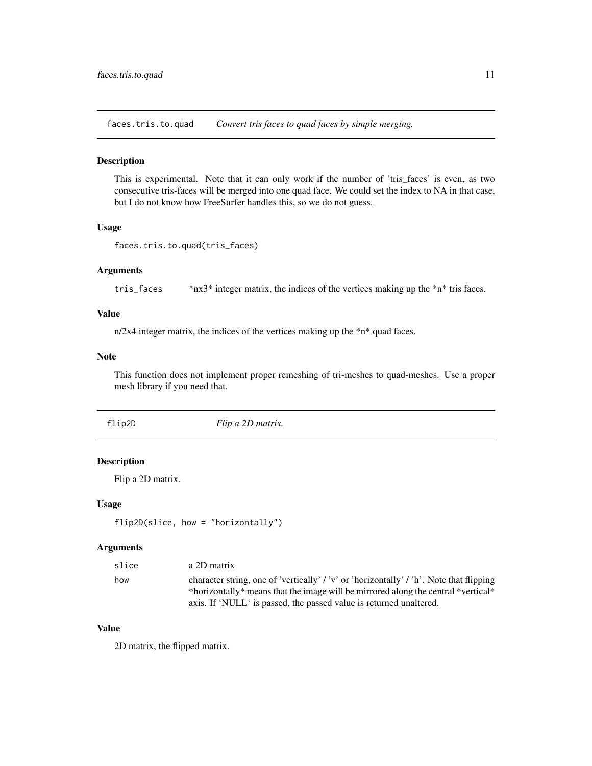<span id="page-10-0"></span>faces.tris.to.quad *Convert tris faces to quad faces by simple merging.*

## Description

This is experimental. Note that it can only work if the number of 'tris\_faces' is even, as two consecutive tris-faces will be merged into one quad face. We could set the index to NA in that case, but I do not know how FreeSurfer handles this, so we do not guess.

# Usage

```
faces.tris.to.quad(tris_faces)
```
## Arguments

tris\_faces \*nx3\* integer matrix, the indices of the vertices making up the \*n\* tris faces.

# Value

n/2x4 integer matrix, the indices of the vertices making up the \*n\* quad faces.

## Note

This function does not implement proper remeshing of tri-meshes to quad-meshes. Use a proper mesh library if you need that.

flip2D *Flip a 2D matrix.*

## Description

Flip a 2D matrix.

#### Usage

```
flip2D(slice, how = "horizontally")
```
## Arguments

| slice | a 2D matrix                                                                                                                                                                  |
|-------|------------------------------------------------------------------------------------------------------------------------------------------------------------------------------|
| how   | character string, one of 'vertically' / 'v' or 'horizontally' / 'h'. Note that flipping<br>*horizontally* means that the image will be mirrored along the central *vertical* |
|       | axis. If 'NULL' is passed, the passed value is returned unaltered.                                                                                                           |

## Value

2D matrix, the flipped matrix.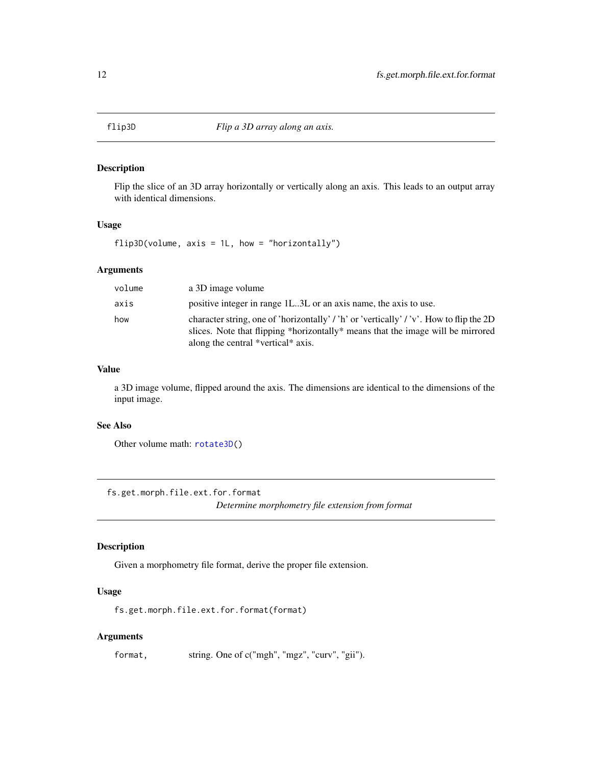<span id="page-11-0"></span>

Flip the slice of an 3D array horizontally or vertically along an axis. This leads to an output array with identical dimensions.

## Usage

 $flip3D(volume, axis = 1L, how = "horizontally")$ 

## Arguments

| volume | a 3D image volume                                                                                                                                                                                                |
|--------|------------------------------------------------------------------------------------------------------------------------------------------------------------------------------------------------------------------|
| axis   | positive integer in range 1L3L or an axis name, the axis to use.                                                                                                                                                 |
| how    | character string, one of 'horizontally' / 'h' or 'vertically' / 'v'. How to flip the 2D<br>slices. Note that flipping *horizontally* means that the image will be mirrored<br>along the central *vertical* axis. |

## Value

a 3D image volume, flipped around the axis. The dimensions are identical to the dimensions of the input image.

# See Also

Other volume math: [rotate3D\(](#page-86-1))

<span id="page-11-1"></span>fs.get.morph.file.ext.for.format *Determine morphometry file extension from format*

## Description

Given a morphometry file format, derive the proper file extension.

# Usage

fs.get.morph.file.ext.for.format(format)

## Arguments

format, string. One of c("mgh", "mgz", "curv", "gii").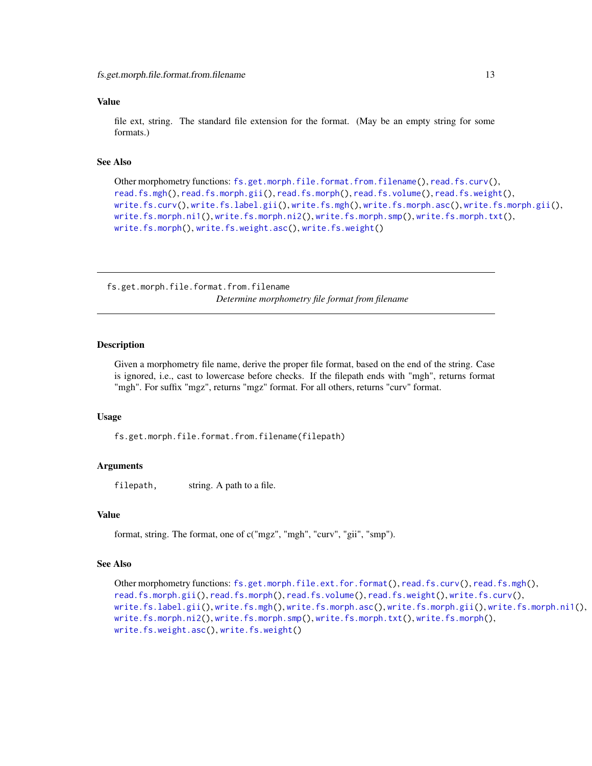## <span id="page-12-0"></span>Value

file ext, string. The standard file extension for the format. (May be an empty string for some formats.)

#### See Also

```
Other morphometry functions: fs.get.morph.file.format.from.filename(), read.fs.curv(),
read.fs.mgh(), read.fs.morph.gii(), read.fs.morph(), read.fs.volume(), read.fs.weight(),
write.fs.curv(), write.fs.label.gii(), write.fs.mgh(), write.fs.morph.asc(), write.fs.morph.gii(),
write.fs.morph.ni1(), write.fs.morph.ni2(), write.fs.morph.smp(), write.fs.morph.txt(),
write.fs.morph(), write.fs.weight.asc(), write.fs.weight()
```
<span id="page-12-1"></span>fs.get.morph.file.format.from.filename *Determine morphometry file format from filename*

## Description

Given a morphometry file name, derive the proper file format, based on the end of the string. Case is ignored, i.e., cast to lowercase before checks. If the filepath ends with "mgh", returns format "mgh". For suffix "mgz", returns "mgz" format. For all others, returns "curv" format.

#### Usage

fs.get.morph.file.format.from.filename(filepath)

#### Arguments

filepath, string. A path to a file.

#### Value

format, string. The format, one of c("mgz", "mgh", "curv", "gii", "smp").

#### See Also

```
Other morphometry functions: fs.get.morph.file.ext.for.format(), read.fs.curv(), read.fs.mgh(),
read.fs.morph.gii(), read.fs.morph(), read.fs.volume(), read.fs.weight(), write.fs.curv(),
write.fs.label.gii(), write.fs.mgh(), write.fs.morph.asc(), write.fs.morph.gii(), write.fs.morph.ni1(),
write.fs.morph.ni2(), write.fs.morph.smp(), write.fs.morph.txt(), write.fs.morph(),
write.fs.weight.asc(), write.fs.weight()
```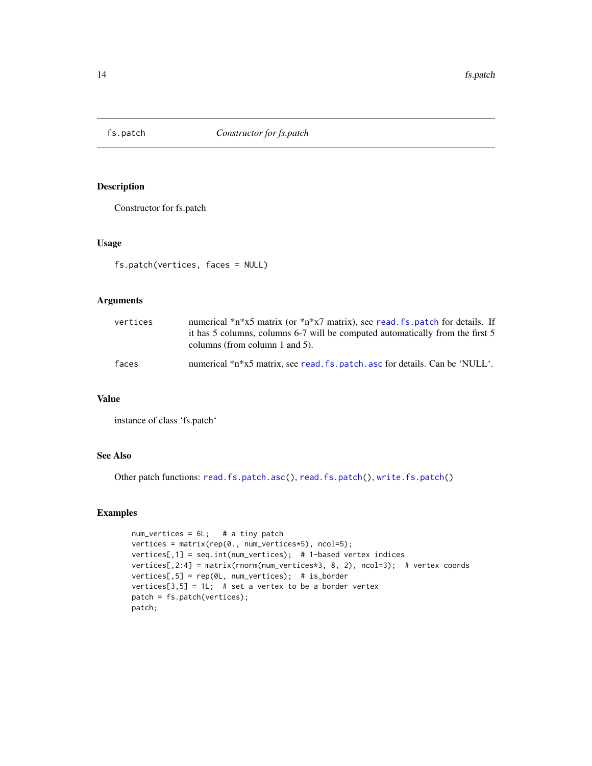<span id="page-13-0"></span>

Constructor for fs.patch

# Usage

```
fs.patch(vertices, faces = NULL)
```
## Arguments

| vertices | numerical $\pi$ <sup>*</sup> n <sup>*</sup> x5 matrix (or $\pi$ <sup>*</sup> n <sup>*</sup> x7 matrix), see read fs patch for details. If<br>it has 5 columns, columns 6-7 will be computed automatically from the first 5<br>columns (from column 1 and 5). |
|----------|--------------------------------------------------------------------------------------------------------------------------------------------------------------------------------------------------------------------------------------------------------------|
| faces    | numerical *n*x5 matrix, see read. fs. patch. asc for details. Can be 'NULL'.                                                                                                                                                                                 |

# Value

instance of class 'fs.patch'

# See Also

Other patch functions: [read.fs.patch.asc\(](#page-59-2)), [read.fs.patch\(](#page-58-1)), [write.fs.patch\(](#page-104-2))

## Examples

```
num_vertices = 6L; # a tiny patch
vertices = matrix(rep(0., num_vertices*5), ncol=5);
vertices[,1] = seq.int(num_vertices); # 1-based vertex indices
vertices[,2:4] = matrix(rnorm(num_vertices*3, 8, 2), ncol=3); # vertex coords
vertices[,5] = rep(0L, num_vertices); # is_border
vertices[3,5] = 1L; # set a vertex to be a border vertex
patch = fs.patch(vertices);
patch;
```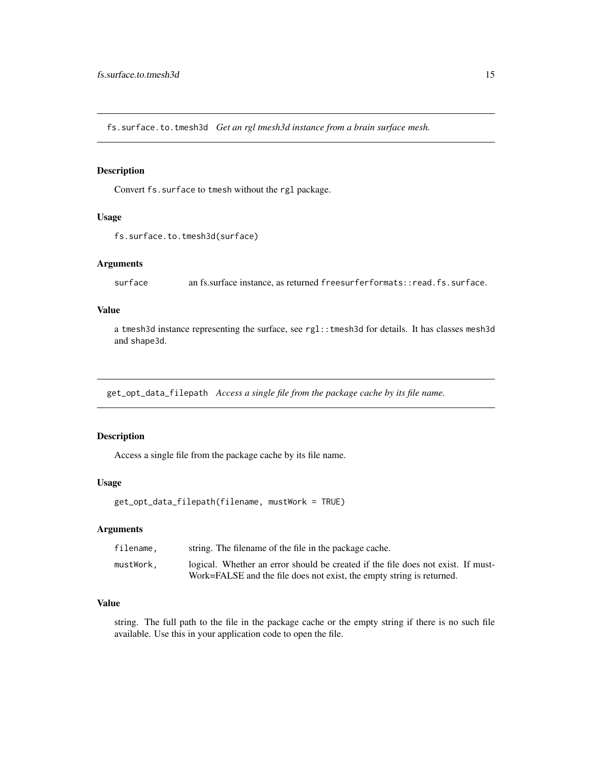<span id="page-14-0"></span>fs.surface.to.tmesh3d *Get an rgl tmesh3d instance from a brain surface mesh.*

## Description

Convert fs.surface to tmesh without the rgl package.

## Usage

```
fs.surface.to.tmesh3d(surface)
```
# Arguments

surface an fs.surface instance, as returned freesurferformats::read.fs.surface.

## Value

a tmesh3d instance representing the surface, see rgl::tmesh3d for details. It has classes mesh3d and shape3d.

get\_opt\_data\_filepath *Access a single file from the package cache by its file name.*

# Description

Access a single file from the package cache by its file name.

## Usage

```
get_opt_data_filepath(filename, mustWork = TRUE)
```
## Arguments

| filename. | string. The filename of the file in the package cache.                           |
|-----------|----------------------------------------------------------------------------------|
| mustWork. | logical. Whether an error should be created if the file does not exist. If must- |
|           | Work=FALSE and the file does not exist, the empty string is returned.            |

# Value

string. The full path to the file in the package cache or the empty string if there is no such file available. Use this in your application code to open the file.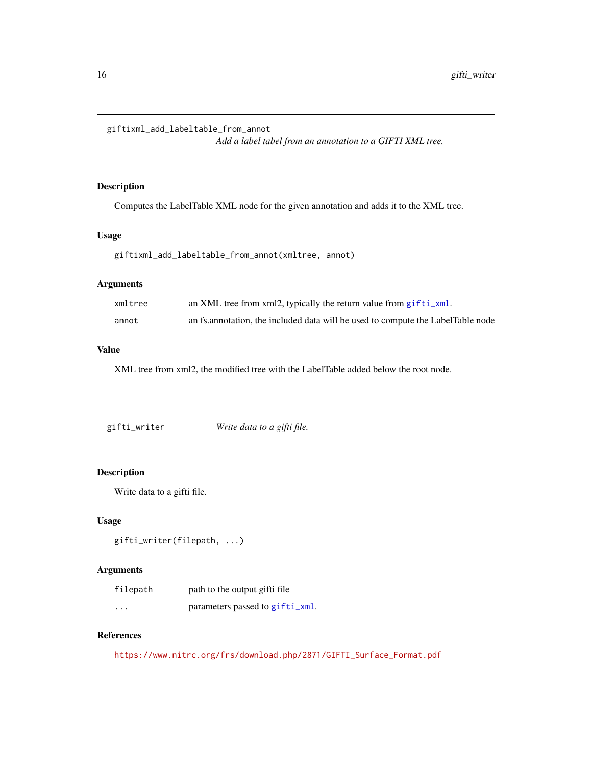<span id="page-15-0"></span>giftixml\_add\_labeltable\_from\_annot

*Add a label tabel from an annotation to a GIFTI XML tree.*

# Description

Computes the LabelTable XML node for the given annotation and adds it to the XML tree.

# Usage

giftixml\_add\_labeltable\_from\_annot(xmltree, annot)

# Arguments

| xmltree | an XML tree from xml2, typically the return value from gifti_xml.                |
|---------|----------------------------------------------------------------------------------|
| annot   | an fs. annotation, the included data will be used to compute the LabelTable node |

# Value

XML tree from xml2, the modified tree with the LabelTable added below the root node.

<span id="page-15-1"></span>gifti\_writer *Write data to a gifti file.*

# Description

Write data to a gifti file.

# Usage

```
gifti_writer(filepath, ...)
```
# Arguments

| filepath                | path to the output gifti file   |
|-------------------------|---------------------------------|
| $\cdot$ $\cdot$ $\cdot$ | parameters passed to gifti_xml. |

# References

[https://www.nitrc.org/frs/download.php/2871/GIFTI\\_Surface\\_Format.pdf](https://www.nitrc.org/frs/download.php/2871/GIFTI_Surface_Format.pdf)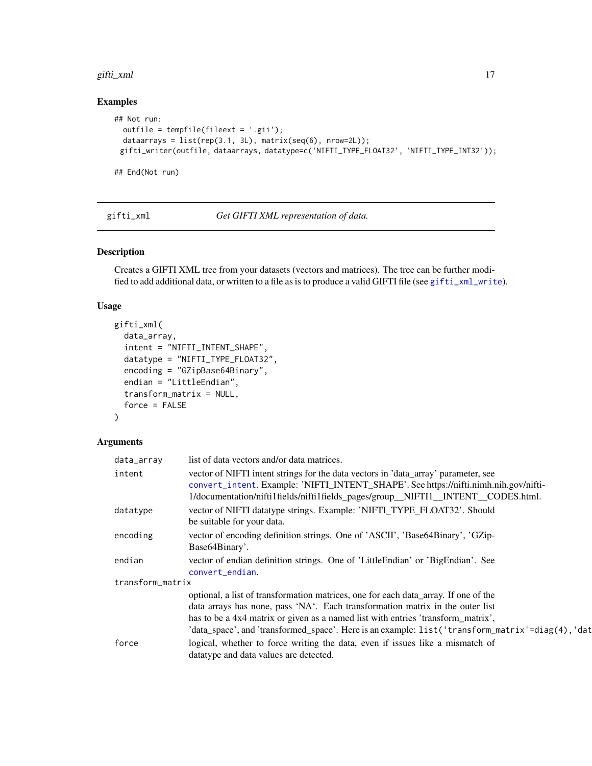#### <span id="page-16-0"></span>gifti\_xml 17

# Examples

```
## Not run:
 outfile = tempfile(fileext = '.gii');
 dataarrays = list(rep(3.1, 3L), matrix(seq(6), nrow=2L));
 gifti_writer(outfile, dataarrays, datatype=c('NIFTI_TYPE_FLOAT32', 'NIFTI_TYPE_INT32'));
```
## End(Not run)

<span id="page-16-1"></span>gifti\_xml *Get GIFTI XML representation of data.*

## Description

Creates a GIFTI XML tree from your datasets (vectors and matrices). The tree can be further modified to add additional data, or written to a file as is to produce a valid GIFTI file (see [gifti\\_xml\\_write](#page-18-1)).

## Usage

```
gifti_xml(
  data_array,
  intent = "NIFTI_INTENT_SHAPE",
  datatype = "NIFTI_TYPE_FLOAT32",
  encoding = "GZipBase64Binary",
  endian = "LittleEndian",
  transform_matrix = NULL,
  force = FALSE
)
```
# Arguments

| data_array       | list of data vectors and/or data matrices.                                                                                                                                                                                                                                                                                                                   |  |
|------------------|--------------------------------------------------------------------------------------------------------------------------------------------------------------------------------------------------------------------------------------------------------------------------------------------------------------------------------------------------------------|--|
| intent           | vector of NIFTI intent strings for the data vectors in 'data_array' parameter, see<br>convert_intent. Example: 'NIFTI_INTENT_SHAPE'. See https://nifti.nimh.nih.gov/nifti-<br>1/documentation/nifti1fields/nifti1fields_pages/group_NIFTI1_INTENT_CODES.html.                                                                                                |  |
| datatype         | vector of NIFTI datatype strings. Example: 'NIFTI_TYPE_FLOAT32'. Should<br>be suitable for your data.                                                                                                                                                                                                                                                        |  |
| encoding         | vector of encoding definition strings. One of 'ASCII', 'Base64Binary', 'GZip-<br>Base <sub>64</sub> Binary'.                                                                                                                                                                                                                                                 |  |
| endian           | vector of endian definition strings. One of 'LittleEndian' or 'BigEndian'. See<br>convert_endian.                                                                                                                                                                                                                                                            |  |
| transform_matrix |                                                                                                                                                                                                                                                                                                                                                              |  |
|                  | optional, a list of transformation matrices, one for each data_array. If one of the<br>data arrays has none, pass 'NA'. Each transformation matrix in the outer list<br>has to be a 4x4 matrix or given as a named list with entries 'transform_matrix',<br>'data_space', and 'transformed_space'. Here is an example: list('transform_matrix'=diag(4), 'dat |  |
| force            | logical, whether to force writing the data, even if issues like a mismatch of<br>datatype and data values are detected.                                                                                                                                                                                                                                      |  |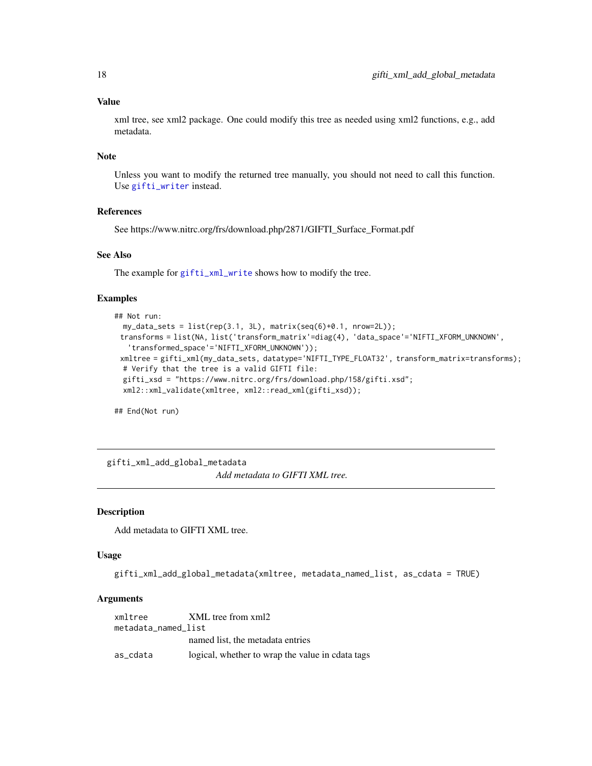## Value

xml tree, see xml2 package. One could modify this tree as needed using xml2 functions, e.g., add metadata.

#### Note

Unless you want to modify the returned tree manually, you should not need to call this function. Use [gifti\\_writer](#page-15-1) instead.

## References

See https://www.nitrc.org/frs/download.php/2871/GIFTI\_Surface\_Format.pdf

# See Also

The example for [gifti\\_xml\\_write](#page-18-1) shows how to modify the tree.

## Examples

```
## Not run:
 my_data_sets = list(rep(3.1, 3L), matrix(seq(6)+0.1, nrow=2L));transforms = list(NA, list('transform_matrix'=diag(4), 'data_space'='NIFTI_XFORM_UNKNOWN',
   'transformed_space'='NIFTI_XFORM_UNKNOWN'));
 xmltree = gifti_xml(my_data_sets, datatype='NIFTI_TYPE_FLOAT32', transform_matrix=transforms);
 # Verify that the tree is a valid GIFTI file:
 gifti_xsd = "https://www.nitrc.org/frs/download.php/158/gifti.xsd";
 xml2::xml_validate(xmltree, xml2::read_xml(gifti_xsd));
```
## End(Not run)

gifti\_xml\_add\_global\_metadata *Add metadata to GIFTI XML tree.*

## Description

Add metadata to GIFTI XML tree.

## Usage

gifti\_xml\_add\_global\_metadata(xmltree, metadata\_named\_list, as\_cdata = TRUE)

## Arguments

| xmltree             | XML tree from xml2                               |  |  |  |
|---------------------|--------------------------------------------------|--|--|--|
| metadata_named_list |                                                  |  |  |  |
|                     | named list, the metadata entries                 |  |  |  |
| as cdata            | logical, whether to wrap the value in cdata tags |  |  |  |

<span id="page-17-0"></span>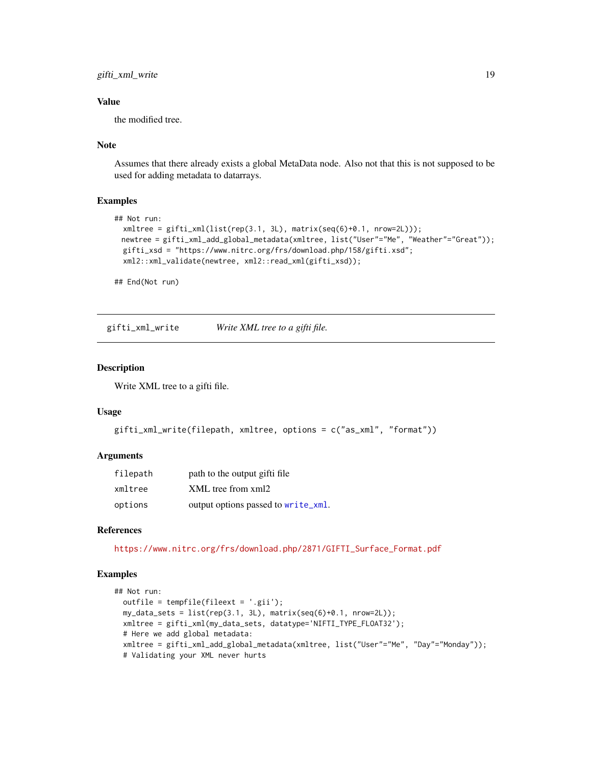<span id="page-18-0"></span>gifti\_xml\_write 19

## Value

the modified tree.

## Note

Assumes that there already exists a global MetaData node. Also not that this is not supposed to be used for adding metadata to datarrays.

## Examples

```
## Not run:
 xmltree = gifti_xml(list(rep(3.1, 3L), matrix(seq(6)+0.1, nrow=2L)));
 newtree = gifti_xml_add_global_metadata(xmltree, list("User"="Me", "Weather"="Great"));
 gifti_xsd = "https://www.nitrc.org/frs/download.php/158/gifti.xsd";
 xml2::xml_validate(newtree, xml2::read_xml(gifti_xsd));
```
## End(Not run)

<span id="page-18-1"></span>gifti\_xml\_write *Write XML tree to a gifti file.*

# Description

Write XML tree to a gifti file.

## Usage

```
gifti_xml_write(filepath, xmltree, options = c("as_xml", "format"))
```
## Arguments

| filepath | path to the output gifti file       |
|----------|-------------------------------------|
| xmltree  | XML tree from xml2                  |
| options  | output options passed to write_xml. |

## References

[https://www.nitrc.org/frs/download.php/2871/GIFTI\\_Surface\\_Format.pdf](https://www.nitrc.org/frs/download.php/2871/GIFTI_Surface_Format.pdf)

# Examples

```
## Not run:
 outfile = tempfile(fileext = '.gii');
 my_data_sets = list(rep(3.1, 3L), matrix(seq(6)+0.1, nrow=2L));
 xmltree = gifti_xml(my_data_sets, datatype='NIFTI_TYPE_FLOAT32');
 # Here we add global metadata:
 xmltree = gifti_xml_add_global_metadata(xmltree, list("User"="Me", "Day"="Monday"));
 # Validating your XML never hurts
```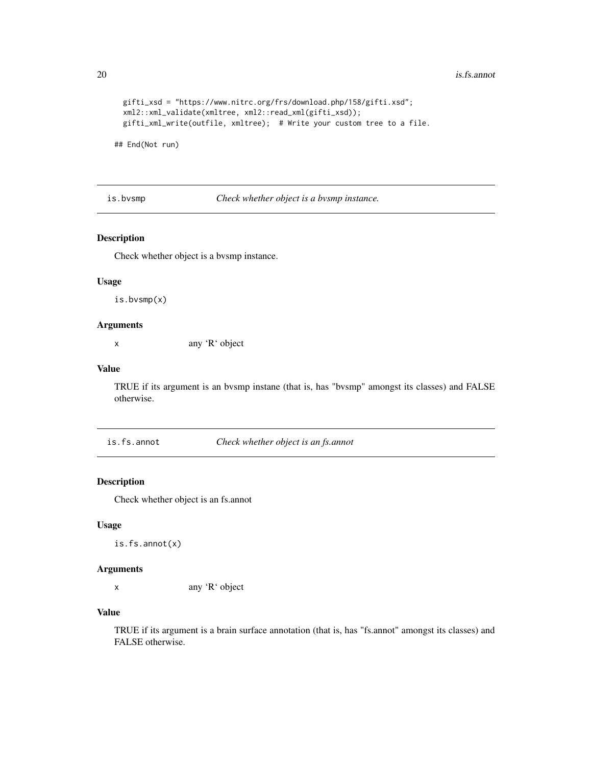```
gifti_xsd = "https://www.nitrc.org/frs/download.php/158/gifti.xsd";
xml2::xml_validate(xmltree, xml2::read_xml(gifti_xsd));
gifti_xml_write(outfile, xmltree); # Write your custom tree to a file.
```
## End(Not run)

is.bvsmp *Check whether object is a bvsmp instance.*

## Description

Check whether object is a bvsmp instance.

## Usage

is.bvsmp(x)

## Arguments

x any 'R' object

## Value

TRUE if its argument is an bvsmp instane (that is, has "bvsmp" amongst its classes) and FALSE otherwise.

is.fs.annot *Check whether object is an fs.annot*

## Description

Check whether object is an fs.annot

## Usage

is.fs.annot(x)

# Arguments

x any 'R' object

# Value

TRUE if its argument is a brain surface annotation (that is, has "fs.annot" amongst its classes) and FALSE otherwise.

<span id="page-19-0"></span>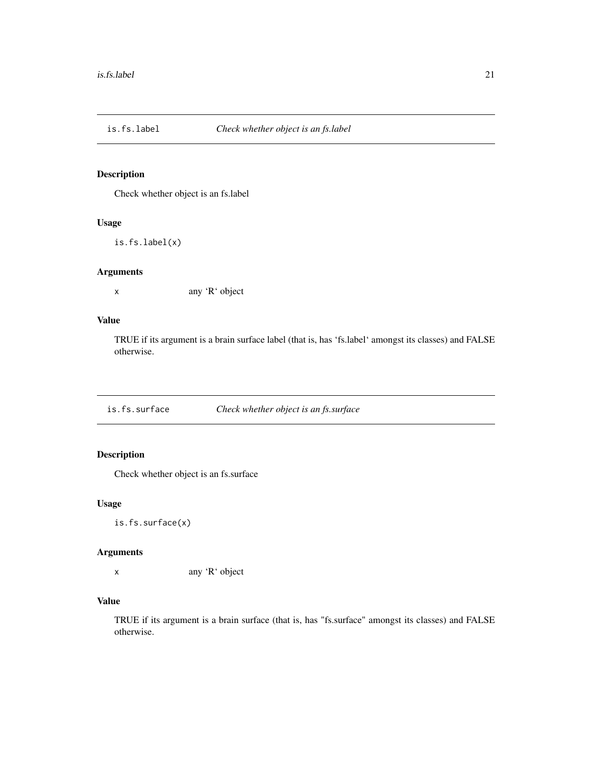<span id="page-20-0"></span>

Check whether object is an fs.label

# Usage

is.fs.label(x)

# Arguments

x any 'R' object

# Value

TRUE if its argument is a brain surface label (that is, has 'fs.label' amongst its classes) and FALSE otherwise.

is.fs.surface *Check whether object is an fs.surface*

# Description

Check whether object is an fs.surface

#### Usage

is.fs.surface(x)

# Arguments

x any 'R' object

# Value

TRUE if its argument is a brain surface (that is, has "fs.surface" amongst its classes) and FALSE otherwise.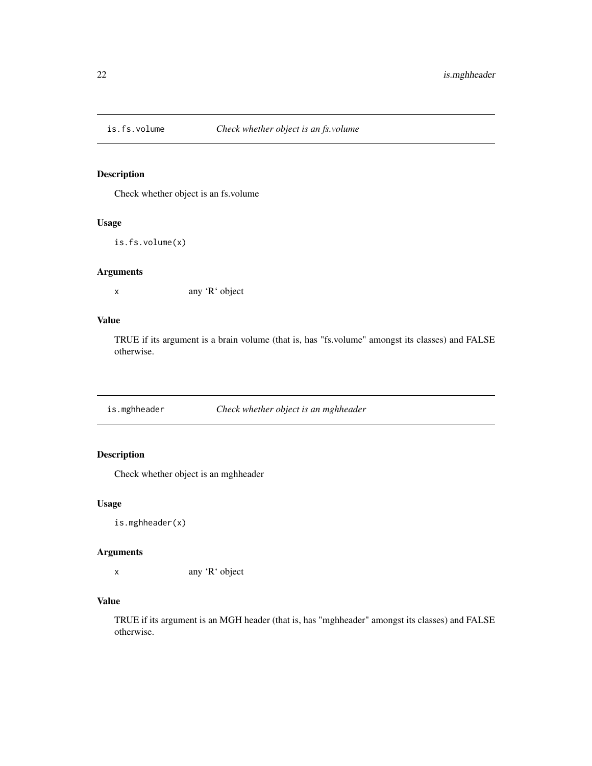<span id="page-21-0"></span>

Check whether object is an fs.volume

# Usage

is.fs.volume(x)

## Arguments

x any 'R' object

# Value

TRUE if its argument is a brain volume (that is, has "fs.volume" amongst its classes) and FALSE otherwise.

is.mghheader *Check whether object is an mghheader*

# Description

Check whether object is an mghheader

## Usage

is.mghheader(x)

# Arguments

x any 'R' object

# Value

TRUE if its argument is an MGH header (that is, has "mghheader" amongst its classes) and FALSE otherwise.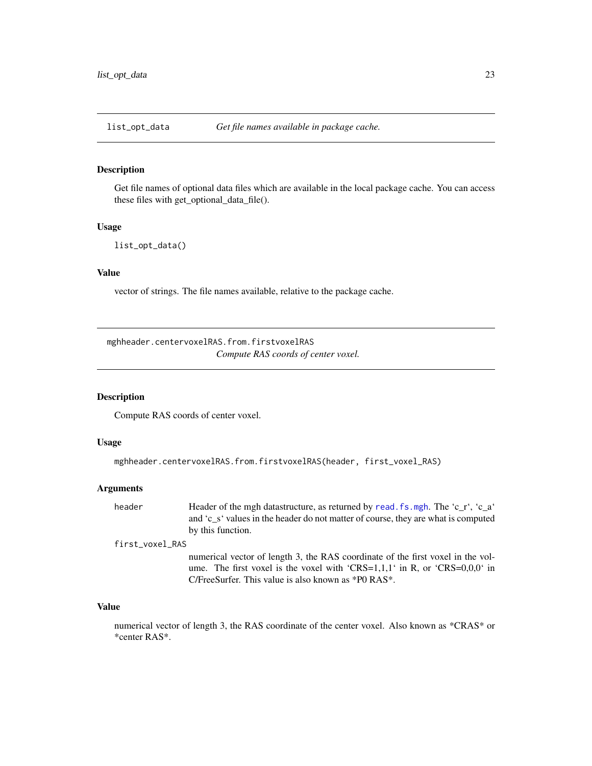<span id="page-22-0"></span>

Get file names of optional data files which are available in the local package cache. You can access these files with get\_optional\_data\_file().

#### Usage

```
list_opt_data()
```
# Value

vector of strings. The file names available, relative to the package cache.

mghheader.centervoxelRAS.from.firstvoxelRAS *Compute RAS coords of center voxel.*

# Description

Compute RAS coords of center voxel.

#### Usage

```
mghheader.centervoxelRAS.from.firstvoxelRAS(header, first_voxel_RAS)
```
## Arguments

header Header of the mgh datastructure, as returned by read. fs.mgh. The 'c\_r', 'c\_a' and 'c\_s' values in the header do not matter of course, they are what is computed by this function.

first\_voxel\_RAS

numerical vector of length 3, the RAS coordinate of the first voxel in the volume. The first voxel is the voxel with 'CRS=1,1,1' in R, or 'CRS=0,0,0' in C/FreeSurfer. This value is also known as \*P0 RAS\*.

#### Value

numerical vector of length 3, the RAS coordinate of the center voxel. Also known as \*CRAS\* or \*center RAS\*.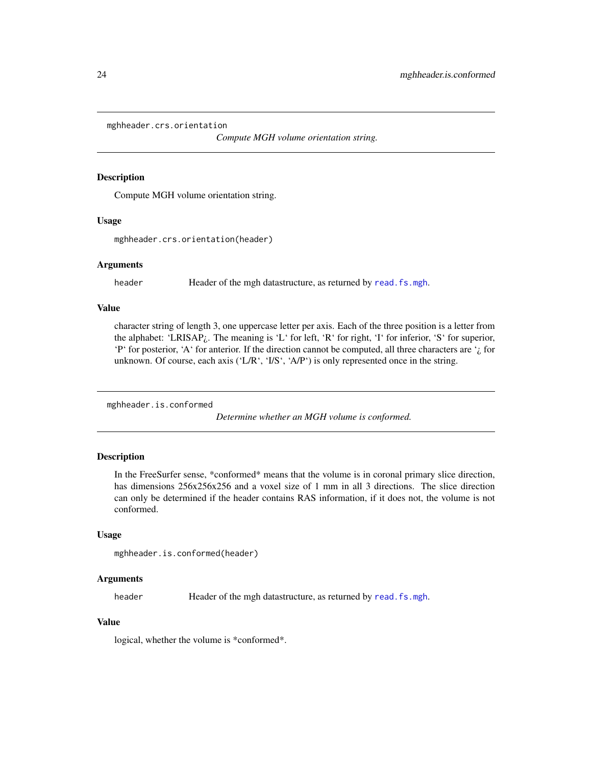<span id="page-23-0"></span>mghheader.crs.orientation

*Compute MGH volume orientation string.*

#### Description

Compute MGH volume orientation string.

#### Usage

mghheader.crs.orientation(header)

#### Arguments

header Header of the mgh datastructure, as returned by [read.fs.mgh](#page-50-1).

# Value

character string of length 3, one uppercase letter per axis. Each of the three position is a letter from the alphabet: 'LRISAP¿. The meaning is 'L' for left, 'R' for right, 'I' for inferior, 'S' for superior, 'P' for posterior, 'A' for anterior. If the direction cannot be computed, all three characters are  $\dot{\iota}$  for unknown. Of course, each axis ('L/R', 'I/S', 'A/P') is only represented once in the string.

mghheader.is.conformed

*Determine whether an MGH volume is conformed.*

# **Description**

In the FreeSurfer sense, \*conformed\* means that the volume is in coronal primary slice direction, has dimensions  $256x256x256$  and a voxel size of 1 mm in all 3 directions. The slice direction can only be determined if the header contains RAS information, if it does not, the volume is not conformed.

#### Usage

```
mghheader.is.conformed(header)
```
## Arguments

header Header of the mgh datastructure, as returned by read. fs. mgh.

# Value

logical, whether the volume is \*conformed\*.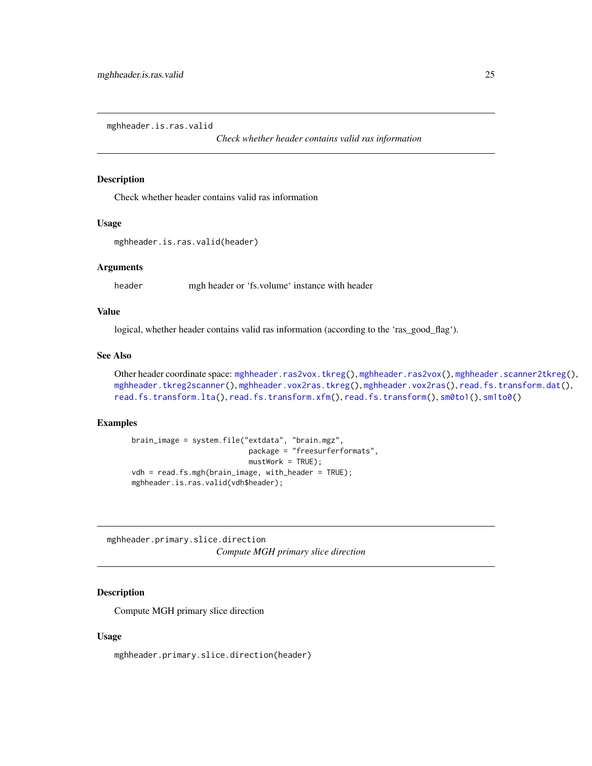<span id="page-24-1"></span><span id="page-24-0"></span>mghheader.is.ras.valid

*Check whether header contains valid ras information*

### Description

Check whether header contains valid ras information

## Usage

```
mghheader.is.ras.valid(header)
```
#### Arguments

header mgh header or 'fs.volume' instance with header

#### Value

logical, whether header contains valid ras information (according to the 'ras\_good\_flag').

# See Also

Other header coordinate space: [mghheader.ras2vox.tkreg\(](#page-26-1)), [mghheader.ras2vox\(](#page-25-1)), [mghheader.scanner2tkreg\(](#page-26-2)), [mghheader.tkreg2scanner\(](#page-27-1)), [mghheader.vox2ras.tkreg\(](#page-29-1)), [mghheader.vox2ras\(](#page-28-1)), [read.fs.transform.dat\(](#page-71-1)), [read.fs.transform.lta\(](#page-72-1)), [read.fs.transform.xfm\(](#page-73-1)), [read.fs.transform\(](#page-70-1)), [sm0to1\(](#page-87-1)), [sm1to0\(](#page-87-2))

## Examples

```
brain_image = system.file("extdata", "brain.mgz",
                           package = "freesurferformats",
                           mustWork = TRUE);
vdh = read.fs.mgh(brain_image, with_header = TRUE);
mghheader.is.ras.valid(vdh$header);
```
mghheader.primary.slice.direction *Compute MGH primary slice direction*

## Description

Compute MGH primary slice direction

#### Usage

mghheader.primary.slice.direction(header)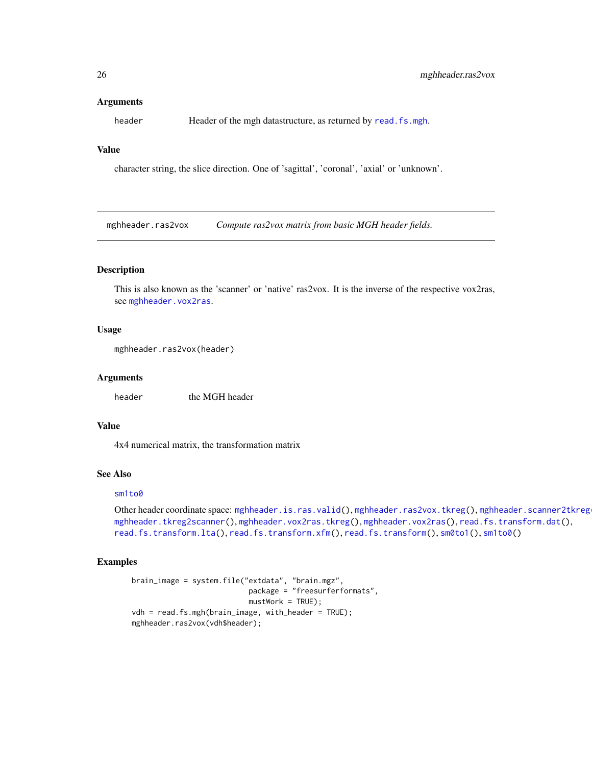#### <span id="page-25-0"></span>Arguments

header **Header of the mgh datastructure**, as returned by [read.fs.mgh](#page-50-1).

## Value

character string, the slice direction. One of 'sagittal', 'coronal', 'axial' or 'unknown'.

<span id="page-25-1"></span>mghheader.ras2vox *Compute ras2vox matrix from basic MGH header fields.*

## Description

This is also known as the 'scanner' or 'native' ras2vox. It is the inverse of the respective vox2ras, see [mghheader.vox2ras](#page-28-1).

## Usage

```
mghheader.ras2vox(header)
```
#### Arguments

header the MGH header

## Value

4x4 numerical matrix, the transformation matrix

## See Also

#### [sm1to0](#page-87-2)

Other header coordinate space: [mghheader.is.ras.valid\(](#page-24-1)), [mghheader.ras2vox.tkreg\(](#page-26-1)), mghheader.scanner2tkreg [mghheader.tkreg2scanner\(](#page-27-1)), [mghheader.vox2ras.tkreg\(](#page-29-1)), [mghheader.vox2ras\(](#page-28-1)), [read.fs.transform.dat\(](#page-71-1)), [read.fs.transform.lta\(](#page-72-1)), [read.fs.transform.xfm\(](#page-73-1)), [read.fs.transform\(](#page-70-1)), [sm0to1\(](#page-87-1)), [sm1to0\(](#page-87-2))

## Examples

```
brain_image = system.file("extdata", "brain.mgz",
                           package = "freesurferformats",
                          mustWork = TRUE);
vdh = read.fs.mgh(brain_image, with_header = TRUE);
mghheader.ras2vox(vdh$header);
```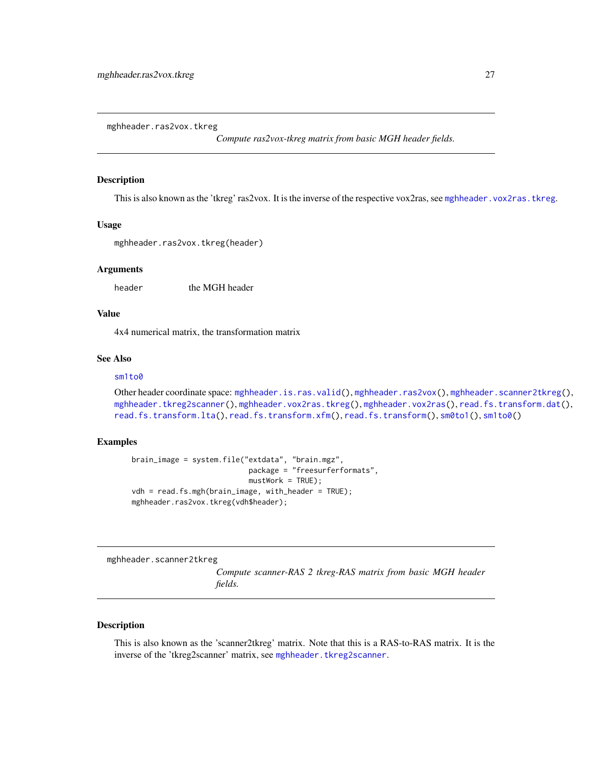<span id="page-26-1"></span><span id="page-26-0"></span>mghheader.ras2vox.tkreg

*Compute ras2vox-tkreg matrix from basic MGH header fields.*

## Description

This is also known as the 'tkreg' ras2vox. It is the inverse of the respective vox2ras, see [mghheader.vox2ras.tkreg](#page-29-1).

#### Usage

mghheader.ras2vox.tkreg(header)

## Arguments

header the MGH header

# Value

4x4 numerical matrix, the transformation matrix

## See Also

## [sm1to0](#page-87-2)

```
mghheader.is.ras.valid(mghheader.ras2vox(mghheader.scanner2tkreg(),
mghheader.tkreg2scanner(), mghheader.vox2ras.tkreg(), mghheader.vox2ras(), read.fs.transform.dat(),
read.fs.transform.lta(), read.fs.transform.xfm(), read.fs.transform(), sm0to1(), sm1to0()
```
#### Examples

```
brain_image = system.file("extdata", "brain.mgz",
                           package = "freesurferformats",
                           mustWork = TRUE);
vdh = read.fs.mgh(brain_image, with_header = TRUE);
mghheader.ras2vox.tkreg(vdh$header);
```
<span id="page-26-2"></span>mghheader.scanner2tkreg

*Compute scanner-RAS 2 tkreg-RAS matrix from basic MGH header fields.*

### Description

This is also known as the 'scanner2tkreg' matrix. Note that this is a RAS-to-RAS matrix. It is the inverse of the 'tkreg2scanner' matrix, see [mghheader.tkreg2scanner](#page-27-1).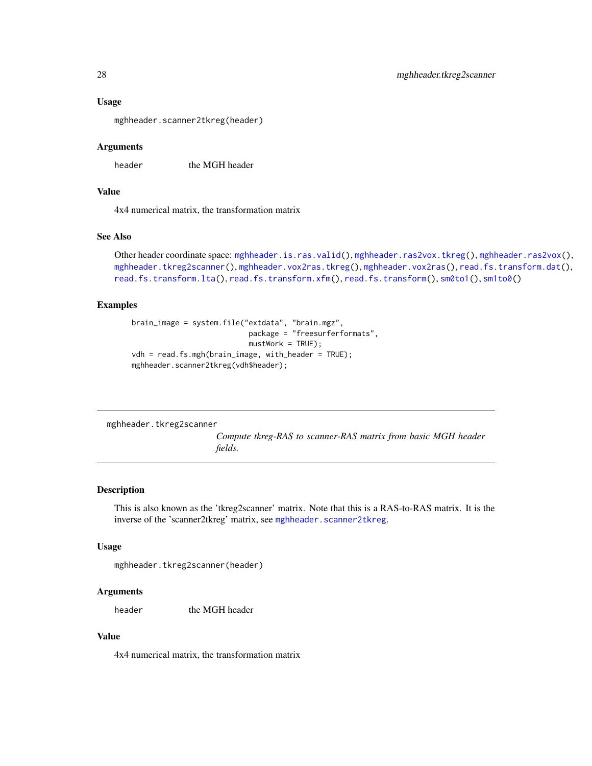#### Usage

mghheader.scanner2tkreg(header)

## Arguments

header the MGH header

## Value

4x4 numerical matrix, the transformation matrix

## See Also

```
Other header coordinate space: mghheader.is.ras.valid(), mghheader.ras2vox.tkreg(), mghheader.ras2vox(),
mghheader.tkreg2scanner(), mghheader.vox2ras.tkreg(), mghheader.vox2ras(), read.fs.transform.dat(),
read.fs.transform.lta(), read.fs.transform.xfm(), read.fs.transform(), sm0to1(), sm1to0()
```
#### Examples

```
brain_image = system.file("extdata", "brain.mgz",
                          package = "freesurferformats",
                           mustWork = TRUE;
vdh = read.fs.mgh(brain_image, with_header = TRUE);
mghheader.scanner2tkreg(vdh$header);
```
<span id="page-27-1"></span>mghheader.tkreg2scanner

*Compute tkreg-RAS to scanner-RAS matrix from basic MGH header fields.*

## Description

This is also known as the 'tkreg2scanner' matrix. Note that this is a RAS-to-RAS matrix. It is the inverse of the 'scanner2tkreg' matrix, see [mghheader.scanner2tkreg](#page-26-2).

## Usage

```
mghheader.tkreg2scanner(header)
```
## Arguments

header the MGH header

## Value

4x4 numerical matrix, the transformation matrix

<span id="page-27-0"></span>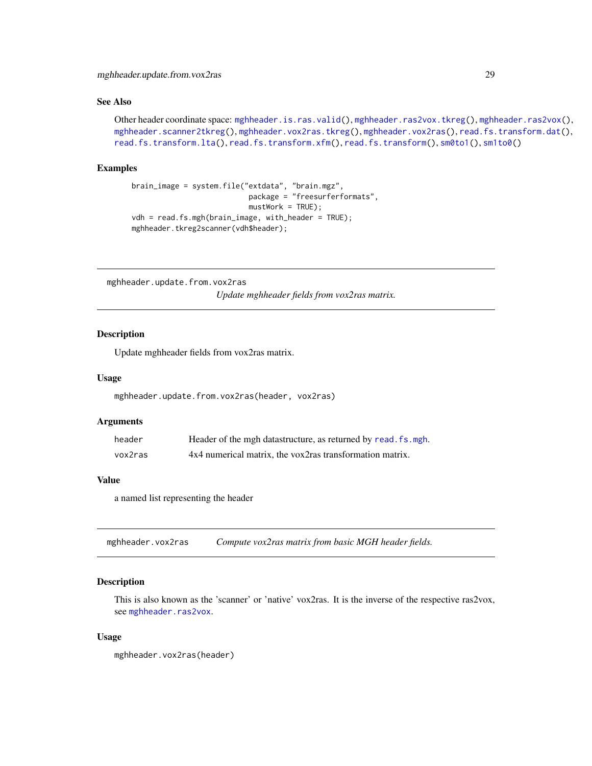# <span id="page-28-0"></span>See Also

Other header coordinate space: [mghheader.is.ras.valid\(](#page-24-1)), [mghheader.ras2vox.tkreg\(](#page-26-1)), [mghheader.ras2vox\(](#page-25-1)), [mghheader.scanner2tkreg\(](#page-26-2)), [mghheader.vox2ras.tkreg\(](#page-29-1)), [mghheader.vox2ras\(](#page-28-1)), [read.fs.transform.dat\(](#page-71-1)), [read.fs.transform.lta\(](#page-72-1)), [read.fs.transform.xfm\(](#page-73-1)), [read.fs.transform\(](#page-70-1)), [sm0to1\(](#page-87-1)), [sm1to0\(](#page-87-2))

## Examples

```
brain_image = system.file("extdata", "brain.mgz",
                          package = "freesurferformats",
                           mustWork = TRUE;
vdh = read.fs.mgh(brain_image, with_header = TRUE);
mghheader.tkreg2scanner(vdh$header);
```
mghheader.update.from.vox2ras *Update mghheader fields from vox2ras matrix.*

# **Description**

Update mghheader fields from vox2ras matrix.

#### Usage

```
mghheader.update.from.vox2ras(header, vox2ras)
```
#### Arguments

| header  | Header of the mgh datastructure, as returned by read. fs. mgh. |
|---------|----------------------------------------------------------------|
| vox2ras | 4x4 numerical matrix, the vox2ras transformation matrix.       |

#### Value

a named list representing the header

<span id="page-28-1"></span>mghheader.vox2ras *Compute vox2ras matrix from basic MGH header fields.*

## **Description**

This is also known as the 'scanner' or 'native' vox2ras. It is the inverse of the respective ras2vox, see [mghheader.ras2vox](#page-25-1).

#### Usage

mghheader.vox2ras(header)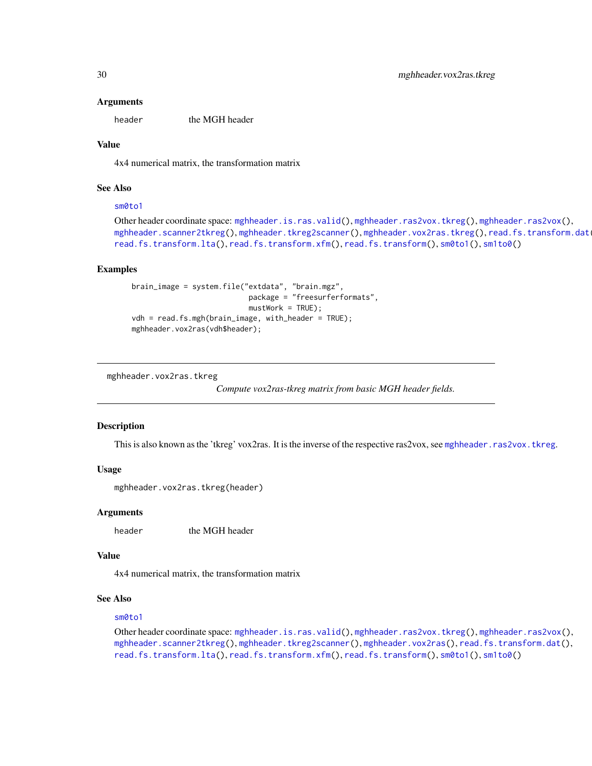#### Arguments

header the MGH header

# Value

4x4 numerical matrix, the transformation matrix

## See Also

## [sm0to1](#page-87-1)

```
Other header coordinate space: mghheader.is.ras.valid(), mghheader.ras2vox.tkreg(), mghheader.ras2vox(),
mghheader.scanner2tkreg(mghheader.tkreg2scanner(mghheader.vox2ras.tkreg(), read.fs.transform.dat
read.fs.transform.lta(), read.fs.transform.xfm(), read.fs.transform(), sm0to1(), sm1to0()
```
## Examples

```
brain_image = system.file("extdata", "brain.mgz",
                          package = "freesurferformats",
                           mustWork = TRUE;
vdh = read.fs.mgh(brain_image, with_header = TRUE);
mghheader.vox2ras(vdh$header);
```
<span id="page-29-1"></span>mghheader.vox2ras.tkreg

*Compute vox2ras-tkreg matrix from basic MGH header fields.*

#### **Description**

This is also known as the 'tkreg' vox2ras. It is the inverse of the respective ras2vox, see [mghheader.ras2vox.tkreg](#page-26-1).

#### Usage

```
mghheader.vox2ras.tkreg(header)
```
#### Arguments

header the MGH header

## Value

4x4 numerical matrix, the transformation matrix

#### See Also

#### [sm0to1](#page-87-1)

Other header coordinate space: [mghheader.is.ras.valid\(](#page-24-1)), [mghheader.ras2vox.tkreg\(](#page-26-1)), [mghheader.ras2vox\(](#page-25-1)), [mghheader.scanner2tkreg\(](#page-26-2)), [mghheader.tkreg2scanner\(](#page-27-1)), [mghheader.vox2ras\(](#page-28-1)), [read.fs.transform.dat\(](#page-71-1)), [read.fs.transform.lta\(](#page-72-1)), [read.fs.transform.xfm\(](#page-73-1)), [read.fs.transform\(](#page-70-1)), [sm0to1\(](#page-87-1)), [sm1to0\(](#page-87-2))

<span id="page-29-0"></span>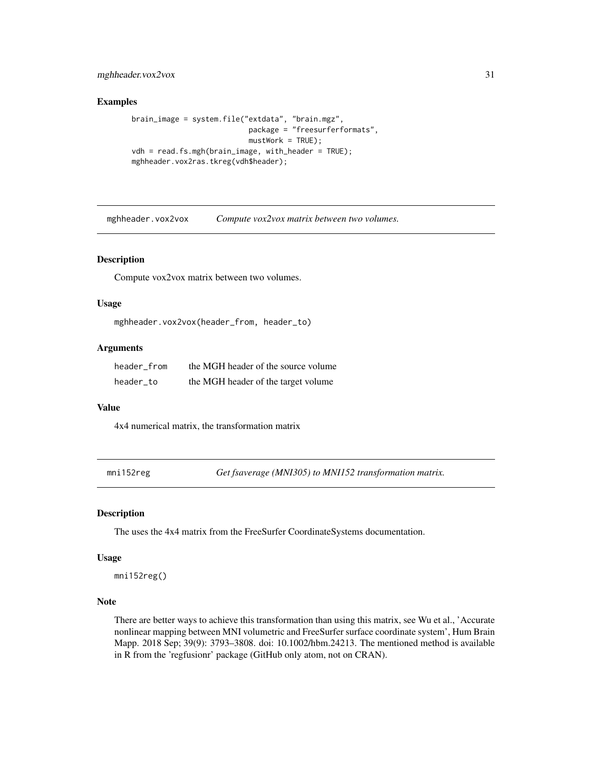# <span id="page-30-0"></span>mghheader.vox2vox 31

### Examples

```
brain_image = system.file("extdata", "brain.mgz",
                           package = "freesurferformats",
                           mustWork = TRUE;
vdh = read.fs.mgh(brain_image, with_header = TRUE);
mghheader.vox2ras.tkreg(vdh$header);
```
mghheader.vox2vox *Compute vox2vox matrix between two volumes.*

#### Description

Compute vox2vox matrix between two volumes.

## Usage

```
mghheader.vox2vox(header_from, header_to)
```
## Arguments

| header from | the MGH header of the source volume |
|-------------|-------------------------------------|
| header to   | the MGH header of the target volume |

## Value

4x4 numerical matrix, the transformation matrix

mni152reg *Get fsaverage (MNI305) to MNI152 transformation matrix.*

#### Description

The uses the 4x4 matrix from the FreeSurfer CoordinateSystems documentation.

## Usage

mni152reg()

# Note

There are better ways to achieve this transformation than using this matrix, see Wu et al., 'Accurate nonlinear mapping between MNI volumetric and FreeSurfer surface coordinate system', Hum Brain Mapp. 2018 Sep; 39(9): 3793–3808. doi: 10.1002/hbm.24213. The mentioned method is available in R from the 'regfusionr' package (GitHub only atom, not on CRAN).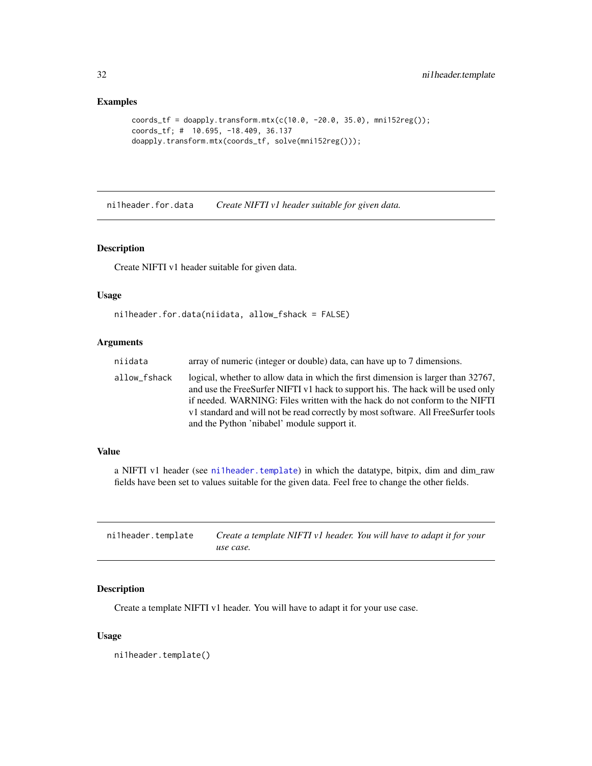# <span id="page-31-0"></span>Examples

```
coords_tf = doapply.transform.mtx(c(10.0, -20.0, 35.0), mni152reg());
coords_tf; # 10.695, -18.409, 36.137
doapply.transform.mtx(coords_tf, solve(mni152reg()));
```
<span id="page-31-2"></span>ni1header.for.data *Create NIFTI v1 header suitable for given data.*

# Description

Create NIFTI v1 header suitable for given data.

# Usage

```
ni1header.for.data(niidata, allow_fshack = FALSE)
```
# Arguments

| niidata      | array of numeric (integer or double) data, can have up to 7 dimensions.                                                                                                                                                                                                                                                                                                                 |
|--------------|-----------------------------------------------------------------------------------------------------------------------------------------------------------------------------------------------------------------------------------------------------------------------------------------------------------------------------------------------------------------------------------------|
| allow_fshack | logical, whether to allow data in which the first dimension is larger than 32767,<br>and use the FreeSurfer NIFTI v1 hack to support his. The hack will be used only<br>if needed. WARNING: Files written with the hack do not conform to the NIFTI<br>v1 standard and will not be read correctly by most software. All FreeSurfer tools<br>and the Python 'nibabel' module support it. |

## Value

a NIFTI v1 header (see [ni1header.template](#page-31-1)) in which the datatype, bitpix, dim and dim\_raw fields have been set to values suitable for the given data. Feel free to change the other fields.

<span id="page-31-1"></span>

| ni1header.template | Create a template NIFTI v1 header. You will have to adapt it for your |  |
|--------------------|-----------------------------------------------------------------------|--|
|                    | use case.                                                             |  |

# Description

Create a template NIFTI v1 header. You will have to adapt it for your use case.

#### Usage

ni1header.template()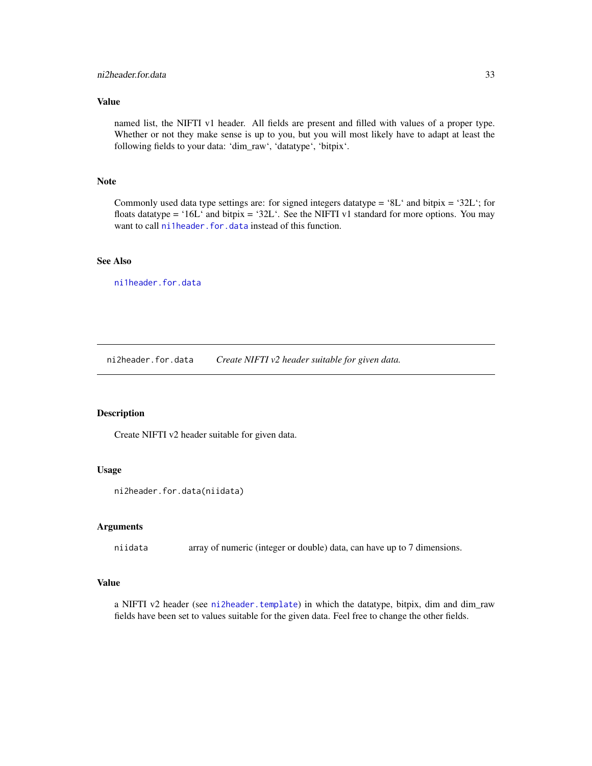## <span id="page-32-0"></span>Value

named list, the NIFTI v1 header. All fields are present and filled with values of a proper type. Whether or not they make sense is up to you, but you will most likely have to adapt at least the following fields to your data: 'dim\_raw', 'datatype', 'bitpix'.

## Note

Commonly used data type settings are: for signed integers datatype =  $8L^{\prime}$  and bitpix =  $32L^{\prime}$ ; for floats datatype = '16L' and bitpix = '32L'. See the NIFTI v1 standard for more options. You may want to call [ni1header.for.data](#page-31-2) instead of this function.

# See Also

[ni1header.for.data](#page-31-2)

<span id="page-32-1"></span>ni2header.for.data *Create NIFTI v2 header suitable for given data.*

#### Description

Create NIFTI v2 header suitable for given data.

### Usage

```
ni2header.for.data(niidata)
```
## Arguments

niidata array of numeric (integer or double) data, can have up to 7 dimensions.

## Value

a NIFTI v2 header (see [ni2header.template](#page-33-1)) in which the datatype, bitpix, dim and dim\_raw fields have been set to values suitable for the given data. Feel free to change the other fields.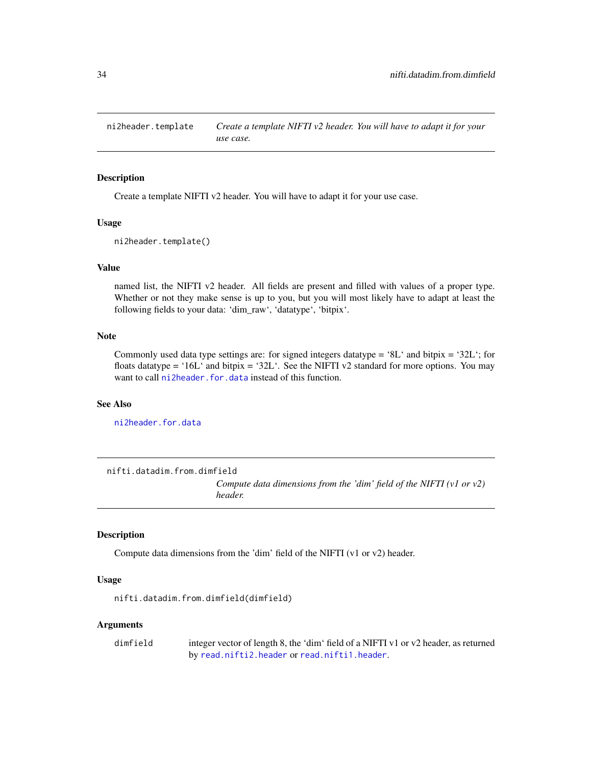<span id="page-33-1"></span><span id="page-33-0"></span>ni2header.template *Create a template NIFTI v2 header. You will have to adapt it for your use case.*

## Description

Create a template NIFTI v2 header. You will have to adapt it for your use case.

#### Usage

ni2header.template()

#### Value

named list, the NIFTI v2 header. All fields are present and filled with values of a proper type. Whether or not they make sense is up to you, but you will most likely have to adapt at least the following fields to your data: 'dim\_raw', 'datatype', 'bitpix'.

# Note

Commonly used data type settings are: for signed integers datatype = '8L' and bitpix = '32L'; for floats datatype = '16L' and bitpix = '32L'. See the NIFTI v2 standard for more options. You may want to call [ni2header.for.data](#page-32-1) instead of this function.

## See Also

[ni2header.for.data](#page-32-1)

<span id="page-33-2"></span>nifti.datadim.from.dimfield

*Compute data dimensions from the 'dim' field of the NIFTI (v1 or v2) header.*

## Description

Compute data dimensions from the 'dim' field of the NIFTI (v1 or v2) header.

# Usage

nifti.datadim.from.dimfield(dimfield)

#### Arguments

dimfield integer vector of length 8, the 'dim' field of a NIFTI v1 or v2 header, as returned by [read.nifti2.header](#page-80-1) or [read.nifti1.header](#page-79-1).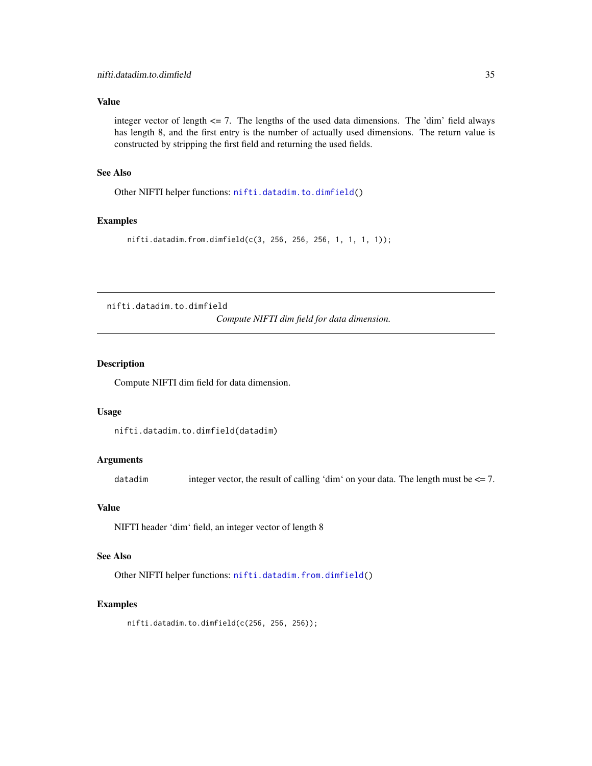## <span id="page-34-0"></span>Value

integer vector of length  $\leq$  7. The lengths of the used data dimensions. The 'dim' field always has length 8, and the first entry is the number of actually used dimensions. The return value is constructed by stripping the first field and returning the used fields.

## See Also

Other NIFTI helper functions: [nifti.datadim.to.dimfield\(](#page-34-1))

## Examples

nifti.datadim.from.dimfield(c(3, 256, 256, 256, 1, 1, 1, 1));

<span id="page-34-1"></span>nifti.datadim.to.dimfield

*Compute NIFTI dim field for data dimension.*

## Description

Compute NIFTI dim field for data dimension.

## Usage

nifti.datadim.to.dimfield(datadim)

## **Arguments**

datadim integer vector, the result of calling 'dim' on your data. The length must be <= 7.

#### Value

NIFTI header 'dim' field, an integer vector of length 8

# See Also

Other NIFTI helper functions: [nifti.datadim.from.dimfield\(](#page-33-2))

## Examples

nifti.datadim.to.dimfield(c(256, 256, 256));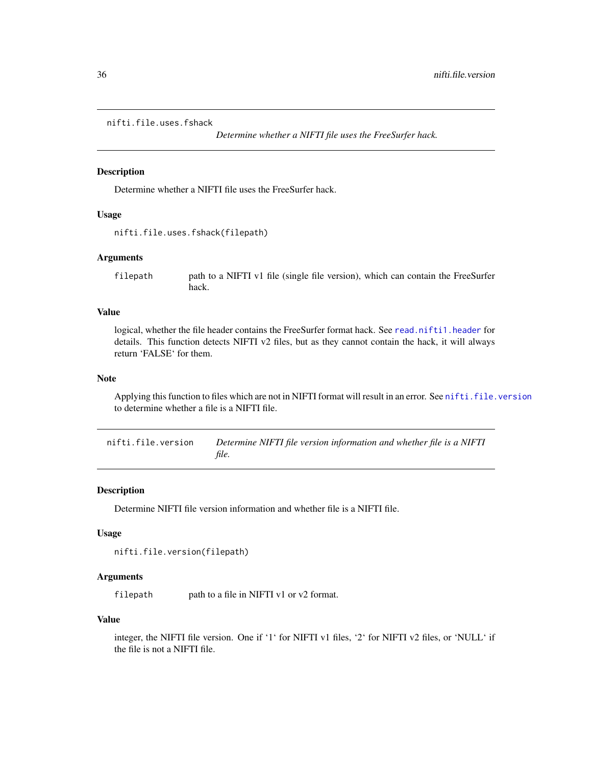## <span id="page-35-0"></span>nifti.file.uses.fshack

*Determine whether a NIFTI file uses the FreeSurfer hack.*

## Description

Determine whether a NIFTI file uses the FreeSurfer hack.

#### Usage

```
nifti.file.uses.fshack(filepath)
```
## Arguments

filepath path to a NIFTI v1 file (single file version), which can contain the FreeSurfer hack.

# Value

logical, whether the file header contains the FreeSurfer format hack. See [read.nifti1.header](#page-79-1) for details. This function detects NIFTI v2 files, but as they cannot contain the hack, it will always return 'FALSE' for them.

## Note

Applying this function to files which are not in NIFTI format will result in an error. See [nifti.file.version](#page-35-1) to determine whether a file is a NIFTI file.

<span id="page-35-1"></span>nifti.file.version *Determine NIFTI file version information and whether file is a NIFTI file.*

## Description

Determine NIFTI file version information and whether file is a NIFTI file.

#### Usage

```
nifti.file.version(filepath)
```
#### Arguments

filepath path to a file in NIFTI v1 or v2 format.

## Value

integer, the NIFTI file version. One if '1' for NIFTI v1 files, '2' for NIFTI v2 files, or 'NULL' if the file is not a NIFTI file.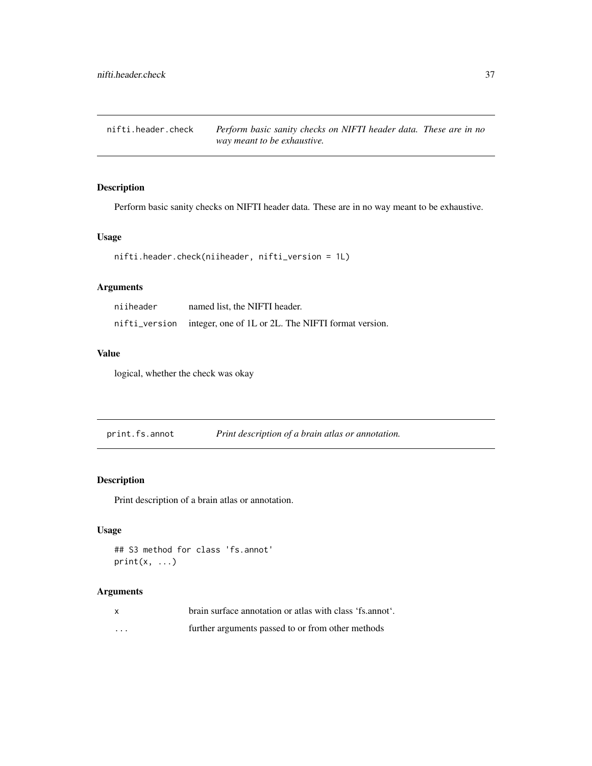nifti.header.check *Perform basic sanity checks on NIFTI header data. These are in no way meant to be exhaustive.*

## Description

Perform basic sanity checks on NIFTI header data. These are in no way meant to be exhaustive.

## Usage

```
nifti.header.check(niiheader, nifti_version = 1L)
```
# Arguments

| niiheader | named list, the NIFTI header.                                     |
|-----------|-------------------------------------------------------------------|
|           | nifti_version integer, one of 1L or 2L. The NIFTI format version. |

# Value

logical, whether the check was okay

print.fs.annot *Print description of a brain atlas or annotation.*

## Description

Print description of a brain atlas or annotation.

# Usage

```
## S3 method for class 'fs.annot'
print(x, \ldots)
```

| $\mathbf{x}$ | brain surface annotation or atlas with class 'fs.annot'. |
|--------------|----------------------------------------------------------|
| .            | further arguments passed to or from other methods        |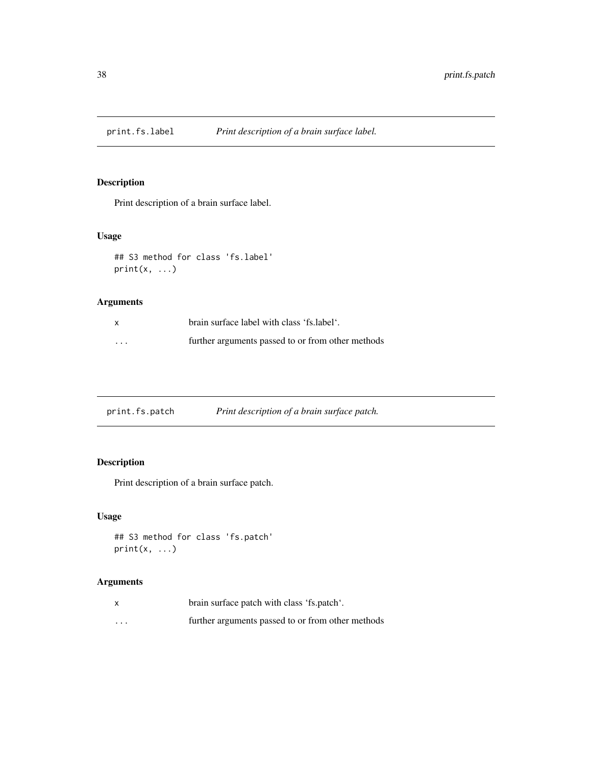# Description

Print description of a brain surface label.

# Usage

```
## S3 method for class 'fs.label'
print(x, \ldots)
```
## Arguments

|          | brain surface label with class 'fs.label'.        |
|----------|---------------------------------------------------|
| $\cdots$ | further arguments passed to or from other methods |

| print.fs.patch | Print description of a brain surface patch. |
|----------------|---------------------------------------------|
|                |                                             |

# Description

Print description of a brain surface patch.

# Usage

```
## S3 method for class 'fs.patch'
print(x, \ldots)
```

| x        | brain surface patch with class 'fs.patch'.        |
|----------|---------------------------------------------------|
| $\cdots$ | further arguments passed to or from other methods |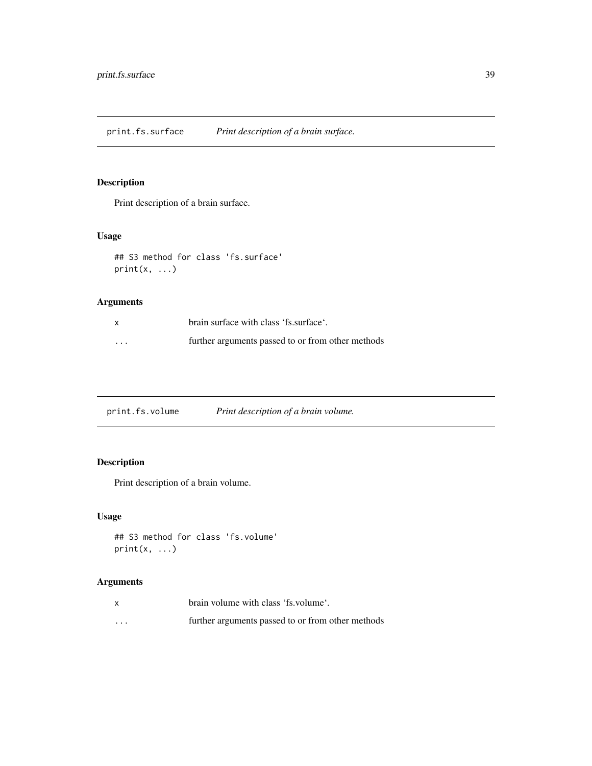print.fs.surface *Print description of a brain surface.*

# Description

Print description of a brain surface.

# Usage

```
## S3 method for class 'fs.surface'
print(x, \ldots)
```
## Arguments

|          | brain surface with class 'fs.surface'.            |
|----------|---------------------------------------------------|
| $\cdots$ | further arguments passed to or from other methods |

print.fs.volume *Print description of a brain volume.*

# Description

Print description of a brain volume.

# Usage

```
## S3 method for class 'fs.volume'
print(x, \ldots)
```

|         | brain volume with class 'fs. volume'.             |
|---------|---------------------------------------------------|
| $\cdot$ | further arguments passed to or from other methods |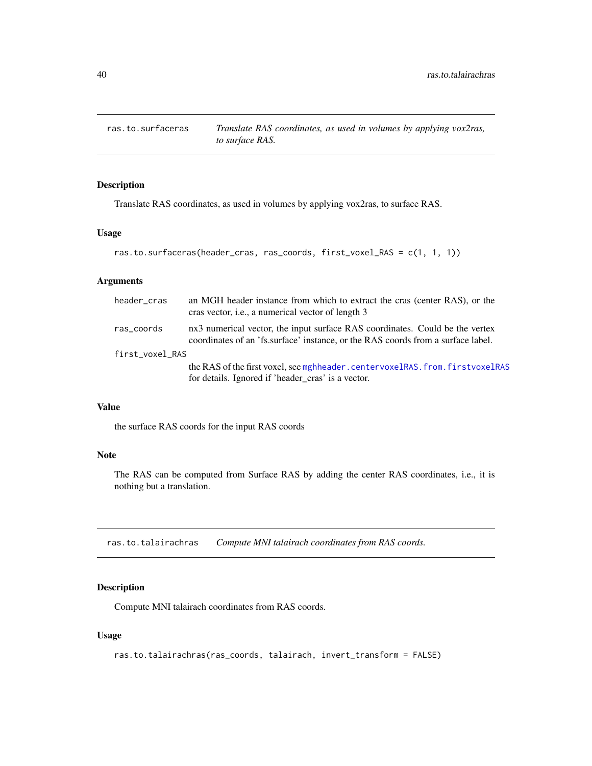# Description

Translate RAS coordinates, as used in volumes by applying vox2ras, to surface RAS.

## Usage

```
ras.to.surfaceras(header_cras, ras_coords, first_voxel_RAS = c(1, 1, 1))
```
## Arguments

| header cras     | an MGH header instance from which to extract the cras (center RAS), or the<br>cras vector, <i>i.e.</i> , a numerical vector of length 3                          |
|-----------------|------------------------------------------------------------------------------------------------------------------------------------------------------------------|
| ras_coords      | nx3 numerical vector, the input surface RAS coordinates. Could be the vertex<br>coordinates of an 'fs.surface' instance, or the RAS coords from a surface label. |
| first_voxel_RAS |                                                                                                                                                                  |
|                 | the RAS of the first voxel, see mghheader.centervoxelRAS.from.firstvoxelRAS<br>for details. Ignored if 'header_cras' is a vector.                                |

## Value

the surface RAS coords for the input RAS coords

## Note

The RAS can be computed from Surface RAS by adding the center RAS coordinates, i.e., it is nothing but a translation.

ras.to.talairachras *Compute MNI talairach coordinates from RAS coords.*

## Description

Compute MNI talairach coordinates from RAS coords.

### Usage

```
ras.to.talairachras(ras_coords, talairach, invert_transform = FALSE)
```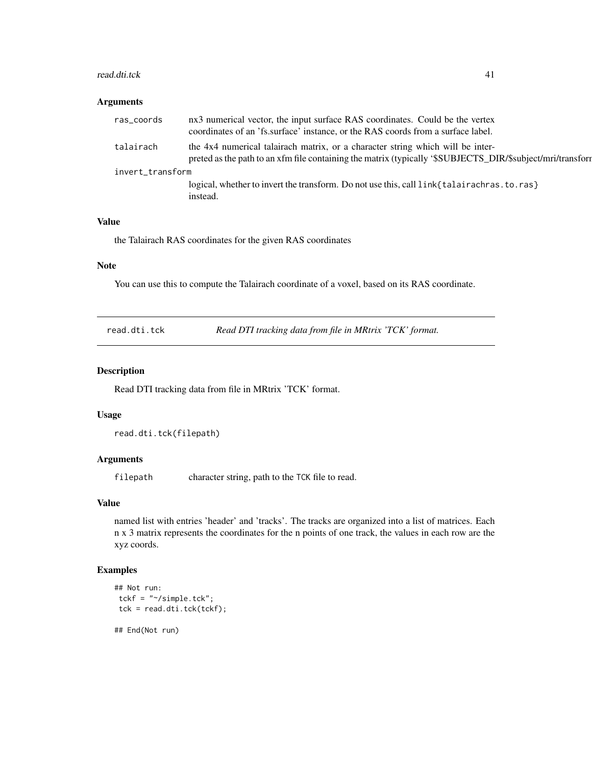#### read.dti.tck 41

## Arguments

| ras_coords       | nx3 numerical vector, the input surface RAS coordinates. Could be the vertex                                                                                                                 |  |
|------------------|----------------------------------------------------------------------------------------------------------------------------------------------------------------------------------------------|--|
|                  | coordinates of an 'fs.surface' instance, or the RAS coords from a surface label.                                                                                                             |  |
| talairach        | the 4x4 numerical talairach matrix, or a character string which will be inter-<br>preted as the path to an xfm file containing the matrix (typically '\$SUBJECTS_DIR/\$subject/mri/transform |  |
| invert_transform |                                                                                                                                                                                              |  |
|                  | logical, whether to invert the transform. Do not use this, call link{talairachras. to. ras}                                                                                                  |  |
|                  | instead.                                                                                                                                                                                     |  |

#### Value

the Talairach RAS coordinates for the given RAS coordinates

## Note

You can use this to compute the Talairach coordinate of a voxel, based on its RAS coordinate.

read.dti.tck *Read DTI tracking data from file in MRtrix 'TCK' format.*

## Description

Read DTI tracking data from file in MRtrix 'TCK' format.

## Usage

```
read.dti.tck(filepath)
```
## Arguments

filepath character string, path to the TCK file to read.

#### Value

named list with entries 'header' and 'tracks'. The tracks are organized into a list of matrices. Each n x 3 matrix represents the coordinates for the n points of one track, the values in each row are the xyz coords.

## Examples

```
## Not run:
tckf = "~/simple.tck";
tck = read.dti.tck(tckf);
```
## End(Not run)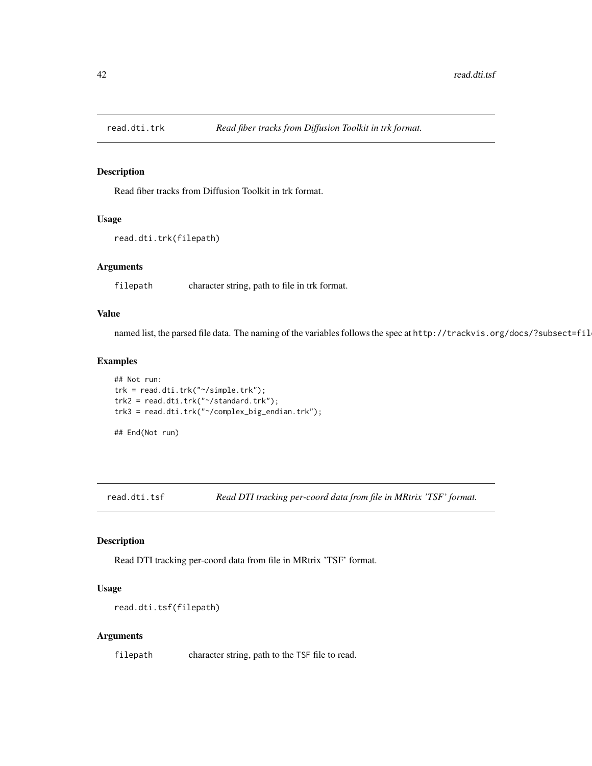## Description

Read fiber tracks from Diffusion Toolkit in trk format.

### Usage

```
read.dti.trk(filepath)
```
## Arguments

filepath character string, path to file in trk format.

## Value

named list, the parsed file data. The naming of the variables follows the spec at http://trackvis.org/docs/?subsect=fil

## Examples

```
## Not run:
trk = read.dti.trk("~/simple.trk");
trk2 = read.dti.trk("~/standard.trk");
trk3 = read.dti.trk("~/complex_big_endian.trk");
```
## End(Not run)

read.dti.tsf *Read DTI tracking per-coord data from file in MRtrix 'TSF' format.*

#### Description

Read DTI tracking per-coord data from file in MRtrix 'TSF' format.

### Usage

```
read.dti.tsf(filepath)
```
#### Arguments

filepath character string, path to the TSF file to read.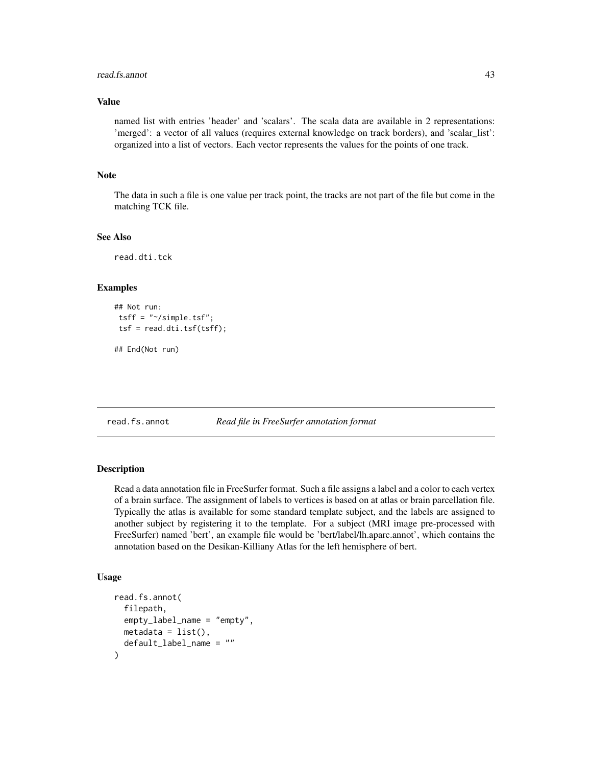#### read.fs.annot 43

## Value

named list with entries 'header' and 'scalars'. The scala data are available in 2 representations: 'merged': a vector of all values (requires external knowledge on track borders), and 'scalar\_list': organized into a list of vectors. Each vector represents the values for the points of one track.

### Note

The data in such a file is one value per track point, the tracks are not part of the file but come in the matching TCK file.

### See Also

read.dti.tck

#### Examples

```
## Not run:
tsff = "~/simple.tsf";
tsf = read.dti.tsf(tsff);
```
## End(Not run)

<span id="page-42-0"></span>read.fs.annot *Read file in FreeSurfer annotation format*

### Description

Read a data annotation file in FreeSurfer format. Such a file assigns a label and a color to each vertex of a brain surface. The assignment of labels to vertices is based on at atlas or brain parcellation file. Typically the atlas is available for some standard template subject, and the labels are assigned to another subject by registering it to the template. For a subject (MRI image pre-processed with FreeSurfer) named 'bert', an example file would be 'bert/label/lh.aparc.annot', which contains the annotation based on the Desikan-Killiany Atlas for the left hemisphere of bert.

## Usage

```
read.fs.annot(
  filepath,
  empty_label_name = "empty",
 metadata = list(),default_label_name = ""
)
```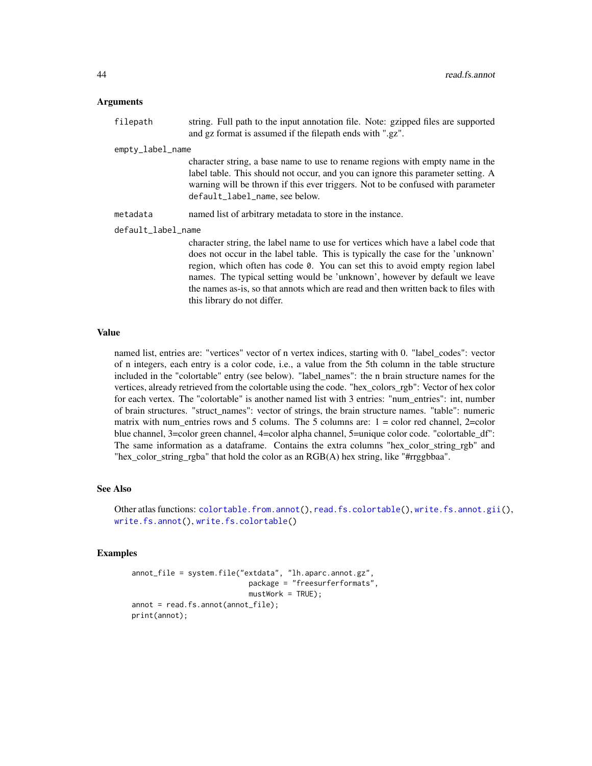| filepath         | string. Full path to the input annotation file. Note: gzipped files are supported<br>and gz format is assumed if the filepath ends with ".gz". |
|------------------|------------------------------------------------------------------------------------------------------------------------------------------------|
| empty_label_name |                                                                                                                                                |
|                  | character string, a base name to use to rename regions with empty name in the                                                                  |
|                  | label table. This should not occur, and you can ignore this parameter setting. A                                                               |

default\_label\_name, see below. metadata named list of arbitrary metadata to store in the instance.

default\_label\_name

character string, the label name to use for vertices which have a label code that does not occur in the label table. This is typically the case for the 'unknown' region, which often has code 0. You can set this to avoid empty region label names. The typical setting would be 'unknown', however by default we leave the names as-is, so that annots which are read and then written back to files with this library do not differ.

warning will be thrown if this ever triggers. Not to be confused with parameter

## Value

named list, entries are: "vertices" vector of n vertex indices, starting with 0. "label\_codes": vector of n integers, each entry is a color code, i.e., a value from the 5th column in the table structure included in the "colortable" entry (see below). "label\_names": the n brain structure names for the vertices, already retrieved from the colortable using the code. "hex\_colors\_rgb": Vector of hex color for each vertex. The "colortable" is another named list with 3 entries: "num\_entries": int, number of brain structures. "struct\_names": vector of strings, the brain structure names. "table": numeric matrix with num\_entries rows and 5 colums. The 5 columns are:  $1 =$  color red channel, 2=color blue channel, 3=color green channel, 4=color alpha channel, 5=unique color code. "colortable\_df": The same information as a dataframe. Contains the extra columns "hex\_color\_string\_rgb" and "hex\_color\_string\_rgba" that hold the color as an RGB(A) hex string, like "#rrggbbaa".

### See Also

Other atlas functions: [colortable.from.annot\(](#page-6-0)), [read.fs.colortable\(](#page-45-0)), [write.fs.annot.gii\(](#page-93-0)), [write.fs.annot\(](#page-91-0)), [write.fs.colortable\(](#page-94-0))

### Examples

```
annot_file = system.file("extdata", "lh.aparc.annot.gz",
                           package = "freesurferformats",
                           mustWork = TRUE);
annot = read.fs.annot(annot_file);
print(annot);
```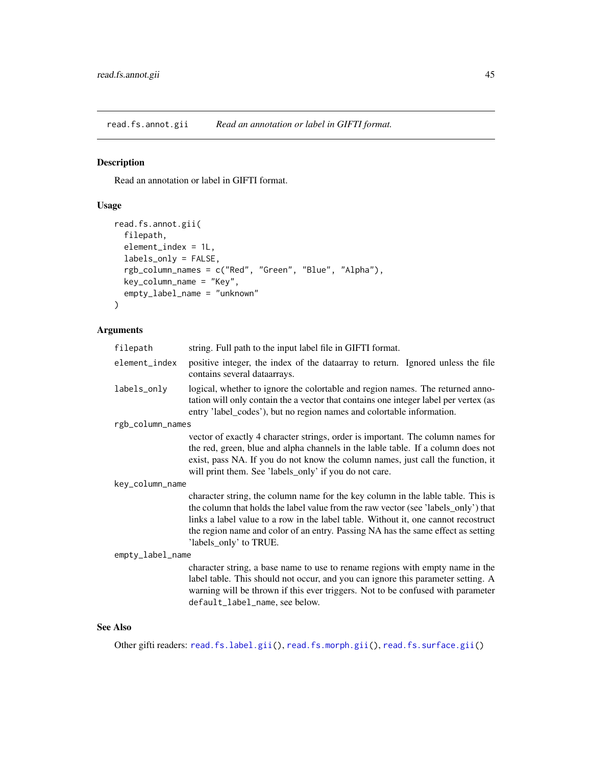<span id="page-44-0"></span>read.fs.annot.gii *Read an annotation or label in GIFTI format.*

## Description

Read an annotation or label in GIFTI format.

## Usage

```
read.fs.annot.gii(
  filepath,
  element_index = 1L,
  labels_only = FALSE,
  rgb_column_names = c("Red", "Green", "Blue", "Alpha"),
 key_column_name = "Key",
 empty_label_name = "unknown"
\mathcal{L}
```
## Arguments

| filepath         | string. Full path to the input label file in GIFTI format.                                                                                                                                                                                                                                                                                                                 |  |
|------------------|----------------------------------------------------------------------------------------------------------------------------------------------------------------------------------------------------------------------------------------------------------------------------------------------------------------------------------------------------------------------------|--|
| element_index    | positive integer, the index of the data array to return. Ignored unless the file<br>contains several dataarrays.                                                                                                                                                                                                                                                           |  |
| labels_only      | logical, whether to ignore the colortable and region names. The returned anno-<br>tation will only contain the a vector that contains one integer label per vertex (as<br>entry 'label_codes'), but no region names and colortable information.                                                                                                                            |  |
| rgb_column_names |                                                                                                                                                                                                                                                                                                                                                                            |  |
|                  | vector of exactly 4 character strings, order is important. The column names for<br>the red, green, blue and alpha channels in the lable table. If a column does not<br>exist, pass NA. If you do not know the column names, just call the function, it<br>will print them. See 'labels_only' if you do not care.                                                           |  |
| key_column_name  |                                                                                                                                                                                                                                                                                                                                                                            |  |
|                  | character string, the column name for the key column in the lable table. This is<br>the column that holds the label value from the raw vector (see 'labels_only') that<br>links a label value to a row in the label table. Without it, one cannot recostruct<br>the region name and color of an entry. Passing NA has the same effect as setting<br>'labels_only' to TRUE. |  |
| empty_label_name |                                                                                                                                                                                                                                                                                                                                                                            |  |
|                  | character string, a base name to use to rename regions with empty name in the<br>label table. This should not occur, and you can ignore this parameter setting. A<br>warning will be thrown if this ever triggers. Not to be confused with parameter<br>default_label_name, see below.                                                                                     |  |

## See Also

Other gifti readers: [read.fs.label.gii\(](#page-48-0)), [read.fs.morph.gii\(](#page-55-0)), [read.fs.surface.gii\(](#page-63-0))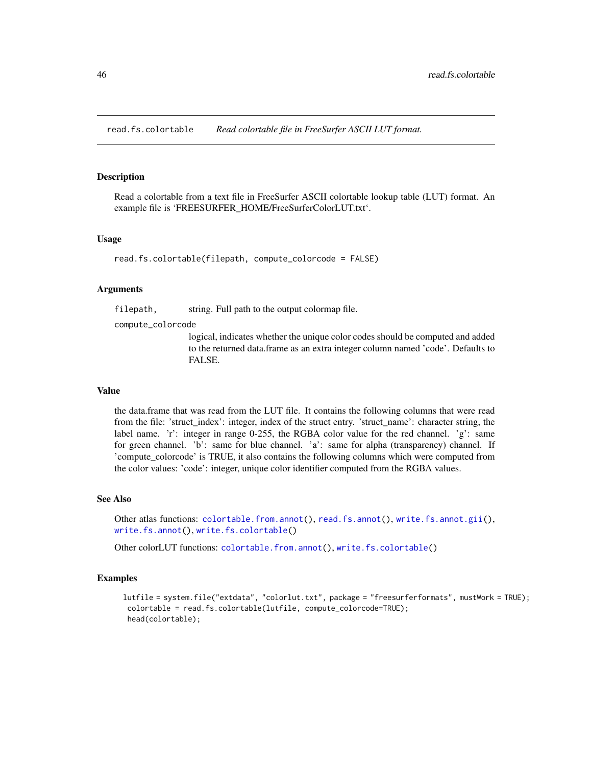<span id="page-45-0"></span>read.fs.colortable *Read colortable file in FreeSurfer ASCII LUT format.*

#### **Description**

Read a colortable from a text file in FreeSurfer ASCII colortable lookup table (LUT) format. An example file is 'FREESURFER\_HOME/FreeSurferColorLUT.txt'.

#### Usage

```
read.fs.colortable(filepath, compute_colorcode = FALSE)
```
#### Arguments

filepath, string. Full path to the output colormap file.

compute\_colorcode

logical, indicates whether the unique color codes should be computed and added to the returned data.frame as an extra integer column named 'code'. Defaults to FALSE.

#### Value

the data.frame that was read from the LUT file. It contains the following columns that were read from the file: 'struct\_index': integer, index of the struct entry. 'struct\_name': character string, the label name. 'r': integer in range 0-255, the RGBA color value for the red channel. 'g': same for green channel. 'b': same for blue channel. 'a': same for alpha (transparency) channel. If 'compute\_colorcode' is TRUE, it also contains the following columns which were computed from the color values: 'code': integer, unique color identifier computed from the RGBA values.

#### See Also

Other atlas functions: [colortable.from.annot\(](#page-6-0)), [read.fs.annot\(](#page-42-0)), [write.fs.annot.gii\(](#page-93-0)), [write.fs.annot\(](#page-91-0)), [write.fs.colortable\(](#page-94-0))

Other colorLUT functions: [colortable.from.annot\(](#page-6-0)), [write.fs.colortable\(](#page-94-0))

#### Examples

```
lutfile = system.file("extdata", "colorlut.txt", package = "freesurferformats", mustWork = TRUE);
 colortable = read.fs.colortable(lutfile, compute_colorcode=TRUE);
 head(colortable);
```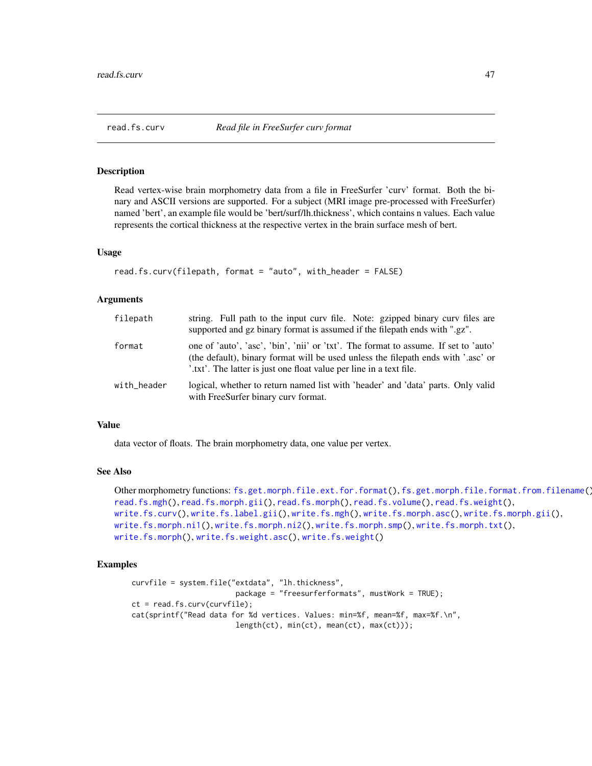<span id="page-46-0"></span>

## **Description**

Read vertex-wise brain morphometry data from a file in FreeSurfer 'curv' format. Both the binary and ASCII versions are supported. For a subject (MRI image pre-processed with FreeSurfer) named 'bert', an example file would be 'bert/surf/lh.thickness', which contains n values. Each value represents the cortical thickness at the respective vertex in the brain surface mesh of bert.

### Usage

```
read.fs.curv(filepath, format = "auto", with_header = FALSE)
```
### Arguments

| filepath    | string. Full path to the input curv file. Note: gzipped binary curv files are<br>supported and gz binary format is assumed if the filepath ends with ".gz".                                                                                     |
|-------------|-------------------------------------------------------------------------------------------------------------------------------------------------------------------------------------------------------------------------------------------------|
| format      | one of 'auto', 'asc', 'bin', 'nii' or 'txt'. The format to assume. If set to 'auto'<br>(the default), binary format will be used unless the filepath ends with '.asc' or<br>'.txt'. The latter is just one float value per line in a text file. |
| with_header | logical, whether to return named list with 'header' and 'data' parts. Only valid<br>with FreeSurfer binary curv format.                                                                                                                         |

## Value

data vector of floats. The brain morphometry data, one value per vertex.

#### See Also

```
Other morphometry functions: fs.get.morph.file.ext.for.format(), fs.get.morph.file.format.from.filename(),
read.fs.mgh(), read.fs.morph.gii(), read.fs.morph(), read.fs.volume(), read.fs.weight(),
write.fs.curv(), write.fs.label.gii(), write.fs.mgh(), write.fs.morph.asc(), write.fs.morph.gii(),
write.fs.morph.ni1(), write.fs.morph.ni2(), write.fs.morph.smp(), write.fs.morph.txt(),
write.fs.morph(), write.fs.weight.asc(), write.fs.weight()
```
## Examples

```
curvfile = system.file("extdata", "lh.thickness",
                       package = "freesurferformats", mustWork = TRUE);
ct = read.fs.curv(curvfile);
cat(sprintf("Read data for %d vertices. Values: min=%f, mean=%f, max=%f.\n",
                        length(ct), min(ct), mean(ct), max(ct)));
```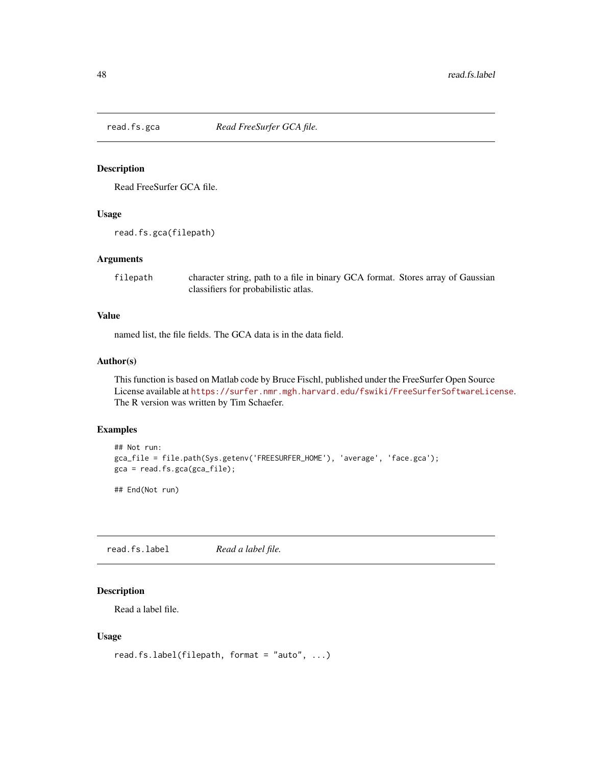## Description

Read FreeSurfer GCA file.

## Usage

read.fs.gca(filepath)

#### Arguments

filepath character string, path to a file in binary GCA format. Stores array of Gaussian classifiers for probabilistic atlas.

## Value

named list, the file fields. The GCA data is in the data field.

## Author(s)

This function is based on Matlab code by Bruce Fischl, published under the FreeSurfer Open Source License available at <https://surfer.nmr.mgh.harvard.edu/fswiki/FreeSurferSoftwareLicense>. The R version was written by Tim Schaefer.

## Examples

```
## Not run:
gca_file = file.path(Sys.getenv('FREESURFER_HOME'), 'average', 'face.gca');
gca = read.fs.gca(gca_file);
```
## End(Not run)

<span id="page-47-0"></span>read.fs.label *Read a label file.*

## Description

Read a label file.

## Usage

```
read.fs.label(filepath, format = "auto", ...)
```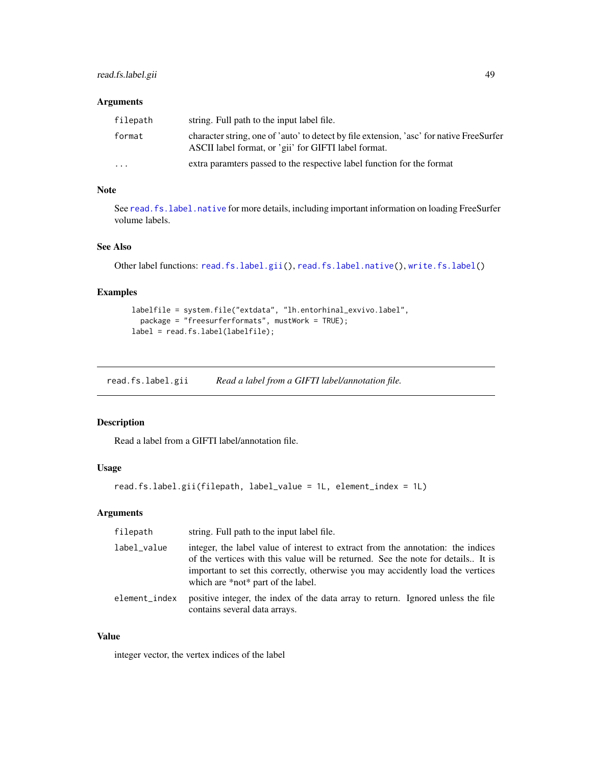| filepath  | string. Full path to the input label file.                                                                                                       |
|-----------|--------------------------------------------------------------------------------------------------------------------------------------------------|
| format    | character string, one of 'auto' to detect by file extension, 'asc' for native FreeSurfer<br>ASCII label format, or 'gii' for GIFTI label format. |
| $\ddotsc$ | extra paramters passed to the respective label function for the format                                                                           |

# Note

See read. fs. label.native for more details, including important information on loading FreeSurfer volume labels.

## See Also

```
Other label functions: read.fs.label.gii(), read.fs.label.native(), write.fs.label()
```
## Examples

```
labelfile = system.file("extdata", "lh.entorhinal_exvivo.label",
  package = "freesurferformats", mustWork = TRUE);
label = read.fs.label(labelfile);
```
<span id="page-48-0"></span>read.fs.label.gii *Read a label from a GIFTI label/annotation file.*

## Description

Read a label from a GIFTI label/annotation file.

## Usage

```
read.fs.label.gii(filepath, label_value = 1L, element_index = 1L)
```
## Arguments

| filepath      | string. Full path to the input label file.                                                                                                                                                                                                                                                    |
|---------------|-----------------------------------------------------------------------------------------------------------------------------------------------------------------------------------------------------------------------------------------------------------------------------------------------|
| label_value   | integer, the label value of interest to extract from the annotation: the indices<br>of the vertices with this value will be returned. See the note for details It is<br>important to set this correctly, otherwise you may accidently load the vertices<br>which are *not* part of the label. |
| element index | positive integer, the index of the data array to return. Ignored unless the file<br>contains several data arrays.                                                                                                                                                                             |

## Value

integer vector, the vertex indices of the label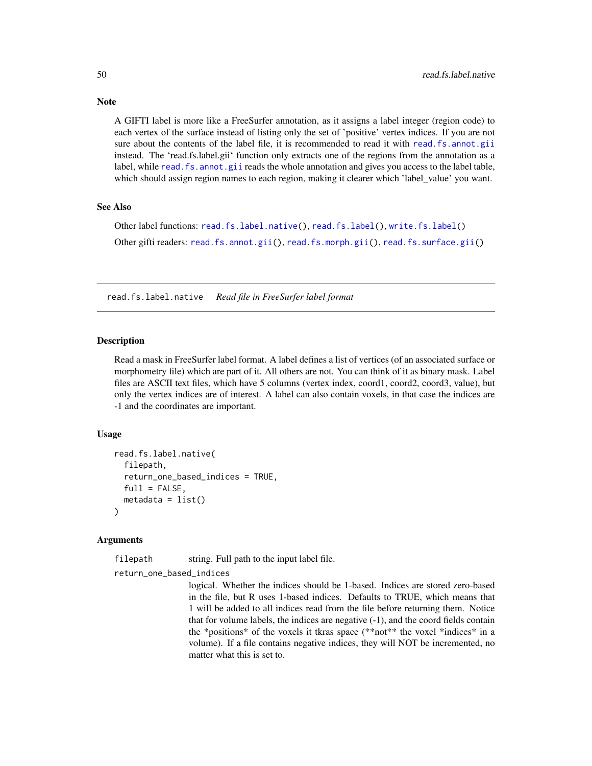A GIFTI label is more like a FreeSurfer annotation, as it assigns a label integer (region code) to each vertex of the surface instead of listing only the set of 'positive' vertex indices. If you are not sure about the contents of the label file, it is recommended to read it with [read.fs.annot.gii](#page-44-0) instead. The 'read.fs.label.gii' function only extracts one of the regions from the annotation as a label, while [read.fs.annot.gii](#page-44-0) reads the whole annotation and gives you access to the label table, which should assign region names to each region, making it clearer which 'label value' you want.

#### See Also

```
Other label functions: read.fs.label.native(), read.fs.label(), write.fs.label()
Other gifti readers: read.fs.annot.gii(), read.fs.morph.gii(), read.fs.surface.gii()
```
<span id="page-49-0"></span>read.fs.label.native *Read file in FreeSurfer label format*

## Description

Read a mask in FreeSurfer label format. A label defines a list of vertices (of an associated surface or morphometry file) which are part of it. All others are not. You can think of it as binary mask. Label files are ASCII text files, which have 5 columns (vertex index, coord1, coord2, coord3, value), but only the vertex indices are of interest. A label can also contain voxels, in that case the indices are -1 and the coordinates are important.

### Usage

```
read.fs.label.native(
  filepath,
  return_one_based_indices = TRUE,
  full = FALSE,metadata = list())
```
### **Arguments**

filepath string. Full path to the input label file.

return\_one\_based\_indices

logical. Whether the indices should be 1-based. Indices are stored zero-based in the file, but R uses 1-based indices. Defaults to TRUE, which means that 1 will be added to all indices read from the file before returning them. Notice that for volume labels, the indices are negative (-1), and the coord fields contain the \*positions\* of the voxels it tkras space (\*\*not\*\* the voxel \*indices\* in a volume). If a file contains negative indices, they will NOT be incremented, no matter what this is set to.

## **Note**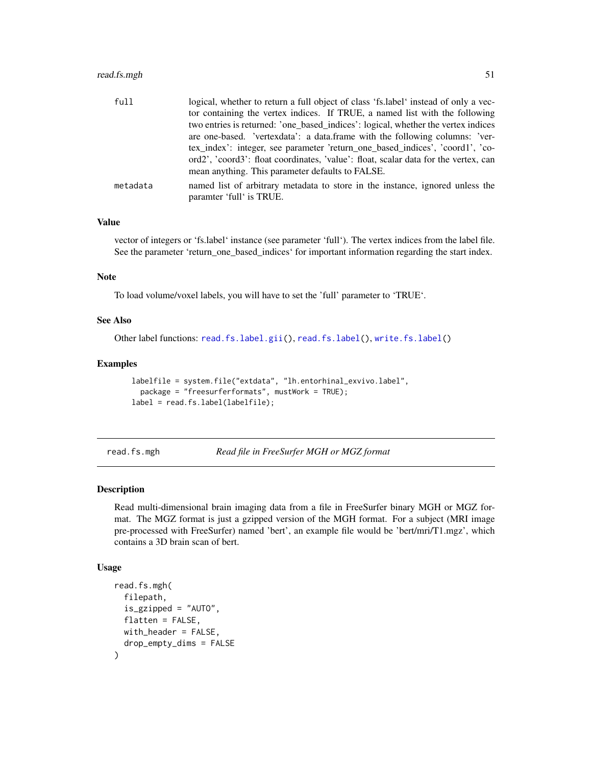## read.fs.mgh 51

| full     | logical, whether to return a full object of class 'fs.label' instead of only a vec-                       |
|----------|-----------------------------------------------------------------------------------------------------------|
|          | tor containing the vertex indices. If TRUE, a named list with the following                               |
|          | two entries is returned: 'one_based_indices': logical, whether the vertex indices                         |
|          | are one-based. 'vertexdata': a data.frame with the following columns: 'ver-                               |
|          | tex_index': integer, see parameter 'return_one_based_indices', 'coord1', 'co-                             |
|          | ord2', 'coord3': float coordinates, 'value': float, scalar data for the vertex, can                       |
|          | mean anything. This parameter defaults to FALSE.                                                          |
| metadata | named list of arbitrary metadata to store in the instance, ignored unless the<br>paramter 'full' is TRUE. |

## Value

vector of integers or 'fs.label' instance (see parameter 'full'). The vertex indices from the label file. See the parameter 'return\_one\_based\_indices' for important information regarding the start index.

## Note

To load volume/voxel labels, you will have to set the 'full' parameter to 'TRUE'.

## See Also

Other label functions: [read.fs.label.gii\(](#page-48-0)), [read.fs.label\(](#page-47-0)), [write.fs.label\(](#page-95-1))

#### Examples

```
labelfile = system.file("extdata", "lh.entorhinal_exvivo.label",
  package = "freesurferformats", mustWork = TRUE);
label = read.fs.label(labelfile);
```
<span id="page-50-0"></span>read.fs.mgh *Read file in FreeSurfer MGH or MGZ format*

### Description

Read multi-dimensional brain imaging data from a file in FreeSurfer binary MGH or MGZ format. The MGZ format is just a gzipped version of the MGH format. For a subject (MRI image pre-processed with FreeSurfer) named 'bert', an example file would be 'bert/mri/T1.mgz', which contains a 3D brain scan of bert.

## Usage

```
read.fs.mgh(
  filepath,
  is_gzipped = "AUTO",
  flatten = FALSE,
 with_header = FALSE,
  drop_empty_dims = FALSE
)
```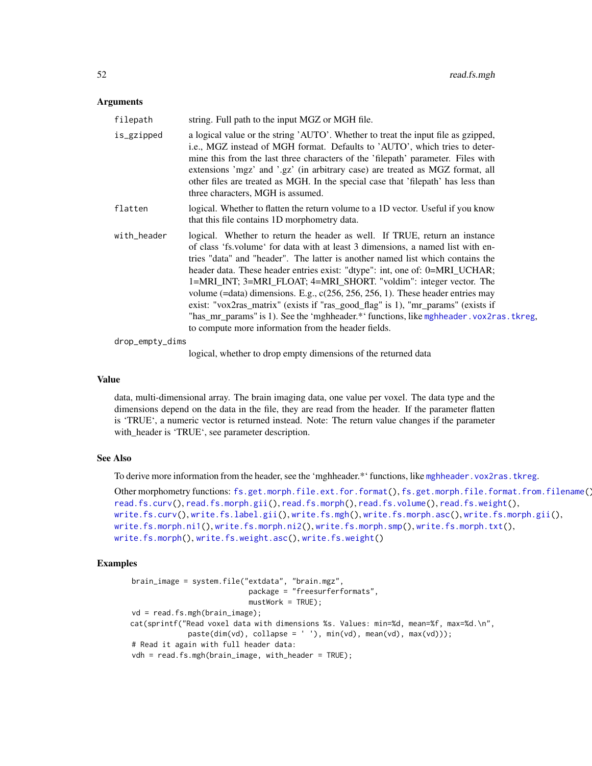| filepath    | string. Full path to the input MGZ or MGH file.                                                                                                                                                                                                                                                                                                                                                                                                                                                                                                                                                                                                                                                                                  |
|-------------|----------------------------------------------------------------------------------------------------------------------------------------------------------------------------------------------------------------------------------------------------------------------------------------------------------------------------------------------------------------------------------------------------------------------------------------------------------------------------------------------------------------------------------------------------------------------------------------------------------------------------------------------------------------------------------------------------------------------------------|
| is_gzipped  | a logical value or the string 'AUTO'. Whether to treat the input file as gzipped,<br>i.e., MGZ instead of MGH format. Defaults to 'AUTO', which tries to deter-<br>mine this from the last three characters of the 'filepath' parameter. Files with<br>extensions 'mgz' and '.gz' (in arbitrary case) are treated as MGZ format, all<br>other files are treated as MGH. In the special case that 'filepath' has less than<br>three characters, MGH is assumed.                                                                                                                                                                                                                                                                   |
| flatten     | logical. Whether to flatten the return volume to a 1D vector. Useful if you know<br>that this file contains 1D morphometry data.                                                                                                                                                                                                                                                                                                                                                                                                                                                                                                                                                                                                 |
| with_header | logical. Whether to return the header as well. If TRUE, return an instance<br>of class 'fs. volume' for data with at least 3 dimensions, a named list with en-<br>tries "data" and "header". The latter is another named list which contains the<br>header data. These header entries exist: "dtype": int, one of: 0=MRI_UCHAR;<br>1=MRI_INT; 3=MRI_FLOAT; 4=MRI_SHORT. "voldim": integer vector. The<br>volume (=data) dimensions. E.g., $c(256, 256, 256, 1)$ . These header entries may<br>exist: "vox2ras_matrix" (exists if "ras_good_flag" is 1), "mr_params" (exists if<br>"has_mr_params" is 1). See the 'mghheader.*' functions, like mghheader. vox2ras. tkreg,<br>to compute more information from the header fields. |

drop\_empty\_dims

logical, whether to drop empty dimensions of the returned data

## Value

data, multi-dimensional array. The brain imaging data, one value per voxel. The data type and the dimensions depend on the data in the file, they are read from the header. If the parameter flatten is 'TRUE', a numeric vector is returned instead. Note: The return value changes if the parameter with\_header is 'TRUE', see parameter description.

## See Also

To derive more information from the header, see the 'mghheader.\*' functions, like [mghheader.vox2ras.tkreg](#page-29-0).

```
Other morphometry functions: fs.get.morph.file.ext.for.format(), fs.get.morph.file.format.from.filename(),
read.fs.curv(), read.fs.morph.gii(), read.fs.morph(), read.fs.volume(), read.fs.weight(),
write.fs.curv(), write.fs.label.gii(), write.fs.mgh(), write.fs.morph.asc(), write.fs.morph.gii(),
write.fs.morph.ni1(), write.fs.morph.ni2(), write.fs.morph.smp(), write.fs.morph.txt(),
write.fs.morph(), write.fs.weight.asc(), write.fs.weight()
```
## Examples

```
brain_image = system.file("extdata", "brain.mgz",
                           package = "freesurferformats",
                           mustWork = TRUE);
vd = read.fs.mgh(brain_image);
cat(sprintf("Read voxel data with dimensions %s. Values: min=%d, mean=%f, max=%d.\n",
             pastedim(vd), collapse = ' '), min(vd), mean(vd), max(vd));
# Read it again with full header data:
vdh = read.fs.mgh(brain_image, with_header = TRUE);
```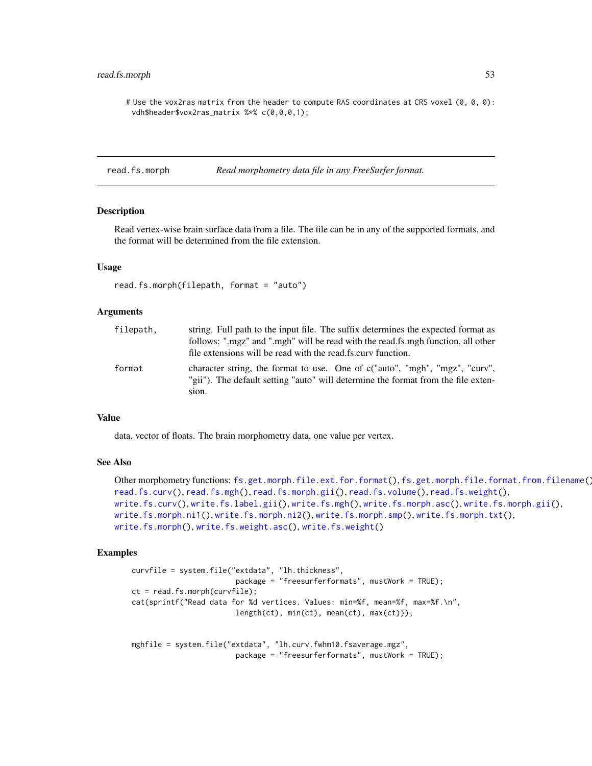## read.fs.morph 53

# Use the vox2ras matrix from the header to compute RAS coordinates at CRS voxel (0, 0, 0): vdh\$header\$vox2ras\_matrix %\*% c(0,0,0,1);

<span id="page-52-0"></span>read.fs.morph *Read morphometry data file in any FreeSurfer format.* 

### Description

Read vertex-wise brain surface data from a file. The file can be in any of the supported formats, and the format will be determined from the file extension.

### Usage

```
read.fs.morph(filepath, format = "auto")
```
## Arguments

| filepath, | string. Full path to the input file. The suffix determines the expected format as<br>follows: ".mgz" and ".mgh" will be read with the read.fs.mgh function, all other<br>file extensions will be read with the read fs.curv function. |
|-----------|---------------------------------------------------------------------------------------------------------------------------------------------------------------------------------------------------------------------------------------|
| format    | character string, the format to use. One of c("auto", "mgh", "mgz", "curv",<br>"gii"). The default setting "auto" will determine the format from the file exten-<br>sion.                                                             |

## Value

data, vector of floats. The brain morphometry data, one value per vertex.

#### See Also

```
Other morphometry functions: fs.get.morph.file.ext.for.format(), fs.get.morph.file.format.from.filename(),
read.fs.curv(), read.fs.mgh(), read.fs.morph.gii(), read.fs.volume(), read.fs.weight(),
write.fs.curv(), write.fs.label.gii(), write.fs.mgh(), write.fs.morph.asc(), write.fs.morph.gii(),
write.fs.morph.ni1(), write.fs.morph.ni2(), write.fs.morph.smp(), write.fs.morph.txt(),
write.fs.morph(), write.fs.weight.asc(), write.fs.weight()
```
#### Examples

```
curvfile = system.file("extdata", "lh.thickness",
                        package = "freesurferformats", mustWork = TRUE);
ct = read.fs.morph(curvfile);
cat(sprintf("Read data for %d vertices. Values: min=%f, mean=%f, max=%f.\n",
                        length(ct), min(ct), mean(ct), max(ct)));
```

```
mghfile = system.file("extdata", "lh.curv.fwhm10.fsaverage.mgz",
                        package = "freesurferformats", mustWork = TRUE);
```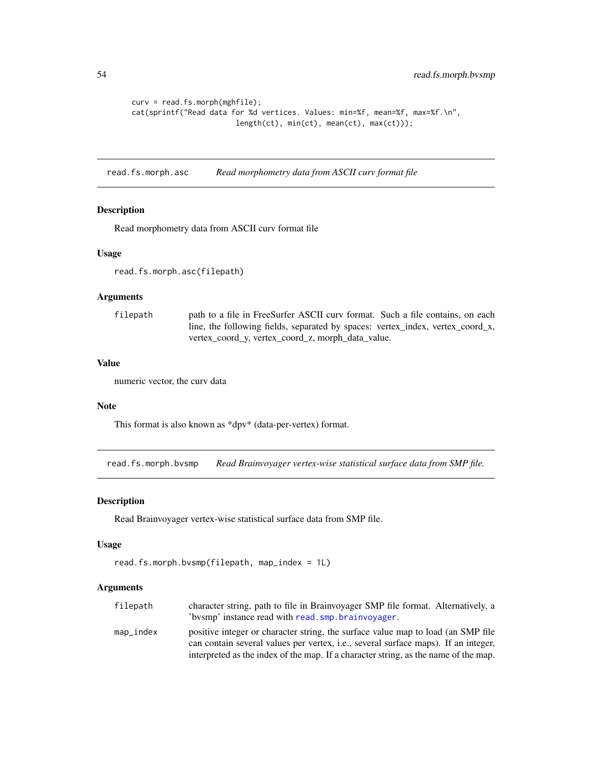```
curv = read.fs.morph(mghfile);
cat(sprintf("Read data for %d vertices. Values: min=%f, mean=%f, max=%f.\n",
                        length(ct), min(ct), mean(ct), max(ct)));
```
read.fs.morph.asc *Read morphometry data from ASCII curv format file*

## Description

Read morphometry data from ASCII curv format file

## Usage

read.fs.morph.asc(filepath)

### Arguments

| filepath | path to a file in FreeSurfer ASCII curv format. Such a file contains, on each  |
|----------|--------------------------------------------------------------------------------|
|          | line, the following fields, separated by spaces: vertex_index, vertex_coord_x, |
|          | vertex coord y, vertex coord z, morph data value.                              |

## Value

numeric vector, the curv data

## Note

This format is also known as \*dpv\* (data-per-vertex) format.

read.fs.morph.bvsmp *Read Brainvoyager vertex-wise statistical surface data from SMP file.*

## Description

Read Brainvoyager vertex-wise statistical surface data from SMP file.

#### Usage

```
read.fs.morph.bvsmp(filepath, map_index = 1L)
```

| filepath     | character string, path to file in Brainvoyager SMP file format. Alternatively, a    |
|--------------|-------------------------------------------------------------------------------------|
|              | 'bysmp' instance read with read.smp.brainvoyager.                                   |
| $map\_index$ | positive integer or character string, the surface value map to load (an SMP file    |
|              | can contain several values per vertex, i.e., several surface maps). If an integer,  |
|              | interpreted as the index of the map. If a character string, as the name of the map. |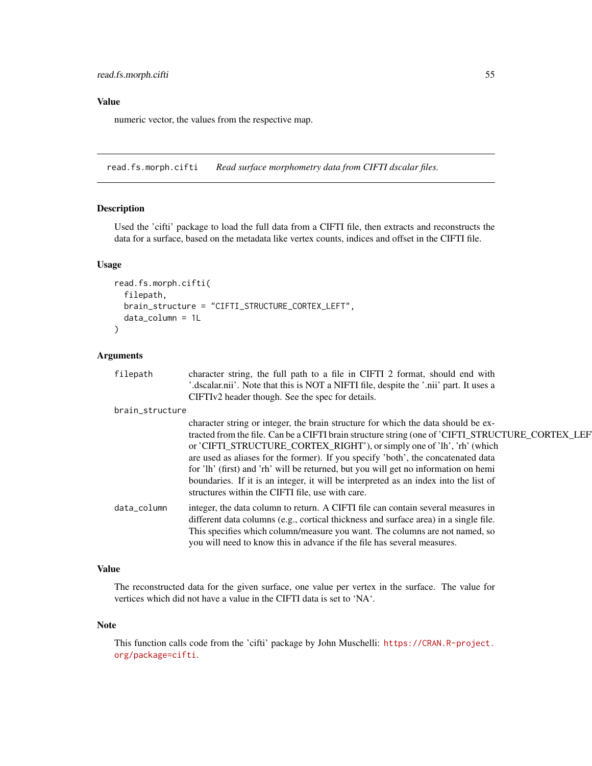# Value

numeric vector, the values from the respective map.

read.fs.morph.cifti *Read surface morphometry data from CIFTI dscalar files.*

## Description

Used the 'cifti' package to load the full data from a CIFTI file, then extracts and reconstructs the data for a surface, based on the metadata like vertex counts, indices and offset in the CIFTI file.

### Usage

```
read.fs.morph.cifti(
  filepath,
 brain_structure = "CIFTI_STRUCTURE_CORTEX_LEFT",
 data_column = 1L
\lambda
```
## Arguments

| filepath        | character string, the full path to a file in CIFTI 2 format, should end with<br>'.dscalar.nii'. Note that this is NOT a NIFTI file, despite the '.nii' part. It uses a<br>CIFTIv2 header though. See the spec for details.                                                                                                                                                                                                                                                                                                                                                              |
|-----------------|-----------------------------------------------------------------------------------------------------------------------------------------------------------------------------------------------------------------------------------------------------------------------------------------------------------------------------------------------------------------------------------------------------------------------------------------------------------------------------------------------------------------------------------------------------------------------------------------|
| brain_structure |                                                                                                                                                                                                                                                                                                                                                                                                                                                                                                                                                                                         |
|                 | character string or integer, the brain structure for which the data should be ex-<br>tracted from the file. Can be a CIFTI brain structure string (one of 'CIFTI_STRUCTURE_CORTEX_LEF<br>or 'CIFTI_STRUCTURE_CORTEX_RIGHT'), or simply one of 'lh', 'rh' (which<br>are used as aliases for the former). If you specify 'both', the concatenated data<br>for 'lh' (first) and 'rh' will be returned, but you will get no information on hemi<br>boundaries. If it is an integer, it will be interpreted as an index into the list of<br>structures within the CIFTI file, use with care. |
| data_column     | integer, the data column to return. A CIFTI file can contain several measures in<br>different data columns (e.g., cortical thickness and surface area) in a single file.<br>This specifies which column/measure you want. The columns are not named, so<br>you will need to know this in advance if the file has several measures.                                                                                                                                                                                                                                                      |

## Value

The reconstructed data for the given surface, one value per vertex in the surface. The value for vertices which did not have a value in the CIFTI data is set to 'NA'.

### Note

This function calls code from the 'cifti' package by John Muschelli: [https://CRAN.R-project.](https://CRAN.R-project.org/package=cifti) [org/package=cifti](https://CRAN.R-project.org/package=cifti).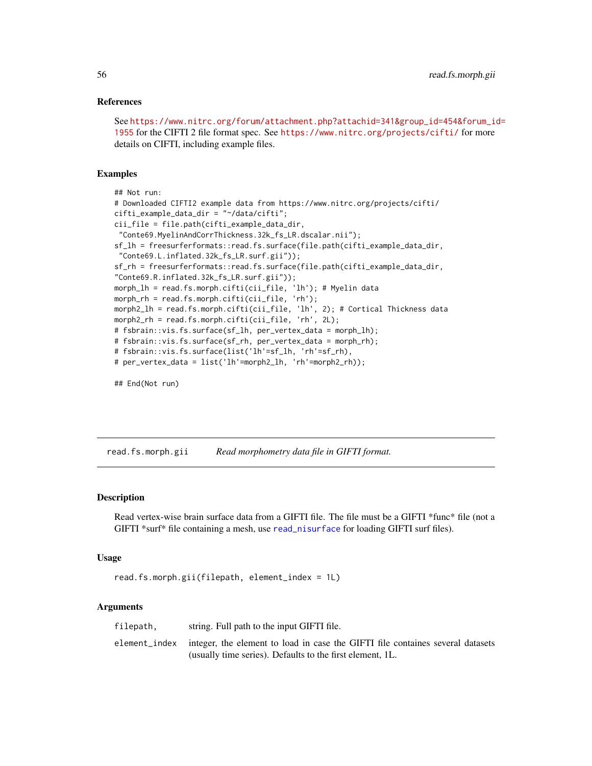## References

See [https://www.nitrc.org/forum/attachment.php?attachid=341&group\\_id=454&forum\\_i](https://www.nitrc.org/forum/attachment.php?attachid=341&group_id=454&forum_id=1955)d= [1955](https://www.nitrc.org/forum/attachment.php?attachid=341&group_id=454&forum_id=1955) for the CIFTI 2 file format spec. See <https://www.nitrc.org/projects/cifti/> for more details on CIFTI, including example files.

### Examples

```
## Not run:
# Downloaded CIFTI2 example data from https://www.nitrc.org/projects/cifti/
cifti_example_data_dir = "~/data/cifti";
cii_file = file.path(cifti_example_data_dir,
 "Conte69.MyelinAndCorrThickness.32k_fs_LR.dscalar.nii");
sf_lh = freesurferformats::read.fs.surface(file.path(cifti_example_data_dir,
 "Conte69.L.inflated.32k_fs_LR.surf.gii"));
sf_rh = freesurferformats::read.fs.surface(file.path(cifti_example_data_dir,
"Conte69.R.inflated.32k_fs_LR.surf.gii"));
morph_lh = read.fs.morph.cifti(cii_file, 'lh'); # Myelin data
morph_rh = read.fs.morph.cifti(cii_file, 'rh');
morph2_lh = read.fs.morph.cifti(cii_file, 'lh', 2); # Cortical Thickness data
morph2_rh = read.fs.morph.cifti(cii_file, 'rh', 2L);
# fsbrain::vis.fs.surface(sf_lh, per_vertex_data = morph_lh);
# fsbrain::vis.fs.surface(sf_rh, per_vertex_data = morph_rh);
# fsbrain::vis.fs.surface(list('lh'=sf_lh, 'rh'=sf_rh),
# per_vertex_data = list('lh'=morph2_lh, 'rh'=morph2_rh));
```
## End(Not run)

<span id="page-55-0"></span>read.fs.morph.gii *Read morphometry data file in GIFTI format.*

## **Description**

Read vertex-wise brain surface data from a GIFTI file. The file must be a GIFTI \*func\* file (not a GIFTI \*surf\* file containing a mesh, use [read\\_nisurface](#page-82-0) for loading GIFTI surf files).

#### Usage

```
read.fs.morph.gii(filepath, element_index = 1L)
```

| filepath. | string. Full path to the input GIFTI file.                                                   |
|-----------|----------------------------------------------------------------------------------------------|
|           | element_index integer, the element to load in case the GIFTI file containes several datasets |
|           | (usually time series). Defaults to the first element, 1L.                                    |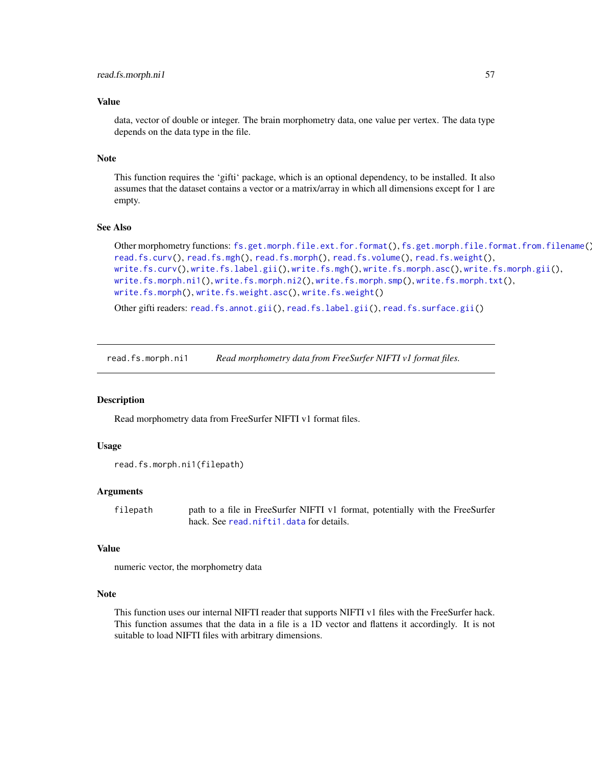## Value

data, vector of double or integer. The brain morphometry data, one value per vertex. The data type depends on the data type in the file.

## Note

This function requires the 'gifti' package, which is an optional dependency, to be installed. It also assumes that the dataset contains a vector or a matrix/array in which all dimensions except for 1 are empty.

### See Also

```
fs.get.morph.file.ext.for.format(fs.get.morph.file.format.from.filename()
read.fs.curv(), read.fs.mgh(), read.fs.morph(), read.fs.volume(), read.fs.weight(),
write.fs.curv(), write.fs.label.gii(), write.fs.mgh(), write.fs.morph.asc(), write.fs.morph.gii(),
write.fs.morph.ni1(), write.fs.morph.ni2(), write.fs.morph.smp(), write.fs.morph.txt(),
write.fs.morph(), write.fs.weight.asc(), write.fs.weight()
```
Other gifti readers: [read.fs.annot.gii\(](#page-44-0)), [read.fs.label.gii\(](#page-48-0)), [read.fs.surface.gii\(](#page-63-0))

read.fs.morph.ni1 *Read morphometry data from FreeSurfer NIFTI v1 format files.*

#### **Description**

Read morphometry data from FreeSurfer NIFTI v1 format files.

#### Usage

```
read.fs.morph.ni1(filepath)
```
#### Arguments

filepath path to a file in FreeSurfer NIFTI v1 format, potentially with the FreeSurfer hack. See [read.nifti1.data](#page-78-0) for details.

#### Value

numeric vector, the morphometry data

#### Note

This function uses our internal NIFTI reader that supports NIFTI v1 files with the FreeSurfer hack. This function assumes that the data in a file is a 1D vector and flattens it accordingly. It is not suitable to load NIFTI files with arbitrary dimensions.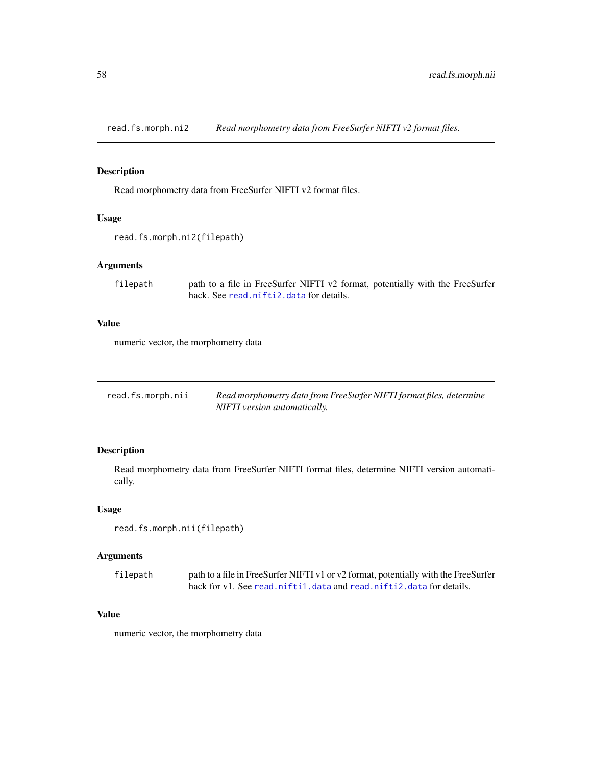read.fs.morph.ni2 *Read morphometry data from FreeSurfer NIFTI v2 format files.*

## Description

Read morphometry data from FreeSurfer NIFTI v2 format files.

## Usage

```
read.fs.morph.ni2(filepath)
```
## Arguments

```
filepath path to a file in FreeSurfer NIFTI v2 format, potentially with the FreeSurfer
                 hack. See read.nifti2.data for details.
```
## Value

numeric vector, the morphometry data

| read.fs.morph.nii | Read morphometry data from FreeSurfer NIFTI format files, determine |
|-------------------|---------------------------------------------------------------------|
|                   | NIFTI version automatically.                                        |

## Description

Read morphometry data from FreeSurfer NIFTI format files, determine NIFTI version automatically.

#### Usage

```
read.fs.morph.nii(filepath)
```
## Arguments

| filepath | path to a file in FreeSurfer NIFTI v1 or v2 format, potentially with the FreeSurfer |
|----------|-------------------------------------------------------------------------------------|
|          | hack for yl. See read.niftil.data and read.niftil.data for details.                 |

## Value

numeric vector, the morphometry data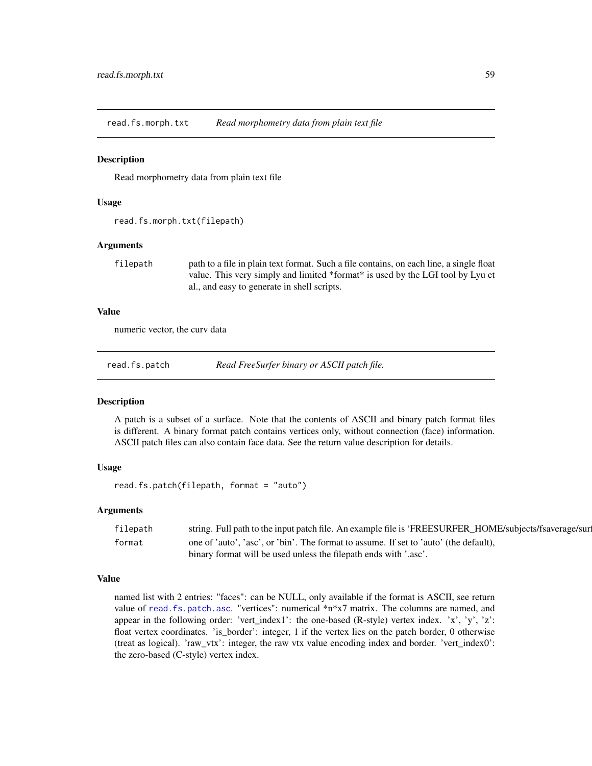read.fs.morph.txt *Read morphometry data from plain text file*

## **Description**

Read morphometry data from plain text file

### Usage

```
read.fs.morph.txt(filepath)
```
## Arguments

filepath path to a file in plain text format. Such a file contains, on each line, a single float value. This very simply and limited \*format\* is used by the LGI tool by Lyu et al., and easy to generate in shell scripts.

### Value

numeric vector, the curv data

<span id="page-58-0"></span>read.fs.patch *Read FreeSurfer binary or ASCII patch file.*

#### Description

A patch is a subset of a surface. Note that the contents of ASCII and binary patch format files is different. A binary format patch contains vertices only, without connection (face) information. ASCII patch files can also contain face data. See the return value description for details.

## Usage

read.fs.patch(filepath, format = "auto")

## Arguments

| filepath | string. Full path to the input patch file. An example file is 'FREESURFER_HOME/subjects/fsaverage/sur |
|----------|-------------------------------------------------------------------------------------------------------|
| format   | one of 'auto', 'asc', or 'bin'. The format to assume. If set to 'auto' (the default).                 |
|          | binary format will be used unless the filepath ends with '.asc'.                                      |

### Value

named list with 2 entries: "faces": can be NULL, only available if the format is ASCII, see return value of [read.fs.patch.asc](#page-59-0). "vertices": numerical  $*n*x7$  matrix. The columns are named, and appear in the following order: 'vert\_index1': the one-based (R-style) vertex index. 'x', 'y', 'z': float vertex coordinates. 'is\_border': integer, 1 if the vertex lies on the patch border, 0 otherwise (treat as logical). 'raw\_vtx': integer, the raw vtx value encoding index and border. 'vert\_index0': the zero-based (C-style) vertex index.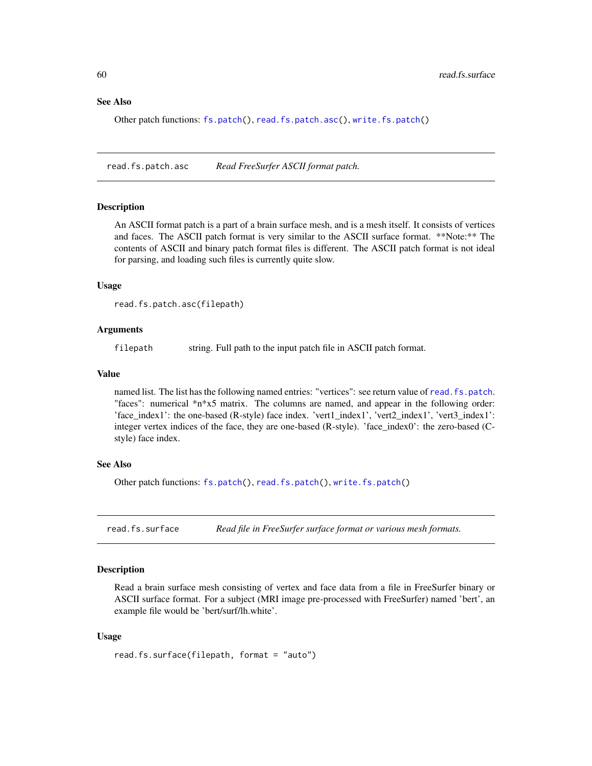#### See Also

Other patch functions: [fs.patch\(](#page-13-0)), [read.fs.patch.asc\(](#page-59-0)), [write.fs.patch\(](#page-104-0))

<span id="page-59-0"></span>read.fs.patch.asc *Read FreeSurfer ASCII format patch.*

#### Description

An ASCII format patch is a part of a brain surface mesh, and is a mesh itself. It consists of vertices and faces. The ASCII patch format is very similar to the ASCII surface format. \*\*Note:\*\* The contents of ASCII and binary patch format files is different. The ASCII patch format is not ideal for parsing, and loading such files is currently quite slow.

#### Usage

```
read.fs.patch.asc(filepath)
```
## Arguments

filepath string. Full path to the input patch file in ASCII patch format.

## Value

named list. The list has the following named entries: "vertices": see return value of [read.fs.patch](#page-58-0). "faces": numerical \*n\*x5 matrix. The columns are named, and appear in the following order: 'face\_index1': the one-based (R-style) face index. 'vert1\_index1', 'vert2\_index1', 'vert3\_index1': integer vertex indices of the face, they are one-based (R-style). 'face\_index0': the zero-based (Cstyle) face index.

#### See Also

Other patch functions: [fs.patch\(](#page-13-0)), [read.fs.patch\(](#page-58-0)), [write.fs.patch\(](#page-104-0))

<span id="page-59-1"></span>read.fs.surface *Read file in FreeSurfer surface format or various mesh formats.*

## Description

Read a brain surface mesh consisting of vertex and face data from a file in FreeSurfer binary or ASCII surface format. For a subject (MRI image pre-processed with FreeSurfer) named 'bert', an example file would be 'bert/surf/lh.white'.

### Usage

```
read.fs.surface(filepath, format = "auto")
```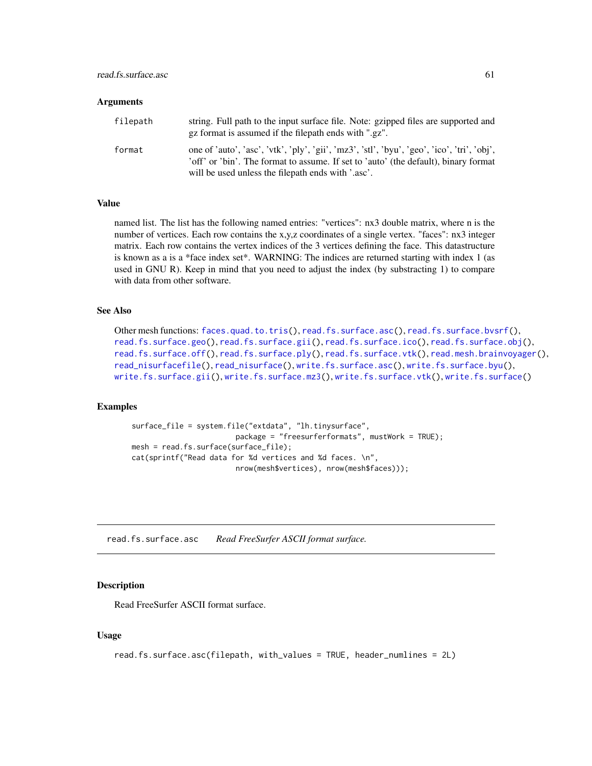| filepath | string. Full path to the input surface file. Note: gzipped files are supported and<br>gz format is assumed if the filepath ends with ".gz".                                        |
|----------|------------------------------------------------------------------------------------------------------------------------------------------------------------------------------------|
| format   | one of 'auto', 'asc', 'vtk', 'ply', 'gii', 'mz3', 'stl', 'byu', 'geo', 'ico', 'tri', 'obj',<br>'off' or 'bin'. The format to assume. If set to 'auto' (the default), binary format |
|          | will be used unless the filepath ends with '.asc'.                                                                                                                                 |

## Value

named list. The list has the following named entries: "vertices": nx3 double matrix, where n is the number of vertices. Each row contains the x,y,z coordinates of a single vertex. "faces": nx3 integer matrix. Each row contains the vertex indices of the 3 vertices defining the face. This datastructure is known as a is a \*face index set\*. WARNING: The indices are returned starting with index 1 (as used in GNU R). Keep in mind that you need to adjust the index (by substracting 1) to compare with data from other software.

#### See Also

```
Other mesh functions: faces.quad.to.tris(), read.fs.surface.asc(), read.fs.surface.bvsrf(),
read.fs.surface.geo(read.fs.surface.gii(read.fs.surface.ico(read.fs.surface.obj(),
read.fs.surface.off(), read.fs.surface.ply(), read.fs.surface.vtk(), read.mesh.brainvoyager(),
read_nisurfacefile(), read_nisurface(), write.fs.surface.asc(), write.fs.surface.byu(),
write.fs.surface.gii(), write.fs.surface.mz3(), write.fs.surface.vtk(), write.fs.surface()
```
### Examples

```
surface_file = system.file("extdata", "lh.tinysurface",
                        package = "freesurferformats", mustWork = TRUE);
mesh = read.fs.surface(surface_file);
cat(sprintf("Read data for %d vertices and %d faces. \n",
                        nrow(mesh$vertices), nrow(mesh$faces)));
```
<span id="page-60-0"></span>read.fs.surface.asc *Read FreeSurfer ASCII format surface.*

#### Description

Read FreeSurfer ASCII format surface.

### Usage

```
read.fs.surface.asc(filepath, with_values = TRUE, header_numlines = 2L)
```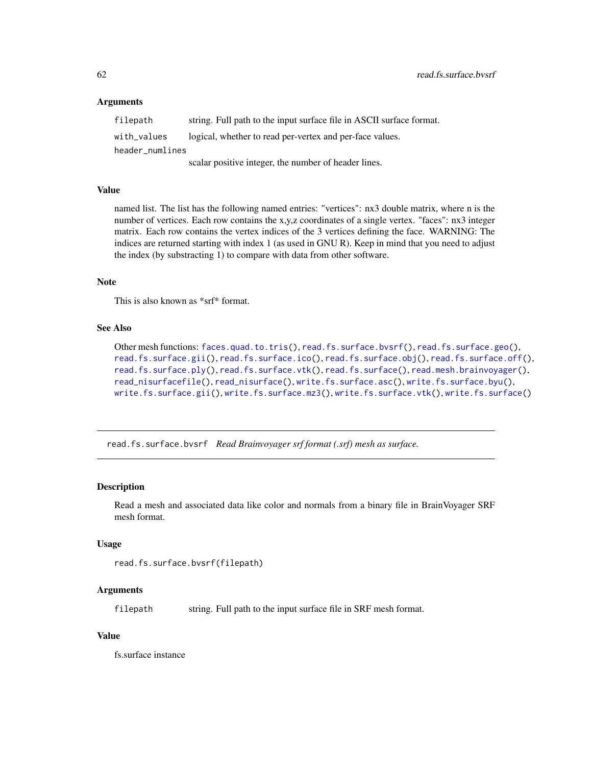filepath string. Full path to the input surface file in ASCII surface format. with\_values logical, whether to read per-vertex and per-face values. header\_numlines

scalar positive integer, the number of header lines.

### Value

named list. The list has the following named entries: "vertices": nx3 double matrix, where n is the number of vertices. Each row contains the x,y,z coordinates of a single vertex. "faces": nx3 integer matrix. Each row contains the vertex indices of the 3 vertices defining the face. WARNING: The indices are returned starting with index 1 (as used in GNU R). Keep in mind that you need to adjust the index (by substracting 1) to compare with data from other software.

## Note

This is also known as \*srf\* format.

### See Also

```
Other mesh functions: faces.quad.to.tris(), read.fs.surface.bvsrf(), read.fs.surface.geo(),
read.fs.surface.gii(), read.fs.surface.ico(), read.fs.surface.obj(), read.fs.surface.off(),
read.fs.surface.ply(), read.fs.surface.vtk(), read.fs.surface(), read.mesh.brainvoyager(),
read_nisurfacefile(), read_nisurface(), write.fs.surface.asc(), write.fs.surface.byu(),
write.fs.surface.gii(), write.fs.surface.mz3(), write.fs.surface.vtk(), write.fs.surface()
```
<span id="page-61-0"></span>read.fs.surface.bvsrf *Read Brainvoyager srf format (.srf) mesh as surface.*

## Description

Read a mesh and associated data like color and normals from a binary file in BrainVoyager SRF mesh format.

## Usage

```
read.fs.surface.bvsrf(filepath)
```
## Arguments

filepath string. Full path to the input surface file in SRF mesh format.

### Value

fs.surface instance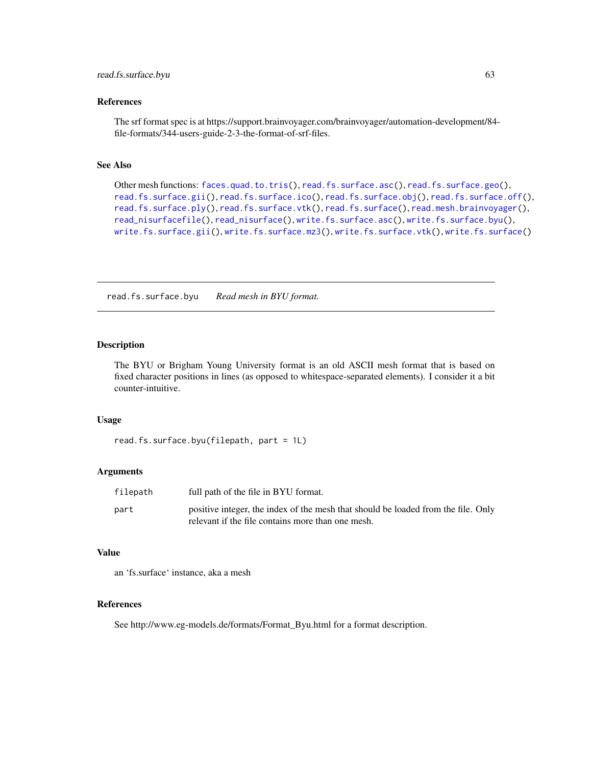#### References

The srf format spec is at https://support.brainvoyager.com/brainvoyager/automation-development/84 file-formats/344-users-guide-2-3-the-format-of-srf-files.

### See Also

```
Other mesh functions: faces.quad.to.tris(), read.fs.surface.asc(), read.fs.surface.geo(),
read.fs.surface.gii(), read.fs.surface.ico(), read.fs.surface.obj(), read.fs.surface.off(),
read.fs.surface.ply(), read.fs.surface.vtk(), read.fs.surface(), read.mesh.brainvoyager(),
read_nisurfacefile(), read_nisurface(), write.fs.surface.asc(), write.fs.surface.byu(),
write.fs.surface.gii(), write.fs.surface.mz3(), write.fs.surface.vtk(), write.fs.surface()
```
read.fs.surface.byu *Read mesh in BYU format.*

## Description

The BYU or Brigham Young University format is an old ASCII mesh format that is based on fixed character positions in lines (as opposed to whitespace-separated elements). I consider it a bit counter-intuitive.

#### Usage

```
read.fs.surface.byu(filepath, part = 1L)
```
## Arguments

| filepath | full path of the file in BYU format.                                                                                                   |
|----------|----------------------------------------------------------------------------------------------------------------------------------------|
| part     | positive integer, the index of the mesh that should be loaded from the file. Only<br>relevant if the file contains more than one mesh. |

## Value

an 'fs.surface' instance, aka a mesh

## References

See http://www.eg-models.de/formats/Format\_Byu.html for a format description.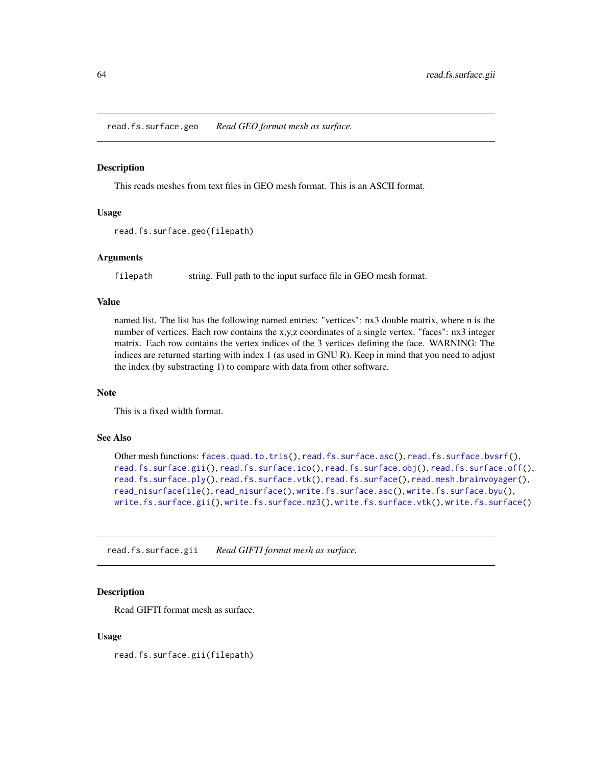<span id="page-63-1"></span>read.fs.surface.geo *Read GEO format mesh as surface.*

#### Description

This reads meshes from text files in GEO mesh format. This is an ASCII format.

## Usage

```
read.fs.surface.geo(filepath)
```
## Arguments

filepath string. Full path to the input surface file in GEO mesh format.

## Value

named list. The list has the following named entries: "vertices": nx3 double matrix, where n is the number of vertices. Each row contains the x,y,z coordinates of a single vertex. "faces": nx3 integer matrix. Each row contains the vertex indices of the 3 vertices defining the face. WARNING: The indices are returned starting with index 1 (as used in GNU R). Keep in mind that you need to adjust the index (by substracting 1) to compare with data from other software.

#### Note

This is a fixed width format.

## See Also

```
Other mesh functions: faces.quad.to.tris(), read.fs.surface.asc(), read.fs.surface.bvsrf(),
read.fs.surface.gii(), read.fs.surface.ico(), read.fs.surface.obj(), read.fs.surface.off(),
read.fs.surface.ply(), read.fs.surface.vtk(), read.fs.surface(), read.mesh.brainvoyager(),
read_nisurfacefile(), read_nisurface(), write.fs.surface.asc(), write.fs.surface.byu(),
write.fs.surface.gii(), write.fs.surface.mz3(), write.fs.surface.vtk(), write.fs.surface()
```
<span id="page-63-0"></span>read.fs.surface.gii *Read GIFTI format mesh as surface.*

## **Description**

Read GIFTI format mesh as surface.

### Usage

read.fs.surface.gii(filepath)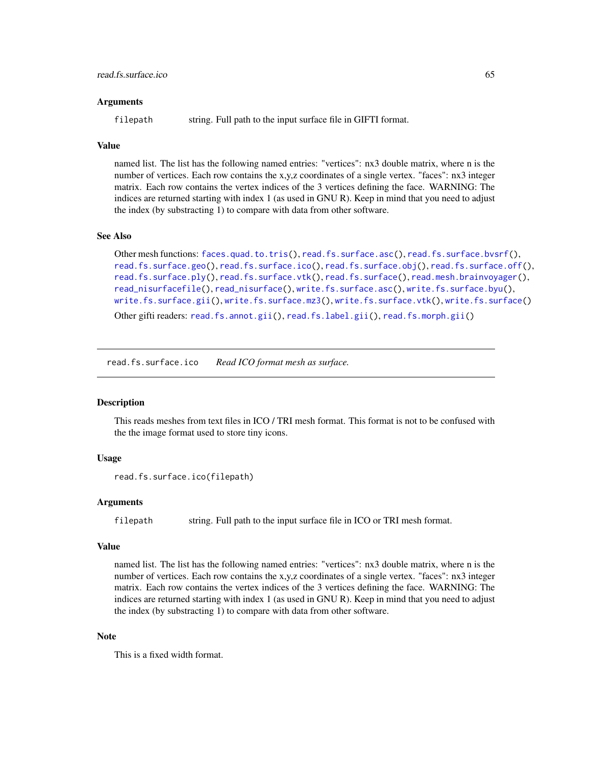filepath string. Full path to the input surface file in GIFTI format.

#### Value

named list. The list has the following named entries: "vertices": nx3 double matrix, where n is the number of vertices. Each row contains the x,y,z coordinates of a single vertex. "faces": nx3 integer matrix. Each row contains the vertex indices of the 3 vertices defining the face. WARNING: The indices are returned starting with index 1 (as used in GNU R). Keep in mind that you need to adjust the index (by substracting 1) to compare with data from other software.

### See Also

```
Other mesh functions: faces.quad.to.tris(), read.fs.surface.asc(), read.fs.surface.bvsrf(),
read.fs.surface.geo(), read.fs.surface.ico(), read.fs.surface.obj(), read.fs.surface.off(),
read.fs.surface.ply(), read.fs.surface.vtk(), read.fs.surface(), read.mesh.brainvoyager(),
read_nisurfacefile(), read_nisurface(), write.fs.surface.asc(), write.fs.surface.byu(),
write.fs.surface.gii(), write.fs.surface.mz3(), write.fs.surface.vtk(), write.fs.surface()
Other gifti readers: read.fs.annot.gii(), read.fs.label.gii(), read.fs.morph.gii()
```
<span id="page-64-0"></span>

read.fs.surface.ico *Read ICO format mesh as surface.*

## Description

This reads meshes from text files in ICO / TRI mesh format. This format is not to be confused with the the image format used to store tiny icons.

## Usage

```
read.fs.surface.ico(filepath)
```
#### Arguments

filepath string. Full path to the input surface file in ICO or TRI mesh format.

#### Value

named list. The list has the following named entries: "vertices": nx3 double matrix, where n is the number of vertices. Each row contains the x,y,z coordinates of a single vertex. "faces": nx3 integer matrix. Each row contains the vertex indices of the 3 vertices defining the face. WARNING: The indices are returned starting with index 1 (as used in GNU R). Keep in mind that you need to adjust the index (by substracting 1) to compare with data from other software.

## **Note**

This is a fixed width format.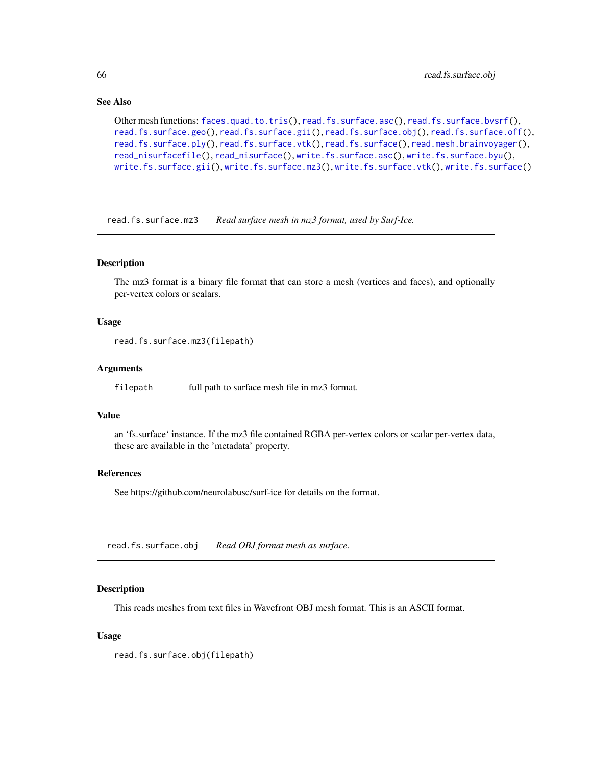## See Also

```
Other mesh functions: faces.quad.to.tris(), read.fs.surface.asc(), read.fs.surface.bvsrf(),
read.fs.surface.geo(), read.fs.surface.gii(), read.fs.surface.obj(), read.fs.surface.off(),
read.fs.surface.ply(), read.fs.surface.vtk(), read.fs.surface(), read.mesh.brainvoyager(),
read_nisurfacefile(), read_nisurface(), write.fs.surface.asc(), write.fs.surface.byu(),
write.fs.surface.gii(), write.fs.surface.mz3(), write.fs.surface.vtk(), write.fs.surface()
```
read.fs.surface.mz3 *Read surface mesh in mz3 format, used by Surf-Ice.*

## Description

The mz3 format is a binary file format that can store a mesh (vertices and faces), and optionally per-vertex colors or scalars.

## Usage

```
read.fs.surface.mz3(filepath)
```
### **Arguments**

filepath full path to surface mesh file in mz3 format.

## Value

an 'fs.surface' instance. If the mz3 file contained RGBA per-vertex colors or scalar per-vertex data, these are available in the 'metadata' property.

## References

See https://github.com/neurolabusc/surf-ice for details on the format.

<span id="page-65-0"></span>read.fs.surface.obj *Read OBJ format mesh as surface.*

### Description

This reads meshes from text files in Wavefront OBJ mesh format. This is an ASCII format.

### Usage

read.fs.surface.obj(filepath)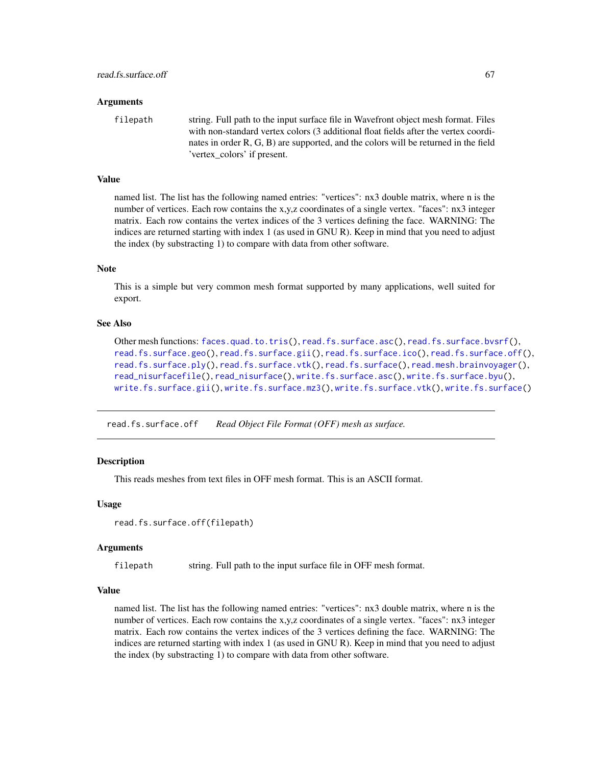filepath string. Full path to the input surface file in Wavefront object mesh format. Files with non-standard vertex colors (3 additional float fields after the vertex coordinates in order R, G, B) are supported, and the colors will be returned in the field 'vertex\_colors' if present.

### Value

named list. The list has the following named entries: "vertices": nx3 double matrix, where n is the number of vertices. Each row contains the x,y,z coordinates of a single vertex. "faces": nx3 integer matrix. Each row contains the vertex indices of the 3 vertices defining the face. WARNING: The indices are returned starting with index 1 (as used in GNU R). Keep in mind that you need to adjust the index (by substracting 1) to compare with data from other software.

## **Note**

This is a simple but very common mesh format supported by many applications, well suited for export.

## See Also

```
Other mesh functions: faces.quad.to.tris(), read.fs.surface.asc(), read.fs.surface.bvsrf(),
read.fs.surface.geo(), read.fs.surface.gii(), read.fs.surface.ico(), read.fs.surface.off(),
read.fs.surface.ply(), read.fs.surface.vtk(), read.fs.surface(), read.mesh.brainvoyager(),
read_nisurfacefile(), read_nisurface(), write.fs.surface.asc(), write.fs.surface.byu(),
write.fs.surface.gii(), write.fs.surface.mz3(), write.fs.surface.vtk(), write.fs.surface()
```
<span id="page-66-0"></span>read.fs.surface.off *Read Object File Format (OFF) mesh as surface.*

## **Description**

This reads meshes from text files in OFF mesh format. This is an ASCII format.

#### Usage

```
read.fs.surface.off(filepath)
```
#### Arguments

filepath string. Full path to the input surface file in OFF mesh format.

## Value

named list. The list has the following named entries: "vertices": nx3 double matrix, where n is the number of vertices. Each row contains the x,y,z coordinates of a single vertex. "faces": nx3 integer matrix. Each row contains the vertex indices of the 3 vertices defining the face. WARNING: The indices are returned starting with index 1 (as used in GNU R). Keep in mind that you need to adjust the index (by substracting 1) to compare with data from other software.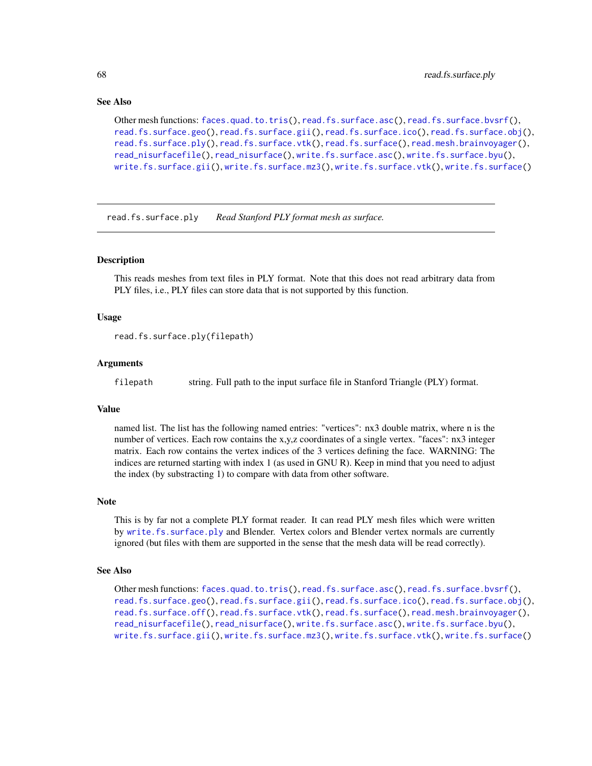## See Also

```
Other mesh functions: faces.quad.to.tris(), read.fs.surface.asc(), read.fs.surface.bvsrf(),
read.fs.surface.geo(read.fs.surface.gii(read.fs.surface.ico(read.fs.surface.obj(),
read.fs.surface.ply(), read.fs.surface.vtk(), read.fs.surface(), read.mesh.brainvoyager(),
read_nisurfacefile(), read_nisurface(), write.fs.surface.asc(), write.fs.surface.byu(),
write.fs.surface.gii(), write.fs.surface.mz3(), write.fs.surface.vtk(), write.fs.surface()
```
<span id="page-67-0"></span>read.fs.surface.ply *Read Stanford PLY format mesh as surface.*

### Description

This reads meshes from text files in PLY format. Note that this does not read arbitrary data from PLY files, i.e., PLY files can store data that is not supported by this function.

#### Usage

```
read.fs.surface.ply(filepath)
```
#### **Arguments**

filepath string. Full path to the input surface file in Stanford Triangle (PLY) format.

## Value

named list. The list has the following named entries: "vertices": nx3 double matrix, where n is the number of vertices. Each row contains the x,y,z coordinates of a single vertex. "faces": nx3 integer matrix. Each row contains the vertex indices of the 3 vertices defining the face. WARNING: The indices are returned starting with index 1 (as used in GNU R). Keep in mind that you need to adjust the index (by substracting 1) to compare with data from other software.

#### Note

This is by far not a complete PLY format reader. It can read PLY mesh files which were written by [write.fs.surface.ply](#page-113-0) and Blender. Vertex colors and Blender vertex normals are currently ignored (but files with them are supported in the sense that the mesh data will be read correctly).

## See Also

```
Other mesh functions: faces.quad.to.tris(), read.fs.surface.asc(), read.fs.surface.bvsrf(),
read.fs.surface.geo(read.fs.surface.gii(read.fs.surface.ico(read.fs.surface.obj(),
read.fs.surface.off(), read.fs.surface.vtk(), read.fs.surface(), read.mesh.brainvoyager(),
read_nisurfacefile(), read_nisurface(), write.fs.surface.asc(), write.fs.surface.byu(),
write.fs.surface.gii(), write.fs.surface.mz3(), write.fs.surface.vtk(), write.fs.surface()
```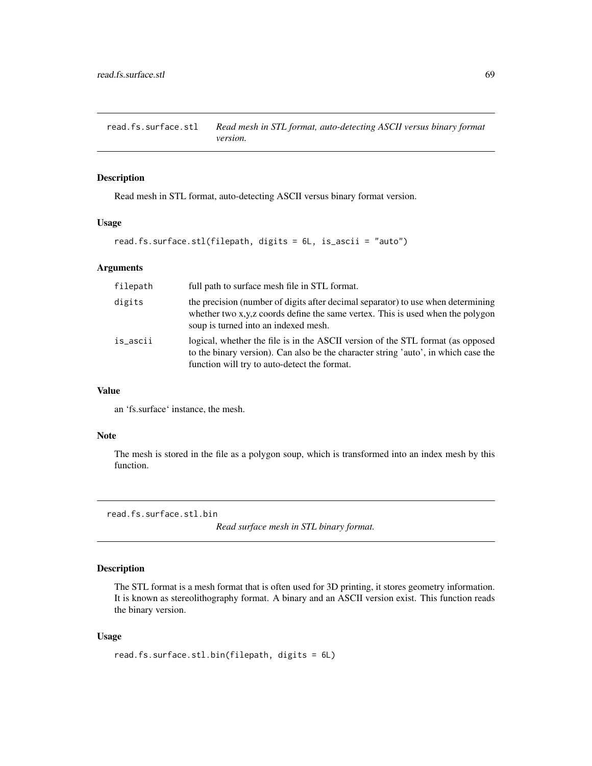read.fs.surface.stl *Read mesh in STL format, auto-detecting ASCII versus binary format version.*

### Description

Read mesh in STL format, auto-detecting ASCII versus binary format version.

## Usage

```
read.fs.surface.stl(filepath, digits = 6L, is_ascii = "auto")
```
### Arguments

| filepath | full path to surface mesh file in STL format.                                                                                                                                                                         |
|----------|-----------------------------------------------------------------------------------------------------------------------------------------------------------------------------------------------------------------------|
| digits   | the precision (number of digits after decimal separator) to use when determining<br>whether two x,y,z coords define the same vertex. This is used when the polygon<br>soup is turned into an indexed mesh.            |
| is_ascii | logical, whether the file is in the ASCII version of the STL format (as opposed<br>to the binary version). Can also be the character string 'auto', in which case the<br>function will try to auto-detect the format. |

#### Value

an 'fs.surface' instance, the mesh.

## Note

The mesh is stored in the file as a polygon soup, which is transformed into an index mesh by this function.

read.fs.surface.stl.bin

*Read surface mesh in STL binary format.*

## Description

The STL format is a mesh format that is often used for 3D printing, it stores geometry information. It is known as stereolithography format. A binary and an ASCII version exist. This function reads the binary version.

### Usage

```
read.fs.surface.stl.bin(filepath, digits = 6L)
```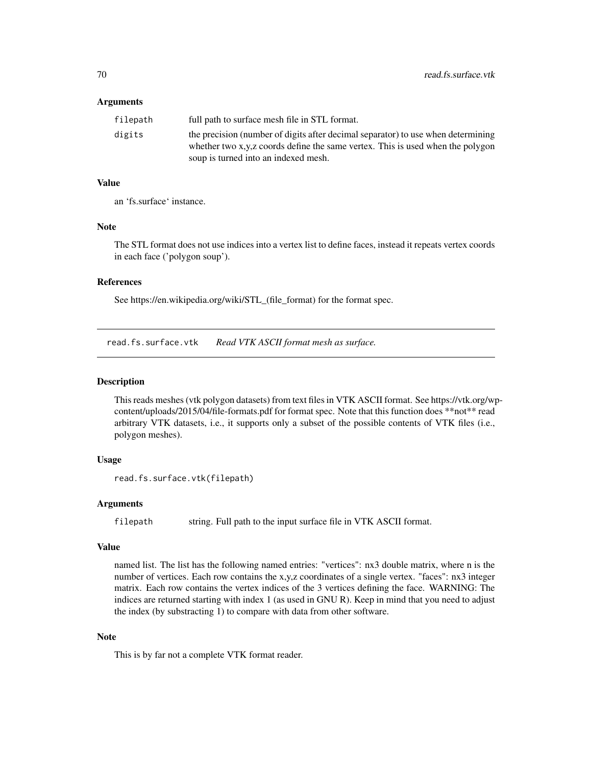| filepath | full path to surface mesh file in STL format.                                    |
|----------|----------------------------------------------------------------------------------|
| digits   | the precision (number of digits after decimal separator) to use when determining |
|          | whether two x,y,z coords define the same vertex. This is used when the polygon   |
|          | soup is turned into an indexed mesh.                                             |

### Value

an 'fs.surface' instance.

#### Note

The STL format does not use indices into a vertex list to define faces, instead it repeats vertex coords in each face ('polygon soup').

# References

See https://en.wikipedia.org/wiki/STL\_(file\_format) for the format spec.

<span id="page-69-0"></span>read.fs.surface.vtk *Read VTK ASCII format mesh as surface.*

## Description

This reads meshes (vtk polygon datasets) from text files in VTK ASCII format. See https://vtk.org/wpcontent/uploads/2015/04/file-formats.pdf for format spec. Note that this function does \*\*not\*\* read arbitrary VTK datasets, i.e., it supports only a subset of the possible contents of VTK files (i.e., polygon meshes).

## Usage

```
read.fs.surface.vtk(filepath)
```
## Arguments

filepath string. Full path to the input surface file in VTK ASCII format.

#### Value

named list. The list has the following named entries: "vertices": nx3 double matrix, where n is the number of vertices. Each row contains the x,y,z coordinates of a single vertex. "faces": nx3 integer matrix. Each row contains the vertex indices of the 3 vertices defining the face. WARNING: The indices are returned starting with index 1 (as used in GNU R). Keep in mind that you need to adjust the index (by substracting 1) to compare with data from other software.

## Note

This is by far not a complete VTK format reader.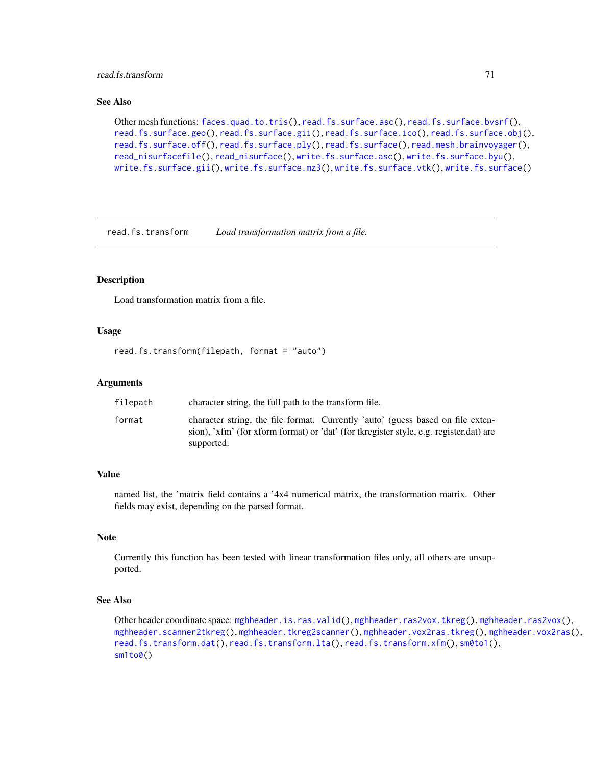## read.fs.transform 71

## See Also

```
Other mesh functions: faces.quad.to.tris(), read.fs.surface.asc(), read.fs.surface.bvsrf(),
read.fs.surface.geo(read.fs.surface.gii(read.fs.surface.ico(read.fs.surface.obj(),
read.fs.surface.off(), read.fs.surface.ply(), read.fs.surface(), read.mesh.brainvoyager(),
read_nisurfacefile(), read_nisurface(), write.fs.surface.asc(), write.fs.surface.byu(),
write.fs.surface.gii(), write.fs.surface.mz3(), write.fs.surface.vtk(), write.fs.surface()
```
<span id="page-70-0"></span>read.fs.transform *Load transformation matrix from a file.*

### **Description**

Load transformation matrix from a file.

### Usage

```
read.fs.transform(filepath, format = "auto")
```
## Arguments

| filepath | character string, the full path to the transform file.                                                                                                                                  |
|----------|-----------------------------------------------------------------------------------------------------------------------------------------------------------------------------------------|
| format   | character string, the file format. Currently 'auto' (guess based on file exten-<br>sion), 'xfm' (for xform format) or 'dat' (for tkregister style, e.g. register.dat) are<br>supported. |

# Value

named list, the 'matrix field contains a '4x4 numerical matrix, the transformation matrix. Other fields may exist, depending on the parsed format.

# Note

Currently this function has been tested with linear transformation files only, all others are unsupported.

# See Also

Other header coordinate space: [mghheader.is.ras.valid\(](#page-24-0)), [mghheader.ras2vox.tkreg\(](#page-26-0)), [mghheader.ras2vox\(](#page-25-0)), [mghheader.scanner2tkreg\(](#page-26-1)), [mghheader.tkreg2scanner\(](#page-27-0)), [mghheader.vox2ras.tkreg\(](#page-29-0)), [mghheader.vox2ras\(](#page-28-0)), [read.fs.transform.dat\(](#page-71-0)), [read.fs.transform.lta\(](#page-72-0)), [read.fs.transform.xfm\(](#page-73-0)), [sm0to1\(](#page-87-0)), sm<sub>1</sub>to0()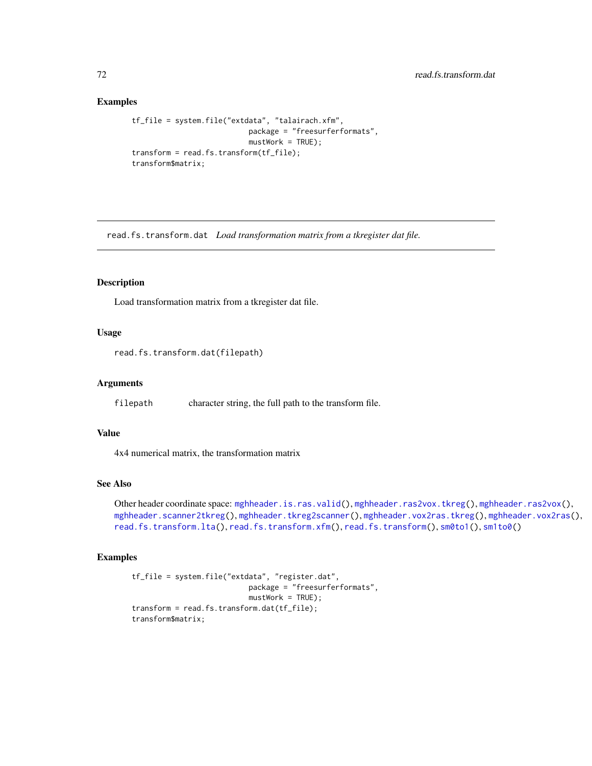## Examples

```
tf_file = system.file("extdata", "talairach.xfm",
                           package = "freesurferformats",
                           mustWork = TRUE);
transform = read.fs.transform(tf_file);
transform$matrix;
```
<span id="page-71-0"></span>read.fs.transform.dat *Load transformation matrix from a tkregister dat file.*

## Description

Load transformation matrix from a tkregister dat file.

### Usage

read.fs.transform.dat(filepath)

### Arguments

filepath character string, the full path to the transform file.

#### Value

4x4 numerical matrix, the transformation matrix

## See Also

Other header coordinate space: [mghheader.is.ras.valid\(](#page-24-0)), [mghheader.ras2vox.tkreg\(](#page-26-0)), [mghheader.ras2vox\(](#page-25-0)), [mghheader.scanner2tkreg\(](#page-26-1)), [mghheader.tkreg2scanner\(](#page-27-0)), [mghheader.vox2ras.tkreg\(](#page-29-0)), [mghheader.vox2ras\(](#page-28-0)), [read.fs.transform.lta\(](#page-72-0)), [read.fs.transform.xfm\(](#page-73-0)), [read.fs.transform\(](#page-70-0)), [sm0to1\(](#page-87-0)), [sm1to0\(](#page-87-1))

## Examples

```
tf_file = system.file("extdata", "register.dat",
                          package = "freesurferformats",
                           mustWork = TRUE;
transform = read.fs.transform.dat(tf_file);
transform$matrix;
```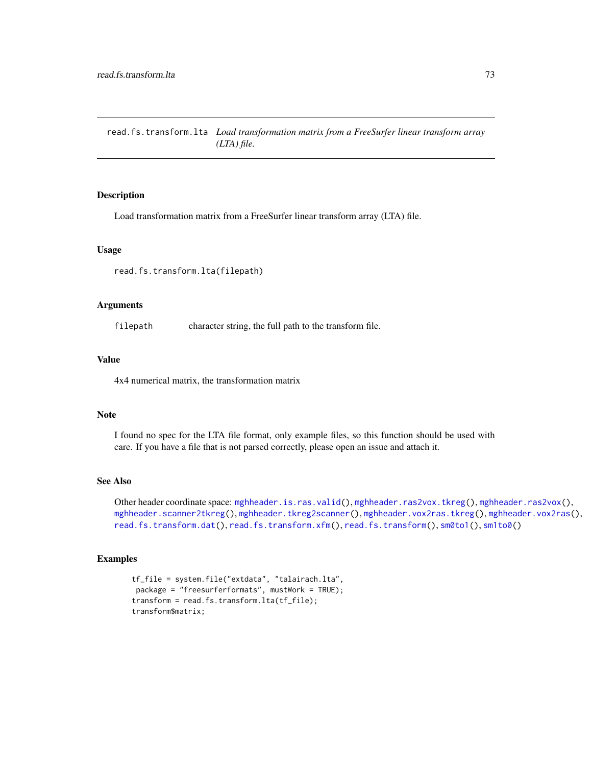<span id="page-72-0"></span>read.fs.transform.lta *Load transformation matrix from a FreeSurfer linear transform array (LTA) file.*

### Description

Load transformation matrix from a FreeSurfer linear transform array (LTA) file.

#### Usage

read.fs.transform.lta(filepath)

### Arguments

filepath character string, the full path to the transform file.

#### Value

4x4 numerical matrix, the transformation matrix

# Note

I found no spec for the LTA file format, only example files, so this function should be used with care. If you have a file that is not parsed correctly, please open an issue and attach it.

## See Also

Other header coordinate space: [mghheader.is.ras.valid\(](#page-24-0)), [mghheader.ras2vox.tkreg\(](#page-26-0)), [mghheader.ras2vox\(](#page-25-0)), [mghheader.scanner2tkreg\(](#page-26-1)), [mghheader.tkreg2scanner\(](#page-27-0)), [mghheader.vox2ras.tkreg\(](#page-29-0)), [mghheader.vox2ras\(](#page-28-0)), [read.fs.transform.dat\(](#page-71-0)), [read.fs.transform.xfm\(](#page-73-0)), [read.fs.transform\(](#page-70-0)), [sm0to1\(](#page-87-0)), [sm1to0\(](#page-87-1))

# Examples

```
tf_file = system.file("extdata", "talairach.lta",
package = "freesurferformats", mustWork = TRUE);
transform = read.fs.transform.lta(tf_file);
transform$matrix;
```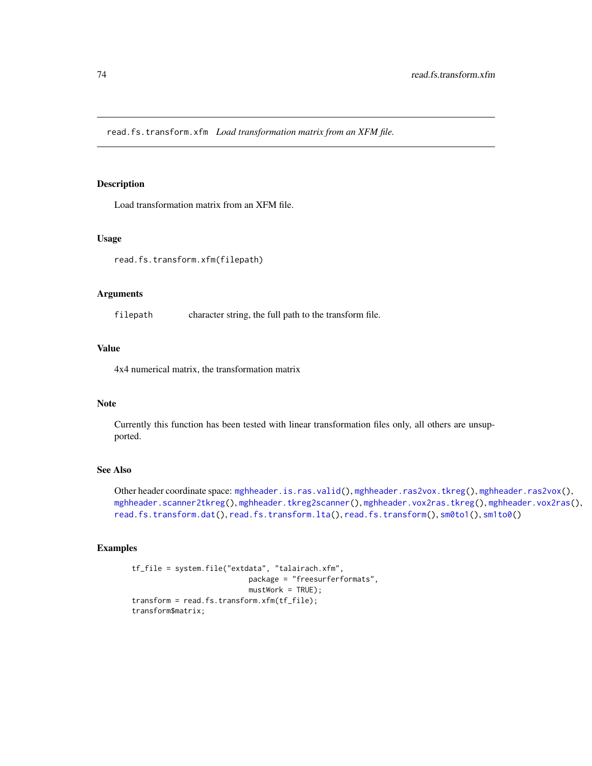<span id="page-73-0"></span>read.fs.transform.xfm *Load transformation matrix from an XFM file.*

#### Description

Load transformation matrix from an XFM file.

# Usage

read.fs.transform.xfm(filepath)

### Arguments

filepath character string, the full path to the transform file.

# Value

4x4 numerical matrix, the transformation matrix

### Note

Currently this function has been tested with linear transformation files only, all others are unsupported.

### See Also

Other header coordinate space: [mghheader.is.ras.valid\(](#page-24-0)), [mghheader.ras2vox.tkreg\(](#page-26-0)), [mghheader.ras2vox\(](#page-25-0)), [mghheader.scanner2tkreg\(](#page-26-1)), [mghheader.tkreg2scanner\(](#page-27-0)), [mghheader.vox2ras.tkreg\(](#page-29-0)), [mghheader.vox2ras\(](#page-28-0)), [read.fs.transform.dat\(](#page-71-0)), [read.fs.transform.lta\(](#page-72-0)), [read.fs.transform\(](#page-70-0)), [sm0to1\(](#page-87-0)), [sm1to0\(](#page-87-1))

# Examples

```
tf_file = system.file("extdata", "talairach.xfm",
                          package = "freesurferformats",
                           mustWork = TRUE);
transform = read.fs.transform.xfm(tf_file);
transform$matrix;
```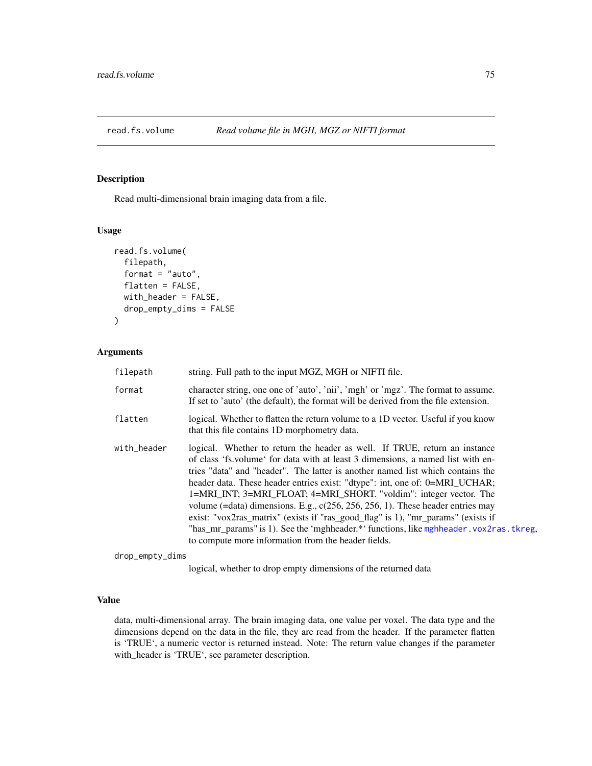<span id="page-74-0"></span>

### Description

Read multi-dimensional brain imaging data from a file.

### Usage

```
read.fs.volume(
  filepath,
  format = "auto",
  flatten = FALSE,
  with_header = FALSE,
  drop_empty_dims = FALSE
\mathcal{E}
```
# Arguments

| filepath    | string. Full path to the input MGZ, MGH or NIFTI file.                                                                                                                                                                                                                                                                                                                                                                                                                                                                                                                                                                                                                                                                         |
|-------------|--------------------------------------------------------------------------------------------------------------------------------------------------------------------------------------------------------------------------------------------------------------------------------------------------------------------------------------------------------------------------------------------------------------------------------------------------------------------------------------------------------------------------------------------------------------------------------------------------------------------------------------------------------------------------------------------------------------------------------|
| format      | character string, one one of 'auto', 'nii', 'mgh' or 'mgz'. The format to assume.<br>If set to 'auto' (the default), the format will be derived from the file extension.                                                                                                                                                                                                                                                                                                                                                                                                                                                                                                                                                       |
| flatten     | logical. Whether to flatten the return volume to a 1D vector. Useful if you know<br>that this file contains 1D morphometry data.                                                                                                                                                                                                                                                                                                                                                                                                                                                                                                                                                                                               |
| with_header | logical. Whether to return the header as well. If TRUE, return an instance<br>of class 'fs. volume' for data with at least 3 dimensions, a named list with en-<br>tries "data" and "header". The latter is another named list which contains the<br>header data. These header entries exist: "dtype": int, one of: 0=MRI_UCHAR;<br>1=MRI_INT; 3=MRI_FLOAT; 4=MRI_SHORT. "voldim": integer vector. The<br>volume (=data) dimensions. E.g., $c(256, 256, 256, 1)$ . These header entries may<br>exist: "vox2ras_matrix" (exists if "ras_good_flag" is 1), "mr_params" (exists if<br>"has_mr_params" is 1). See the 'mghheader.*' functions, like mghheader.vox2ras.tkreg,<br>to compute more information from the header fields. |

drop\_empty\_dims

logical, whether to drop empty dimensions of the returned data

## Value

data, multi-dimensional array. The brain imaging data, one value per voxel. The data type and the dimensions depend on the data in the file, they are read from the header. If the parameter flatten is 'TRUE', a numeric vector is returned instead. Note: The return value changes if the parameter with\_header is 'TRUE', see parameter description.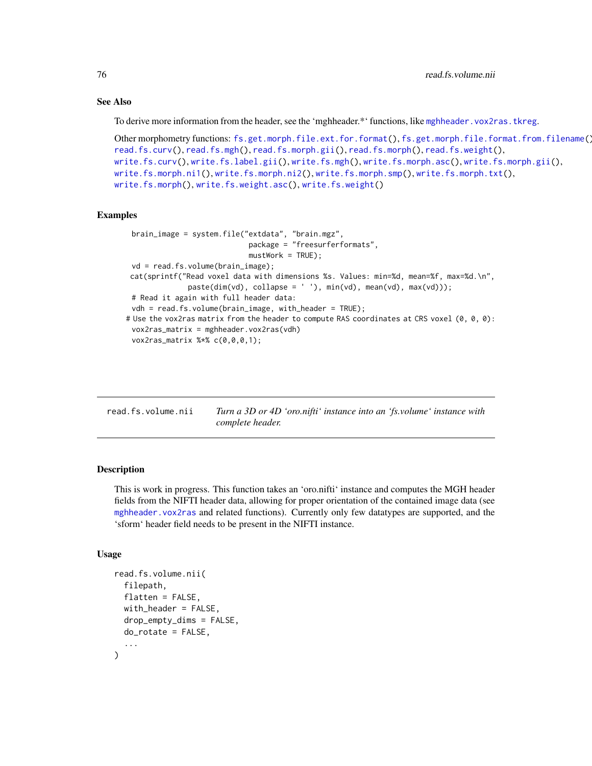# See Also

To derive more information from the header, see the 'mghheader.\*' functions, like [mghheader.vox2ras.tkreg](#page-29-0).

```
Other morphometry functions: fs.get.morph.file.ext.for.format(), fs.get.morph.file.format.from.filename(),
read.fs.curv(), read.fs.mgh(), read.fs.morph.gii(), read.fs.morph(), read.fs.weight(),
write.fs.curv(), write.fs.label.gii(), write.fs.mgh(), write.fs.morph.asc(), write.fs.morph.gii(),
write.fs.morph.ni1(), write.fs.morph.ni2(), write.fs.morph.smp(), write.fs.morph.txt(),
write.fs.morph(), write.fs.weight.asc(), write.fs.weight()
```
#### Examples

```
brain_image = system.file("extdata", "brain.mgz",
                            package = "freesurferformats",
                            mustWork = TRUE;
 vd = read.fs.volume(brain_image);
cat(sprintf("Read voxel data with dimensions %s. Values: min=%d, mean=%f, max=%d.\n",
              paste(dim(vd), collapse = ' '), min(vd), mean(vd), max(vd)));
 # Read it again with full header data:
 vdh = read.fs.volume(brain_image, with_header = TRUE);
# Use the vox2ras matrix from the header to compute RAS coordinates at CRS voxel (0, 0, 0):
 vox2ras_matrix = mghheader.vox2ras(vdh)
 vox2ras_matrix %*% c(0,0,0,1);
```

| read.fs.volume.nii | Turn a 3D or 4D 'oro.nifti' instance into an 'fs.volume' instance with |  |  |  |
|--------------------|------------------------------------------------------------------------|--|--|--|
|                    | complete header.                                                       |  |  |  |

### Description

This is work in progress. This function takes an 'oro.nifti' instance and computes the MGH header fields from the NIFTI header data, allowing for proper orientation of the contained image data (see [mghheader.vox2ras](#page-28-0) and related functions). Currently only few datatypes are supported, and the 'sform' header field needs to be present in the NIFTI instance.

# Usage

```
read.fs.volume.nii(
  filepath,
  flatten = FALSE,
 with_header = FALSE,
  drop_{empty\_dims} = FALSE,
  do_rotate = FALSE,
  ...
)
```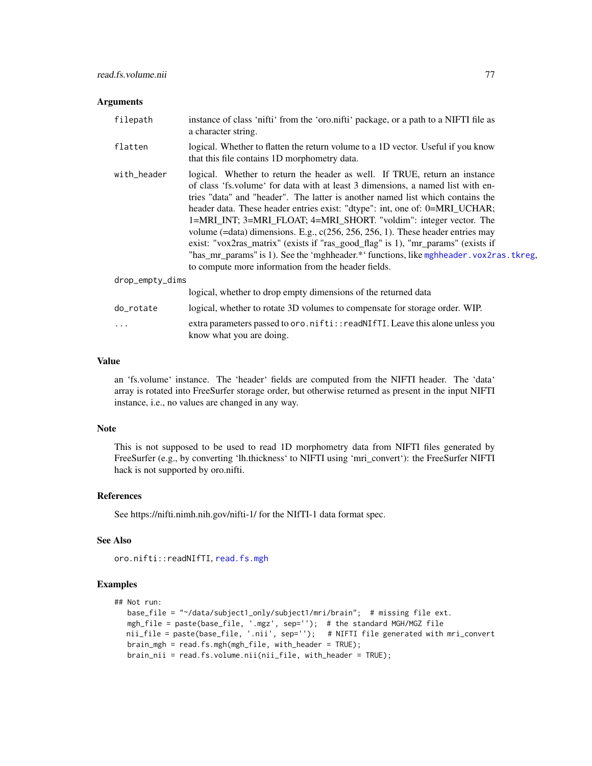#### Arguments

| filepath        | instance of class 'nifti' from the 'oro.nifti' package, or a path to a NIFTI file as<br>a character string.                                                                                                                                                                                                                                                                                                                                                                                                                                                                                                                                                                                                                        |
|-----------------|------------------------------------------------------------------------------------------------------------------------------------------------------------------------------------------------------------------------------------------------------------------------------------------------------------------------------------------------------------------------------------------------------------------------------------------------------------------------------------------------------------------------------------------------------------------------------------------------------------------------------------------------------------------------------------------------------------------------------------|
| flatten         | logical. Whether to flatten the return volume to a 1D vector. Useful if you know<br>that this file contains 1D morphometry data.                                                                                                                                                                                                                                                                                                                                                                                                                                                                                                                                                                                                   |
| with_header     | logical. Whether to return the header as well. If TRUE, return an instance<br>of class 'fs. volume' for data with at least 3 dimensions, a named list with en-<br>tries "data" and "header". The latter is another named list which contains the<br>header data. These header entries exist: "dtype": int, one of: 0=MRI_UCHAR;<br>1=MRI_INT; 3=MRI_FLOAT; 4=MRI_SHORT. "voldim": integer vector. The<br>volume (=data) dimensions. E.g., $c(256, 256, 256, 1)$ . These header entries may<br>exist: "vox2ras_matrix" (exists if "ras_good_flag" is 1), "mr_params" (exists if<br>"has_mr_params" is 1). See the 'mghheader.*' functions, like mghheader . vox2ras . tkreg,<br>to compute more information from the header fields. |
| drop_empty_dims |                                                                                                                                                                                                                                                                                                                                                                                                                                                                                                                                                                                                                                                                                                                                    |
|                 | logical, whether to drop empty dimensions of the returned data                                                                                                                                                                                                                                                                                                                                                                                                                                                                                                                                                                                                                                                                     |
| do_rotate       | logical, whether to rotate 3D volumes to compensate for storage order. WIP.                                                                                                                                                                                                                                                                                                                                                                                                                                                                                                                                                                                                                                                        |
| .               | extra parameters passed to oro.nifti::readNIfTI. Leave this alone unless you<br>know what you are doing.                                                                                                                                                                                                                                                                                                                                                                                                                                                                                                                                                                                                                           |

# Value

an 'fs.volume' instance. The 'header' fields are computed from the NIFTI header. The 'data' array is rotated into FreeSurfer storage order, but otherwise returned as present in the input NIFTI instance, i.e., no values are changed in any way.

#### Note

This is not supposed to be used to read 1D morphometry data from NIFTI files generated by FreeSurfer (e.g., by converting 'lh.thickness' to NIFTI using 'mri\_convert'): the FreeSurfer NIFTI hack is not supported by oro.nifti.

# References

See https://nifti.nimh.nih.gov/nifti-1/ for the NIfTI-1 data format spec.

# See Also

oro.nifti::readNIfTI, [read.fs.mgh](#page-50-0)

#### Examples

```
## Not run:
  base_file = "~/data/subject1_only/subject1/mri/brain"; # missing file ext.
  mgh_file = paste(base_file, '.mgz', sep=''); # the standard MGH/MGZ file
  nii_file = paste(base_file, '.nii', sep=''); # NIFTI file generated with mri_convert
  brain_mgh = read.fs.mgh(mgh_file, with_header = TRUE);
  brain_nii = read.fs.volume.nii(nii_file, with_header = TRUE);
```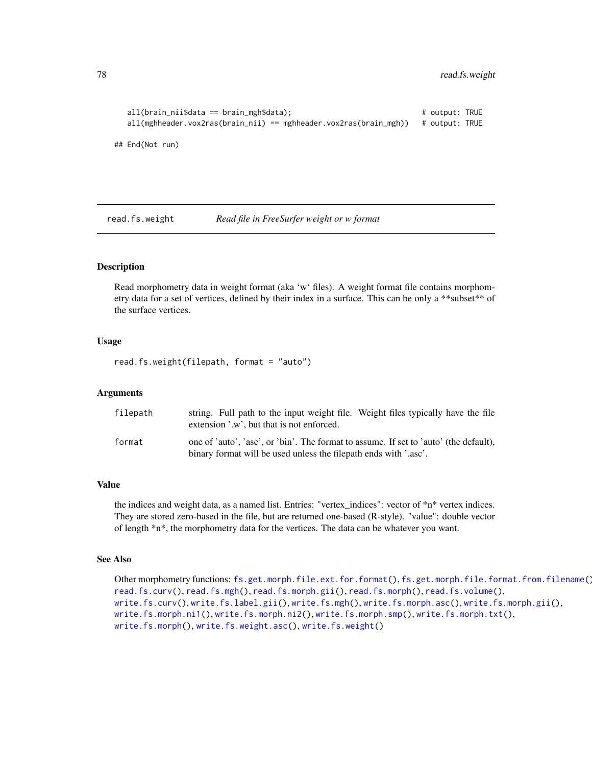```
all(brain_nii$data == brain_mgh$data); # output: TRUE
  all(mghheader.vox2ras(brain_nii) == mghheader.vox2ras(brain_mgh)) # output: TRUE
## End(Not run)
```
<span id="page-77-0"></span>read.fs.weight *Read file in FreeSurfer weight or w format*

# Description

Read morphometry data in weight format (aka 'w' files). A weight format file contains morphometry data for a set of vertices, defined by their index in a surface. This can be only a \*\*subset\*\* of the surface vertices.

### Usage

read.fs.weight(filepath, format = "auto")

## Arguments

| filepath | string. Full path to the input weight file. Weight files typically have the file      |
|----------|---------------------------------------------------------------------------------------|
|          | extension '.w', but that is not enforced.                                             |
| format   | one of 'auto', 'asc', or 'bin'. The format to assume. If set to 'auto' (the default), |
|          | binary format will be used unless the filepath ends with '.asc'.                      |

#### Value

the indices and weight data, as a named list. Entries: "vertex\_indices": vector of \*n\* vertex indices. They are stored zero-based in the file, but are returned one-based (R-style). "value": double vector of length \*n\*, the morphometry data for the vertices. The data can be whatever you want.

### See Also

Other morphometry functions: [fs.get.morph.file.ext.for.format\(](#page-11-0)), [fs.get.morph.file.format.from.filename\(](#page-12-0)), [read.fs.curv\(](#page-46-0)), [read.fs.mgh\(](#page-50-0)), [read.fs.morph.gii\(](#page-55-0)), [read.fs.morph\(](#page-52-0)), [read.fs.volume\(](#page-74-0)), [write.fs.curv\(](#page-95-0)), [write.fs.label.gii\(](#page-97-0)), [write.fs.mgh\(](#page-98-0)), [write.fs.morph.asc\(](#page-100-0)), [write.fs.morph.gii\(](#page-100-1)), [write.fs.morph.ni1\(](#page-101-0)), [write.fs.morph.ni2\(](#page-102-0)), [write.fs.morph.smp\(](#page-103-0)), [write.fs.morph.txt\(](#page-103-1)), [write.fs.morph\(](#page-99-0)), [write.fs.weight.asc\(](#page-117-0)), [write.fs.weight\(](#page-116-0))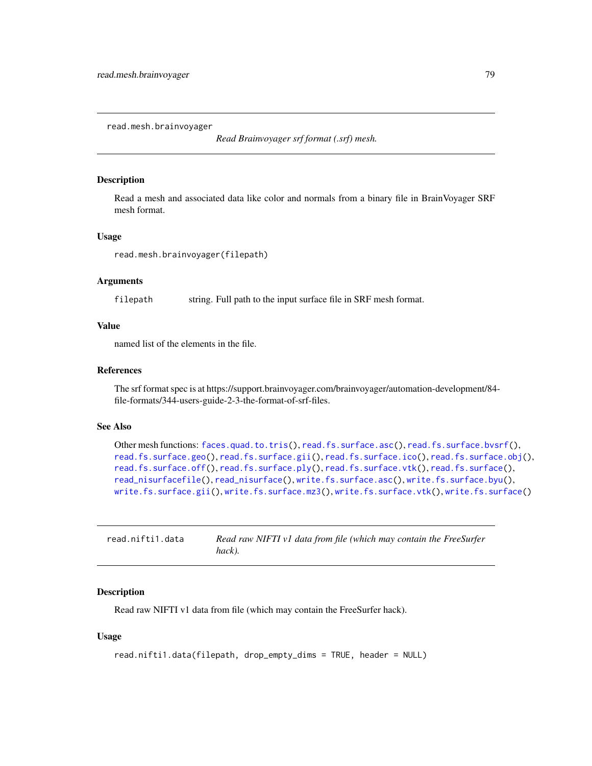<span id="page-78-0"></span>read.mesh.brainvoyager

*Read Brainvoyager srf format (.srf) mesh.*

# Description

Read a mesh and associated data like color and normals from a binary file in BrainVoyager SRF mesh format.

#### Usage

read.mesh.brainvoyager(filepath)

# Arguments

filepath string. Full path to the input surface file in SRF mesh format.

# Value

named list of the elements in the file.

#### References

The srf format spec is at https://support.brainvoyager.com/brainvoyager/automation-development/84 file-formats/344-users-guide-2-3-the-format-of-srf-files.

# See Also

```
Other mesh functions: faces.quad.to.tris(), read.fs.surface.asc(), read.fs.surface.bvsrf(),
read.fs.surface.geo(read.fs.surface.gii(read.fs.surface.ico(read.fs.surface.obj(),
read.fs.surface.off(), read.fs.surface.ply(), read.fs.surface.vtk(), read.fs.surface(),
read_nisurfacefile(), read_nisurface(), write.fs.surface.asc(), write.fs.surface.byu(),
write.fs.surface.gii(), write.fs.surface.mz3(), write.fs.surface.vtk(), write.fs.surface()
```

| read.nifti1.data | Read raw NIFTI v1 data from file (which may contain the FreeSurfer |
|------------------|--------------------------------------------------------------------|
|                  | hack).                                                             |

### Description

Read raw NIFTI v1 data from file (which may contain the FreeSurfer hack).

# Usage

```
read.nifti1.data(filepath, drop_empty_dims = TRUE, header = NULL)
```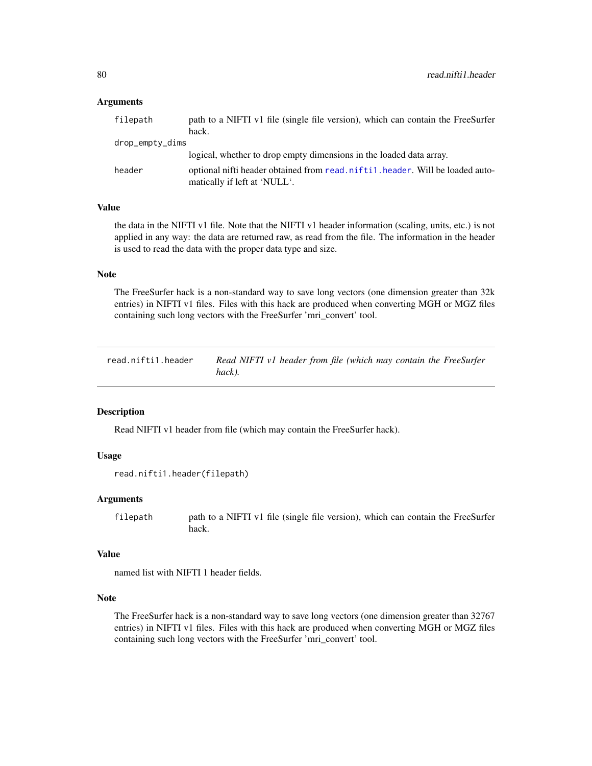### Arguments

| filepath        | path to a NIFTI v1 file (single file version), which can contain the FreeSurfer                                |
|-----------------|----------------------------------------------------------------------------------------------------------------|
|                 | hack.                                                                                                          |
| drop_empty_dims |                                                                                                                |
|                 | logical, whether to drop empty dimensions in the loaded data array.                                            |
| header          | optional nifti header obtained from read. nifti1. header. Will be loaded auto-<br>matically if left at 'NULL'. |

# Value

the data in the NIFTI v1 file. Note that the NIFTI v1 header information (scaling, units, etc.) is not applied in any way: the data are returned raw, as read from the file. The information in the header is used to read the data with the proper data type and size.

# Note

The FreeSurfer hack is a non-standard way to save long vectors (one dimension greater than 32k entries) in NIFTI v1 files. Files with this hack are produced when converting MGH or MGZ files containing such long vectors with the FreeSurfer 'mri\_convert' tool.

<span id="page-79-0"></span>read.nifti1.header *Read NIFTI v1 header from file (which may contain the FreeSurfer hack).*

# Description

Read NIFTI v1 header from file (which may contain the FreeSurfer hack).

## Usage

```
read.nifti1.header(filepath)
```
### Arguments

filepath path to a NIFTI v1 file (single file version), which can contain the FreeSurfer hack.

# Value

named list with NIFTI 1 header fields.

# Note

The FreeSurfer hack is a non-standard way to save long vectors (one dimension greater than 32767 entries) in NIFTI v1 files. Files with this hack are produced when converting MGH or MGZ files containing such long vectors with the FreeSurfer 'mri\_convert' tool.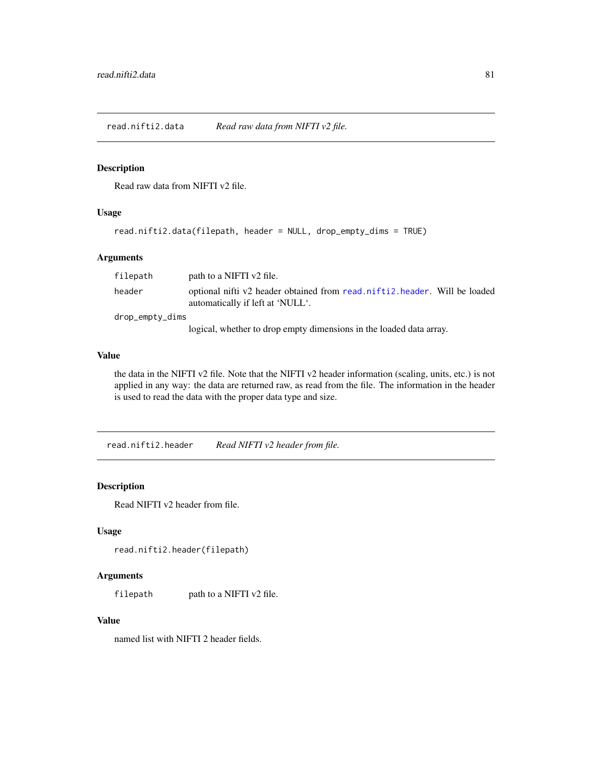read.nifti2.data *Read raw data from NIFTI v2 file.*

# Description

Read raw data from NIFTI v2 file.

# Usage

```
read.nifti2.data(filepath, header = NULL, drop_empty_dims = TRUE)
```
# Arguments

| filepath        | path to a NIFTI v2 file.                                                                                      |
|-----------------|---------------------------------------------------------------------------------------------------------------|
| header          | optional nifti v2 header obtained from read.nifti2.header. Will be loaded<br>automatically if left at 'NULL'. |
| drop_empty_dims |                                                                                                               |
|                 | logical, whether to drop empty dimensions in the loaded data array.                                           |

# Value

the data in the NIFTI v2 file. Note that the NIFTI v2 header information (scaling, units, etc.) is not applied in any way: the data are returned raw, as read from the file. The information in the header is used to read the data with the proper data type and size.

<span id="page-80-0"></span>read.nifti2.header *Read NIFTI v2 header from file.*

# Description

Read NIFTI v2 header from file.

# Usage

```
read.nifti2.header(filepath)
```
# Arguments

filepath path to a NIFTI v2 file.

### Value

named list with NIFTI 2 header fields.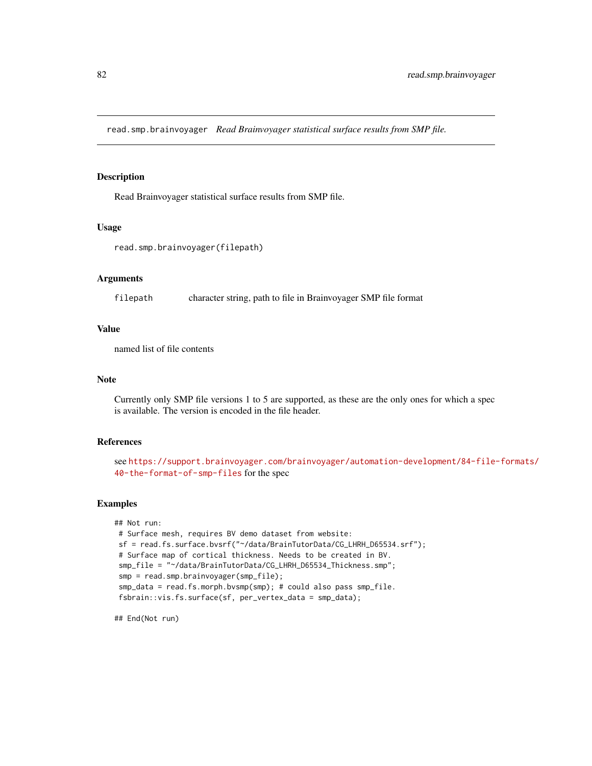read.smp.brainvoyager *Read Brainvoyager statistical surface results from SMP file.*

# Description

Read Brainvoyager statistical surface results from SMP file.

### Usage

```
read.smp.brainvoyager(filepath)
```
### Arguments

filepath character string, path to file in Brainvoyager SMP file format

### Value

named list of file contents

#### Note

Currently only SMP file versions 1 to 5 are supported, as these are the only ones for which a spec is available. The version is encoded in the file header.

## References

see [https://support.brainvoyager.com/brainvoyager/automation-development/84-file-](https://support.brainvoyager.com/brainvoyager/automation-development/84-file-formats/40-the-format-of-smp-files)formats/ [40-the-format-of-smp-files](https://support.brainvoyager.com/brainvoyager/automation-development/84-file-formats/40-the-format-of-smp-files) for the spec

### Examples

```
## Not run:
# Surface mesh, requires BV demo dataset from website:
sf = read.fs.surface.bvsrf("~/data/BrainTutorData/CG_LHRH_D65534.srf");
# Surface map of cortical thickness. Needs to be created in BV.
smp_file = "~/data/BrainTutorData/CG_LHRH_D65534_Thickness.smp";
 smp = read.smp.brainvoyager(smp_file);
 smp_data = read.fs.morph.bvsmp(smp); # could also pass smp_file.
 fsbrain::vis.fs.surface(sf, per_vertex_data = smp_data);
```
## End(Not run)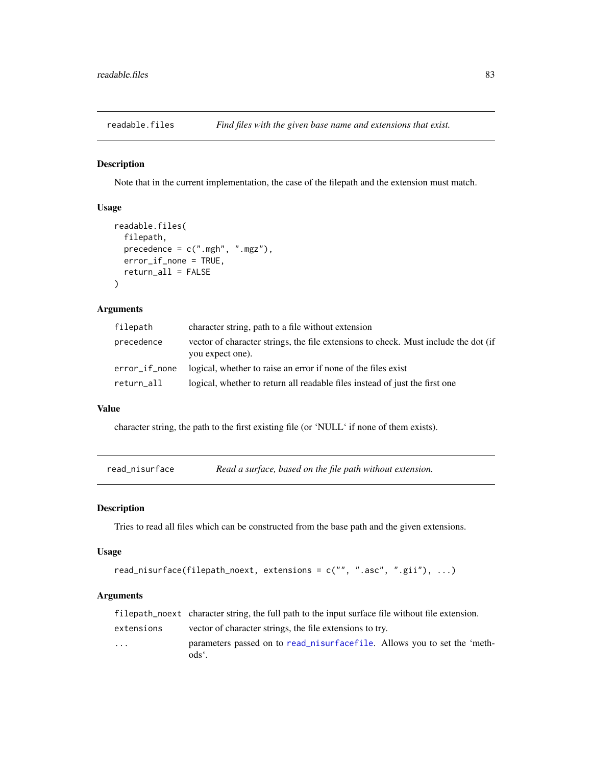readable.files *Find files with the given base name and extensions that exist.*

# Description

Note that in the current implementation, the case of the filepath and the extension must match.

# Usage

```
readable.files(
  filepath,
  precedence = c(".\text{mgh", ".\text{mgz"}},error_if_none = TRUE,
  return_all = FALSE
\lambda
```
# Arguments

| filepath      | character string, path to a file without extension                                                      |
|---------------|---------------------------------------------------------------------------------------------------------|
| precedence    | vector of character strings, the file extensions to check. Must include the dot (if<br>you expect one). |
| error_if_none | logical, whether to raise an error if none of the files exist                                           |
| return_all    | logical, whether to return all readable files instead of just the first one                             |

## Value

character string, the path to the first existing file (or 'NULL' if none of them exists).

<span id="page-82-0"></span>read\_nisurface *Read a surface, based on the file path without extension.*

#### Description

Tries to read all files which can be constructed from the base path and the given extensions.

### Usage

```
read_nisurface(filepath_noext, extensions = c("", ".asc", ".gii"), ...)
```
# Arguments

|                         | filepath no ext character string, the full path to the input surface file without file extension. |
|-------------------------|---------------------------------------------------------------------------------------------------|
| extensions              | vector of character strings, the file extensions to try.                                          |
| $\cdot$ $\cdot$ $\cdot$ | parameters passed on to read_nisurfacefile. Allows you to set the 'meth-<br>ods <sup>e</sup> .    |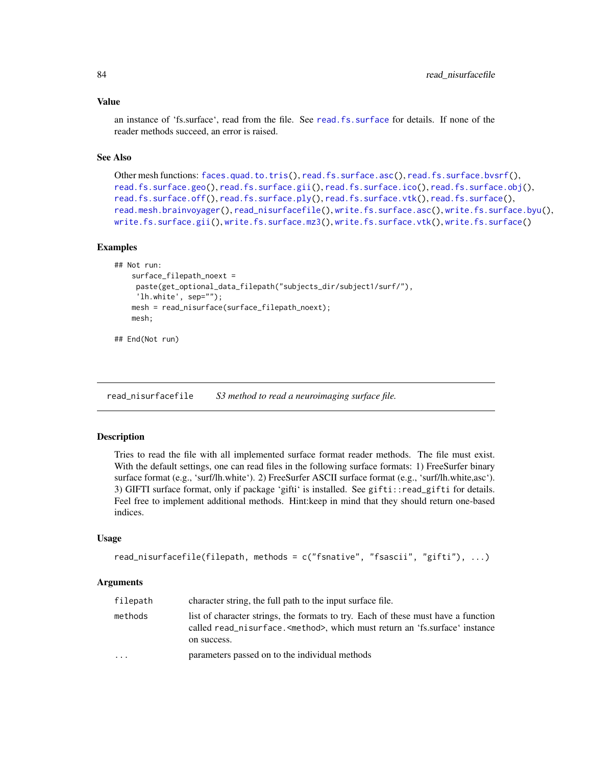#### Value

an instance of 'fs.surface', read from the file. See [read.fs.surface](#page-59-0) for details. If none of the reader methods succeed, an error is raised.

## See Also

```
Other mesh functions: faces.quad.to.tris(), read.fs.surface.asc(), read.fs.surface.bvsrf(),
read.fs.surface.geo(read.fs.surface.gii(read.fs.surface.ico(read.fs.surface.obj(),
read.fs.surface.off(), read.fs.surface.ply(), read.fs.surface.vtk(), read.fs.surface(),
read.mesh.brainvoyager(), read_nisurfacefile(), write.fs.surface.asc(), write.fs.surface.byu(),
write.fs.surface.gii(), write.fs.surface.mz3(), write.fs.surface.vtk(), write.fs.surface()
```
### Examples

```
## Not run:
    surface_filepath_noext =
     paste(get_optional_data_filepath("subjects_dir/subject1/surf/"),
     'lh.white', sep="");
    mesh = read_nisurface(surface_filepath_noext);
   mesh;
```
## End(Not run)

<span id="page-83-0"></span>read\_nisurfacefile *S3 method to read a neuroimaging surface file.*

### Description

Tries to read the file with all implemented surface format reader methods. The file must exist. With the default settings, one can read files in the following surface formats: 1) FreeSurfer binary surface format (e.g., 'surf/lh.white'). 2) FreeSurfer ASCII surface format (e.g., 'surf/lh.white,asc'). 3) GIFTI surface format, only if package 'gifti' is installed. See gifti::read\_gifti for details. Feel free to implement additional methods. Hint:keep in mind that they should return one-based indices.

#### Usage

```
read_nisurfacefile(filepath, methods = c("fsnative", "fsascii", "gifti"), ...)
```
#### **Arguments**

| filepath                | character string, the full path to the input surface file.                                                                                                                                |
|-------------------------|-------------------------------------------------------------------------------------------------------------------------------------------------------------------------------------------|
| methods                 | list of character strings, the formats to try. Each of these must have a function<br>called read_nisurface. <method>, which must return an 'fs.surface' instance<br/>on success.</method> |
| $\cdot$ $\cdot$ $\cdot$ | parameters passed on to the individual methods                                                                                                                                            |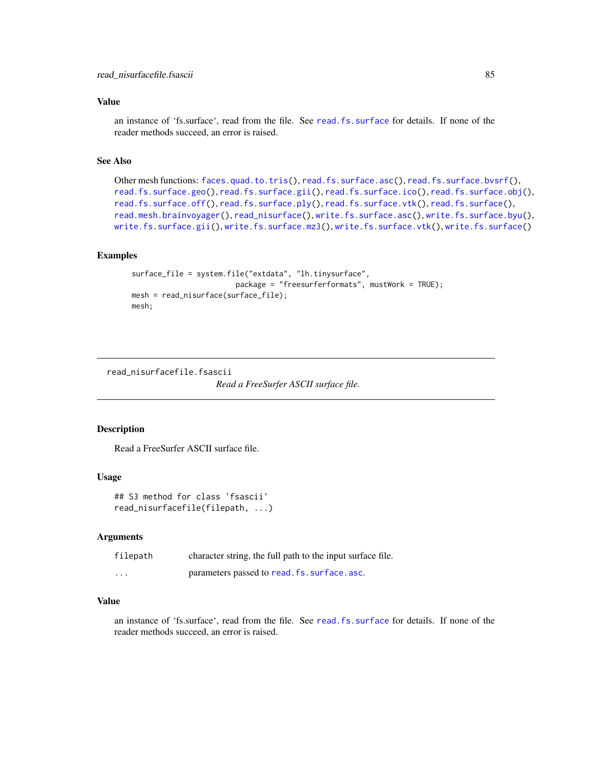## Value

an instance of 'fs.surface', read from the file. See [read.fs.surface](#page-59-0) for details. If none of the reader methods succeed, an error is raised.

# See Also

```
Other mesh functions: faces.quad.to.tris(), read.fs.surface.asc(), read.fs.surface.bvsrf(),
read.fs.surface.geo(read.fs.surface.gii(read.fs.surface.ico(read.fs.surface.obj(),
read.fs.surface.off(), read.fs.surface.ply(), read.fs.surface.vtk(), read.fs.surface(),
read.mesh.brainvoyager(), read_nisurface(), write.fs.surface.asc(), write.fs.surface.byu(),
write.fs.surface.gii(), write.fs.surface.mz3(), write.fs.surface.vtk(), write.fs.surface()
```
# Examples

```
surface_file = system.file("extdata", "lh.tinysurface",
                        package = "freesurferformats", mustWork = TRUE);
mesh = read_nisurface(surface_file);
mesh;
```
read\_nisurfacefile.fsascii

*Read a FreeSurfer ASCII surface file.*

## Description

Read a FreeSurfer ASCII surface file.

## Usage

```
## S3 method for class 'fsascii'
read_nisurfacefile(filepath, ...)
```
# Arguments

| filepath | character string, the full path to the input surface file. |
|----------|------------------------------------------------------------|
| $\cdots$ | parameters passed to read. fs. surface. asc.               |

## Value

an instance of 'fs.surface', read from the file. See [read.fs.surface](#page-59-0) for details. If none of the reader methods succeed, an error is raised.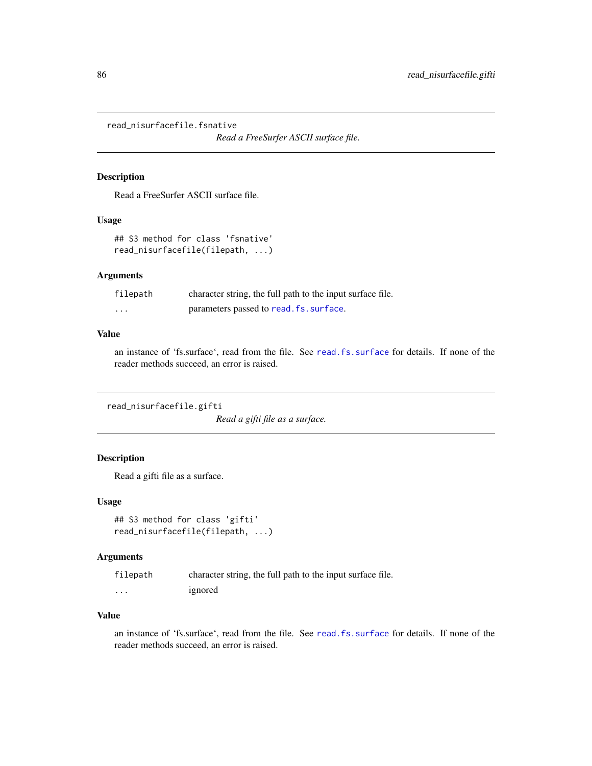read\_nisurfacefile.fsnative

*Read a FreeSurfer ASCII surface file.*

# Description

Read a FreeSurfer ASCII surface file.

# Usage

```
## S3 method for class 'fsnative'
read_nisurfacefile(filepath, ...)
```
### Arguments

| filepath | character string, the full path to the input surface file. |
|----------|------------------------------------------------------------|
| $\cdots$ | parameters passed to read. fs. surface.                    |

## Value

an instance of 'fs.surface', read from the file. See [read.fs.surface](#page-59-0) for details. If none of the reader methods succeed, an error is raised.

read\_nisurfacefile.gifti

*Read a gifti file as a surface.*

# Description

Read a gifti file as a surface.

## Usage

```
## S3 method for class 'gifti'
read_nisurfacefile(filepath, ...)
```
### Arguments

| filepath | character string, the full path to the input surface file. |
|----------|------------------------------------------------------------|
| $\cdots$ | ignored                                                    |

### Value

an instance of 'fs.surface', read from the file. See [read.fs.surface](#page-59-0) for details. If none of the reader methods succeed, an error is raised.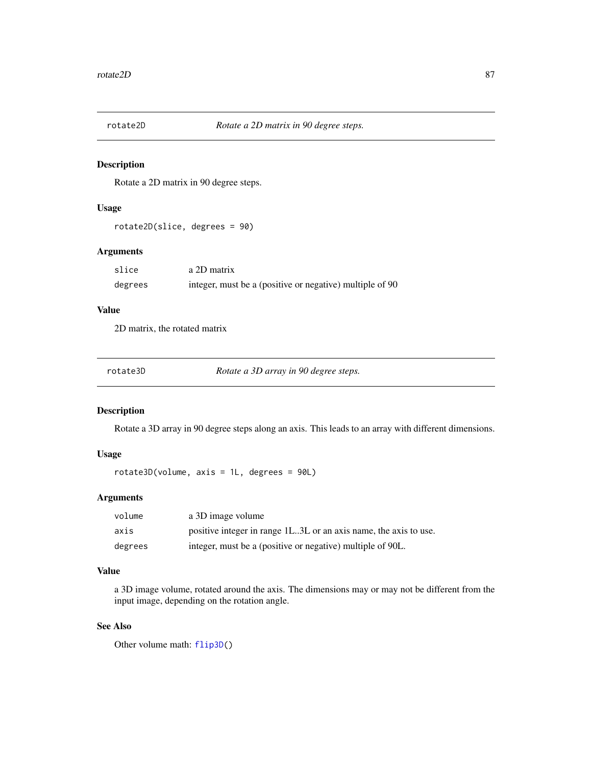# Description

Rotate a 2D matrix in 90 degree steps.

# Usage

rotate2D(slice, degrees = 90)

# Arguments

| slice   | a 2D matrix                                              |
|---------|----------------------------------------------------------|
| degrees | integer, must be a (positive or negative) multiple of 90 |

# Value

2D matrix, the rotated matrix

| rotate3D | Rotate a 3D array in 90 degree steps. |
|----------|---------------------------------------|
|----------|---------------------------------------|

# Description

Rotate a 3D array in 90 degree steps along an axis. This leads to an array with different dimensions.

# Usage

rotate3D(volume, axis = 1L, degrees = 90L)

# Arguments

| volume  | a 3D image volume                                                |
|---------|------------------------------------------------------------------|
| axis    | positive integer in range 1L3L or an axis name, the axis to use. |
| degrees | integer, must be a (positive or negative) multiple of 90L.       |

### Value

a 3D image volume, rotated around the axis. The dimensions may or may not be different from the input image, depending on the rotation angle.

# See Also

Other volume math: [flip3D\(](#page-11-1))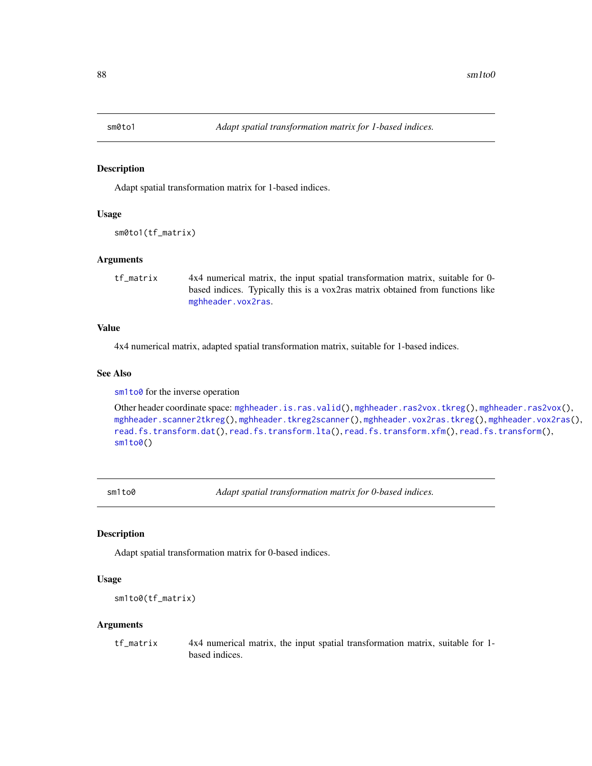<span id="page-87-0"></span>

### Description

Adapt spatial transformation matrix for 1-based indices.

#### Usage

sm0to1(tf\_matrix)

### Arguments

tf\_matrix 4x4 numerical matrix, the input spatial transformation matrix, suitable for 0 based indices. Typically this is a vox2ras matrix obtained from functions like [mghheader.vox2ras](#page-28-0).

### Value

4x4 numerical matrix, adapted spatial transformation matrix, suitable for 1-based indices.

# See Also

[sm1to0](#page-87-1) for the inverse operation

```
Other header coordinate space: mghheader.is.ras.valid(), mghheader.ras2vox.tkreg(), mghheader.ras2vox(),
mghheader.scanner2tkreg(), mghheader.tkreg2scanner(), mghheader.vox2ras.tkreg(), mghheader.vox2ras(),
read.fs.transform.dat(), read.fs.transform.lta(), read.fs.transform.xfm(), read.fs.transform(),
sm<sub>1</sub>to0()
```
sm1to0 *Adapt spatial transformation matrix for 0-based indices.*

# Description

Adapt spatial transformation matrix for 0-based indices.

### Usage

```
sm1to0(tf_matrix)
```
#### Arguments

tf\_matrix 4x4 numerical matrix, the input spatial transformation matrix, suitable for 1 based indices.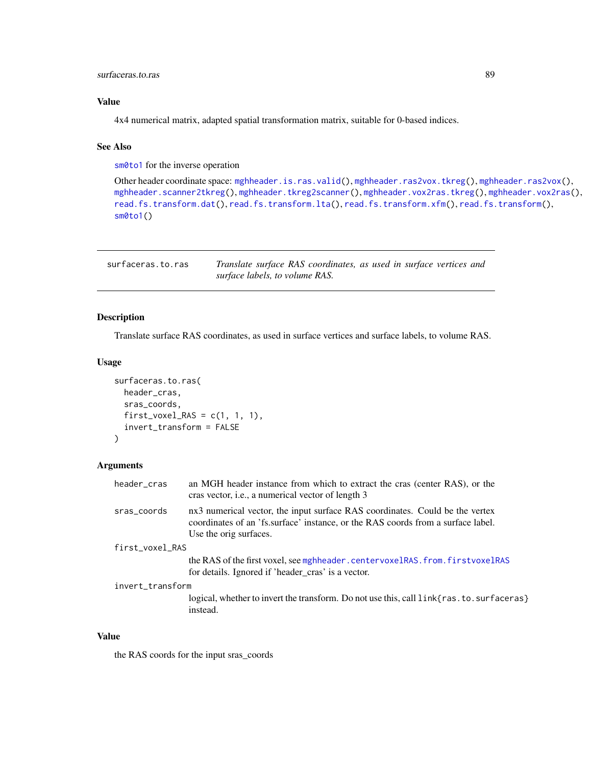# surfaceras.to.ras 89

# Value

4x4 numerical matrix, adapted spatial transformation matrix, suitable for 0-based indices.

# See Also

[sm0to1](#page-87-0) for the inverse operation

```
Other header coordinate space: mghheader.is.ras.valid(), mghheader.ras2vox.tkreg(), mghheader.ras2vox(),
mghheader.scanner2tkreg(), mghheader.tkreg2scanner(), mghheader.vox2ras.tkreg(), mghheader.vox2ras(),
read.fs.transform.dat(), read.fs.transform.lta(), read.fs.transform.xfm(), read.fs.transform(),
sm0to1()
```

| surfaceras.to.ras | Translate surface RAS coordinates, as used in surface vertices and |
|-------------------|--------------------------------------------------------------------|
|                   | surface labels, to volume RAS.                                     |

# Description

Translate surface RAS coordinates, as used in surface vertices and surface labels, to volume RAS.

#### Usage

```
surfaceras.to.ras(
  header_cras,
  sras_coords,
  first_vovel_RAS = c(1, 1, 1),invert_transform = FALSE
)
```
#### Arguments

| header_cras      | an MGH header instance from which to extract the cras (center RAS), or the<br>cras vector, <i>i.e.</i> , a numerical vector of length 3                                                    |
|------------------|--------------------------------------------------------------------------------------------------------------------------------------------------------------------------------------------|
| sras_coords      | nx3 numerical vector, the input surface RAS coordinates. Could be the vertex<br>coordinates of an 'fs.surface' instance, or the RAS coords from a surface label.<br>Use the orig surfaces. |
| first_voxel_RAS  |                                                                                                                                                                                            |
|                  | the RAS of the first voxel, see mghheader.centervoxelRAS.from.firstvoxelRAS<br>for details. Ignored if 'header_cras' is a vector.                                                          |
| invert_transform |                                                                                                                                                                                            |
|                  | logical, whether to invert the transform. Do not use this, call link{ras. to. surfaceras}<br>instead.                                                                                      |

## Value

the RAS coords for the input sras\_coords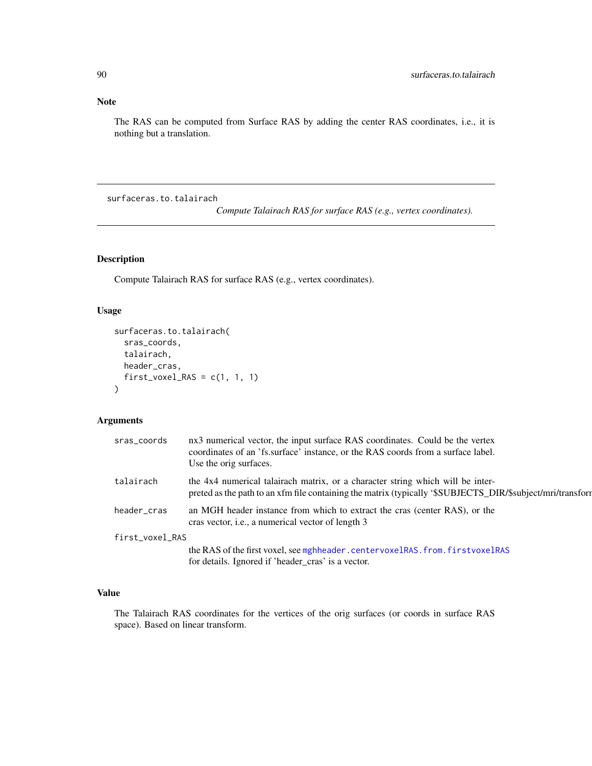# Note

The RAS can be computed from Surface RAS by adding the center RAS coordinates, i.e., it is nothing but a translation.

surfaceras.to.talairach

*Compute Talairach RAS for surface RAS (e.g., vertex coordinates).*

# Description

Compute Talairach RAS for surface RAS (e.g., vertex coordinates).

#### Usage

```
surfaceras.to.talairach(
  sras_coords,
  talairach,
 header_cras,
  first_voxel_RAS = c(1, 1, 1)\mathcal{L}
```
# Arguments

| sras_coords     | nx3 numerical vector, the input surface RAS coordinates. Could be the vertex<br>coordinates of an 'fs.surface' instance, or the RAS coords from a surface label.<br>Use the orig surfaces.   |
|-----------------|----------------------------------------------------------------------------------------------------------------------------------------------------------------------------------------------|
| talairach       | the 4x4 numerical talairach matrix, or a character string which will be inter-<br>preted as the path to an xfm file containing the matrix (typically '\$SUBJECTS_DIR/\$subject/mri/transform |
| header_cras     | an MGH header instance from which to extract the cras (center RAS), or the<br>cras vector, <i>i.e.</i> , a numerical vector of length 3                                                      |
| first_voxel_RAS |                                                                                                                                                                                              |
|                 | the RAS of the first voxel, see mghheader.centervoxelRAS.from.firstvoxelRAS                                                                                                                  |
|                 | for details. Ignored if 'header cras' is a vector.                                                                                                                                           |

# Value

The Talairach RAS coordinates for the vertices of the orig surfaces (or coords in surface RAS space). Based on linear transform.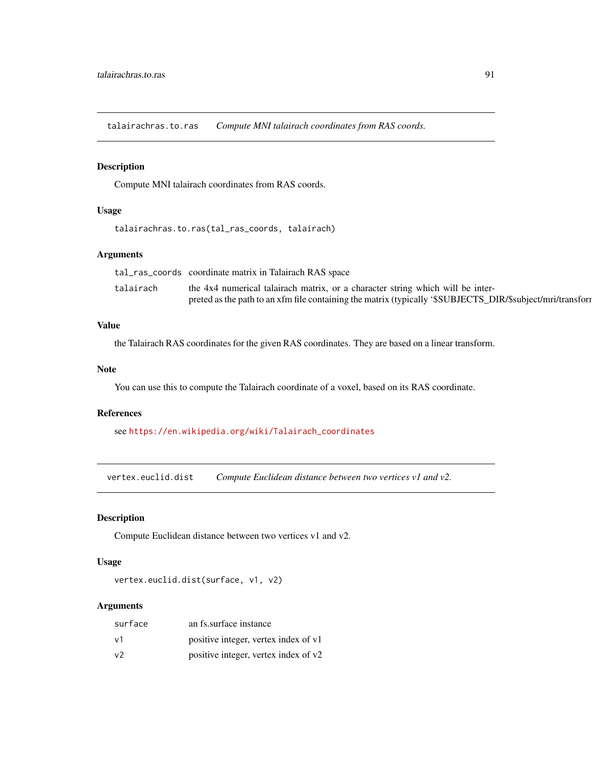talairachras.to.ras *Compute MNI talairach coordinates from RAS coords.*

# Description

Compute MNI talairach coordinates from RAS coords.

### Usage

```
talairachras.to.ras(tal_ras_coords, talairach)
```
# Arguments

|           | tal_ras_coords coordinate matrix in Talairach RAS space                                                    |
|-----------|------------------------------------------------------------------------------------------------------------|
| talairach | the 4x4 numerical talairach matrix, or a character string which will be inter-                             |
|           | preted as the path to an xfm file containing the matrix (typically '\$SUBJECTS_DIR/\$subject/mri/transform |

# Value

the Talairach RAS coordinates for the given RAS coordinates. They are based on a linear transform.

# Note

You can use this to compute the Talairach coordinate of a voxel, based on its RAS coordinate.

#### References

see [https://en.wikipedia.org/wiki/Talairach\\_coordinates](https://en.wikipedia.org/wiki/Talairach_coordinates)

<span id="page-90-0"></span>vertex.euclid.dist *Compute Euclidean distance between two vertices v1 and v2.*

# Description

Compute Euclidean distance between two vertices v1 and v2.

#### Usage

```
vertex.euclid.dist(surface, v1, v2)
```
# Arguments

| surface | an fs. surface instance              |
|---------|--------------------------------------|
| v1      | positive integer, vertex index of v1 |
| v2      | positive integer, vertex index of v2 |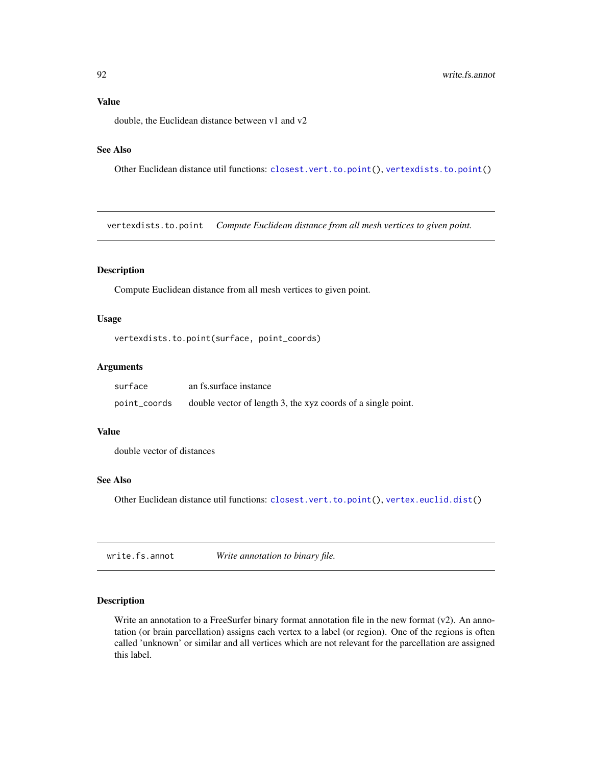# Value

double, the Euclidean distance between v1 and v2

# See Also

Other Euclidean distance util functions: [closest.vert.to.point\(](#page-6-0)), [vertexdists.to.point\(](#page-91-0))

<span id="page-91-0"></span>vertexdists.to.point *Compute Euclidean distance from all mesh vertices to given point.*

# Description

Compute Euclidean distance from all mesh vertices to given point.

### Usage

```
vertexdists.to.point(surface, point_coords)
```
# Arguments

| surface      | an fs. surface instance                                      |
|--------------|--------------------------------------------------------------|
| point_coords | double vector of length 3, the xyz coords of a single point. |

### Value

double vector of distances

### See Also

Other Euclidean distance util functions: [closest.vert.to.point\(](#page-6-0)), [vertex.euclid.dist\(](#page-90-0))

<span id="page-91-1"></span>write.fs.annot *Write annotation to binary file.*

# Description

Write an annotation to a FreeSurfer binary format annotation file in the new format  $(v2)$ . An annotation (or brain parcellation) assigns each vertex to a label (or region). One of the regions is often called 'unknown' or similar and all vertices which are not relevant for the parcellation are assigned this label.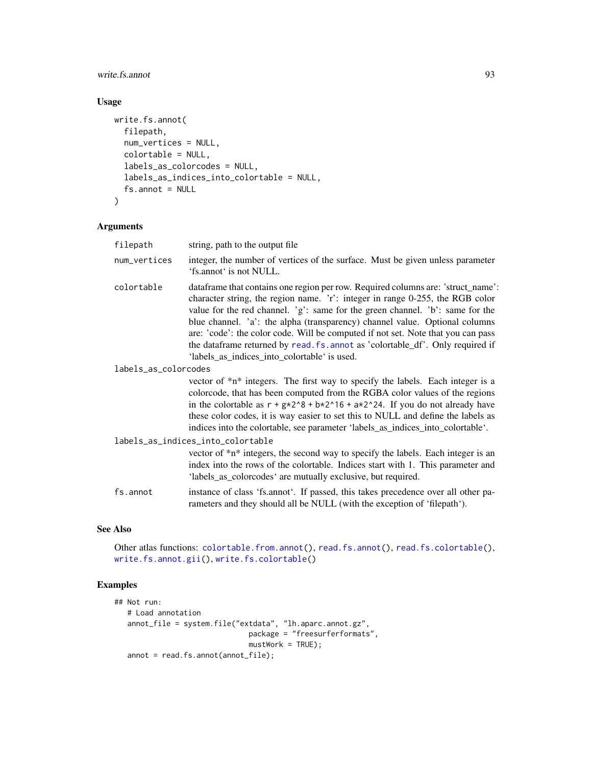write.fs.annot 93

# Usage

```
write.fs.annot(
  filepath,
  num_vertices = NULL,
  colortable = NULL,
  labels_as_colorcodes = NULL,
  labels_as_indices_into_colortable = NULL,
  fs. annot = NULL
\mathcal{L}
```
# Arguments

| filepath             | string, path to the output file.                                                                                                                                                                                                                                                                                                                                                                                                                                                                                                                        |  |
|----------------------|---------------------------------------------------------------------------------------------------------------------------------------------------------------------------------------------------------------------------------------------------------------------------------------------------------------------------------------------------------------------------------------------------------------------------------------------------------------------------------------------------------------------------------------------------------|--|
| num_vertices         | integer, the number of vertices of the surface. Must be given unless parameter<br>'fs.annot' is not NULL.                                                                                                                                                                                                                                                                                                                                                                                                                                               |  |
| colortable           | dataframe that contains one region per row. Required columns are: 'struct_name':<br>character string, the region name. 'r': integer in range 0-255, the RGB color<br>value for the red channel. 'g': same for the green channel. 'b': same for the<br>blue channel. 'a': the alpha (transparency) channel value. Optional columns<br>are: 'code': the color code. Will be computed if not set. Note that you can pass<br>the dataframe returned by read. fs. annot as 'colortable_df'. Only required if<br>'labels_as_indices_into_colortable' is used. |  |
| labels_as_colorcodes |                                                                                                                                                                                                                                                                                                                                                                                                                                                                                                                                                         |  |
|                      | vector of *n* integers. The first way to specify the labels. Each integer is a<br>colorcode, that has been computed from the RGBA color values of the regions<br>in the colortable as $r + g*2^8 + b*2^16 + a*2^24$ . If you do not already have<br>these color codes, it is way easier to set this to NULL and define the labels as<br>indices into the colortable, see parameter 'labels_as_indices_into_colortable'.                                                                                                                                 |  |
|                      | labels_as_indices_into_colortable                                                                                                                                                                                                                                                                                                                                                                                                                                                                                                                       |  |
|                      | vector of *n* integers, the second way to specify the labels. Each integer is an<br>index into the rows of the colortable. Indices start with 1. This parameter and<br>'labels_as_colorcodes' are mutually exclusive, but required.                                                                                                                                                                                                                                                                                                                     |  |
| fs.annot             | instance of class 'fs.annot'. If passed, this takes precedence over all other pa-<br>rameters and they should all be NULL (with the exception of 'filepath').                                                                                                                                                                                                                                                                                                                                                                                           |  |

## See Also

Other atlas functions: [colortable.from.annot\(](#page-6-1)), [read.fs.annot\(](#page-42-0)), [read.fs.colortable\(](#page-45-0)), [write.fs.annot.gii\(](#page-93-0)), [write.fs.colortable\(](#page-94-0))

# Examples

```
## Not run:
  # Load annotation
  annot_file = system.file("extdata", "lh.aparc.annot.gz",
                              package = "freesurferformats",
                              mustWork = TRUE;
  annot = read.fs.annot(annot_file);
```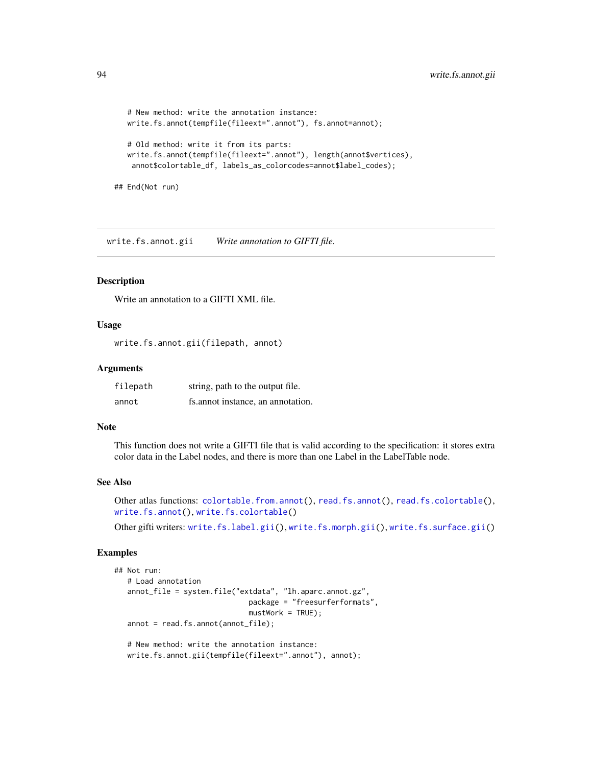```
# New method: write the annotation instance:
write.fs.annot(tempfile(fileext=".annot"), fs.annot=annot);
# Old method: write it from its parts:
write.fs.annot(tempfile(fileext=".annot"), length(annot$vertices),
 annot$colortable_df, labels_as_colorcodes=annot$label_codes);
```
## End(Not run)

<span id="page-93-0"></span>write.fs.annot.gii *Write annotation to GIFTI file.*

# Description

Write an annotation to a GIFTI XML file.

# Usage

write.fs.annot.gii(filepath, annot)

#### Arguments

| filepath | string, path to the output file.  |
|----------|-----------------------------------|
| annot    | fs.annot instance, an annotation. |

### Note

This function does not write a GIFTI file that is valid according to the specification: it stores extra color data in the Label nodes, and there is more than one Label in the LabelTable node.

#### See Also

Other atlas functions: [colortable.from.annot\(](#page-6-1)), [read.fs.annot\(](#page-42-0)), [read.fs.colortable\(](#page-45-0)), [write.fs.annot\(](#page-91-1)), [write.fs.colortable\(](#page-94-0))

Other gifti writers: [write.fs.label.gii\(](#page-97-0)), [write.fs.morph.gii\(](#page-100-1)), [write.fs.surface.gii\(](#page-109-0))

### Examples

```
## Not run:
  # Load annotation
  annot_file = system.file("extdata", "lh.aparc.annot.gz",
                               package = "freesurferformats",
                               mustWork = TRUE);
   annot = read.fs.annot(annot_file);
   # New method: write the annotation instance:
  write.fs.annot.gii(tempfile(fileext=".annot"), annot);
```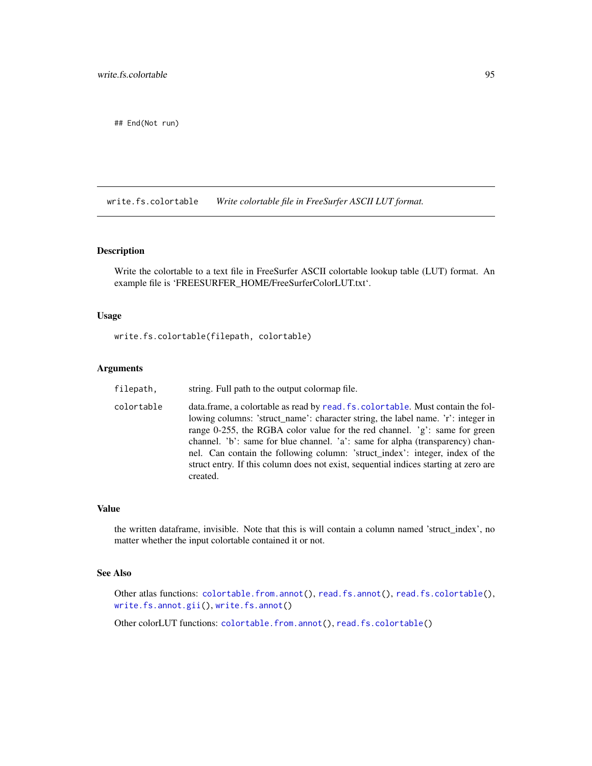## End(Not run)

<span id="page-94-0"></span>write.fs.colortable *Write colortable file in FreeSurfer ASCII LUT format.*

## Description

Write the colortable to a text file in FreeSurfer ASCII colortable lookup table (LUT) format. An example file is 'FREESURFER\_HOME/FreeSurferColorLUT.txt'.

# Usage

write.fs.colortable(filepath, colortable)

# Arguments

| filepath,  | string. Full path to the output colormap file.                                                                                                                                                                                                                                                                                                                                                                                                                                                                        |
|------------|-----------------------------------------------------------------------------------------------------------------------------------------------------------------------------------------------------------------------------------------------------------------------------------------------------------------------------------------------------------------------------------------------------------------------------------------------------------------------------------------------------------------------|
| colortable | data.frame, a colortable as read by read.fs.colortable. Must contain the fol-<br>lowing columns: 'struct_name': character string, the label name. 'r': integer in<br>range 0-255, the RGBA color value for the red channel. $g$ : same for green<br>channel. 'b': same for blue channel. 'a': same for alpha (transparency) chan-<br>nel. Can contain the following column: 'struct_index': integer, index of the<br>struct entry. If this column does not exist, sequential indices starting at zero are<br>created. |

# Value

the written dataframe, invisible. Note that this is will contain a column named 'struct\_index', no matter whether the input colortable contained it or not.

# See Also

Other atlas functions: [colortable.from.annot\(](#page-6-1)), [read.fs.annot\(](#page-42-0)), [read.fs.colortable\(](#page-45-0)), [write.fs.annot.gii\(](#page-93-0)), [write.fs.annot\(](#page-91-1))

Other colorLUT functions: [colortable.from.annot\(](#page-6-1)), [read.fs.colortable\(](#page-45-0))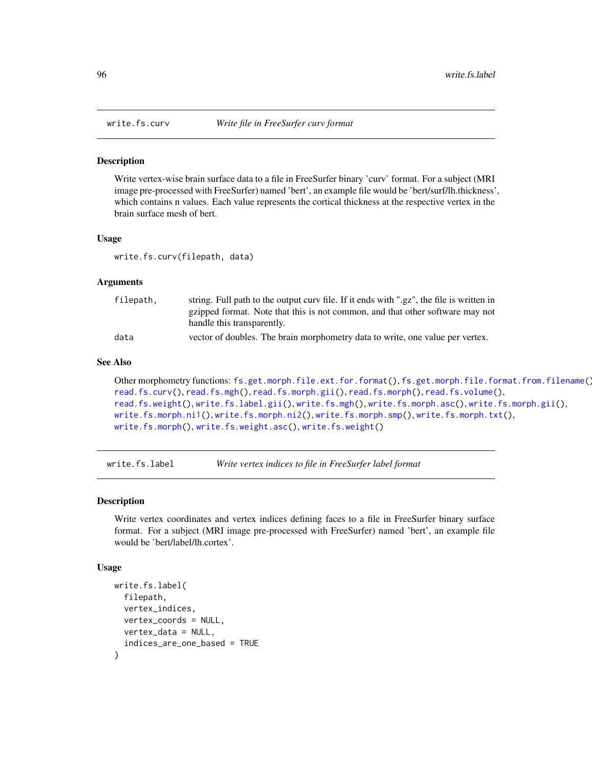<span id="page-95-0"></span>

#### **Description**

Write vertex-wise brain surface data to a file in FreeSurfer binary 'curv' format. For a subject (MRI image pre-processed with FreeSurfer) named 'bert', an example file would be 'bert/surf/lh.thickness', which contains n values. Each value represents the cortical thickness at the respective vertex in the brain surface mesh of bert.

## Usage

write.fs.curv(filepath, data)

### Arguments

| filepath, | string. Full path to the output curv file. If it ends with ".gz", the file is written in |
|-----------|------------------------------------------------------------------------------------------|
|           | gzipped format. Note that this is not common, and that other software may not            |
|           | handle this transparently.                                                               |
| data      | vector of doubles. The brain morphometry data to write, one value per vertex.            |

#### See Also

```
Other morphometry functions: fs.get.morph.file.ext.for.format(), fs.get.morph.file.format.from.filename(),
read.fs.curv(), read.fs.mgh(), read.fs.morph.gii(), read.fs.morph(), read.fs.volume(),
read.fs.weight(), write.fs.label.gii(), write.fs.mgh(), write.fs.morph.asc(), write.fs.morph.gii(),
write.fs.morph.ni1(), write.fs.morph.ni2(), write.fs.morph.smp(), write.fs.morph.txt(),
write.fs.morph(), write.fs.weight.asc(), write.fs.weight()
```
write.fs.label *Write vertex indices to file in FreeSurfer label format*

### **Description**

Write vertex coordinates and vertex indices defining faces to a file in FreeSurfer binary surface format. For a subject (MRI image pre-processed with FreeSurfer) named 'bert', an example file would be 'bert/label/lh.cortex'.

### Usage

```
write.fs.label(
  filepath,
  vertex_indices,
  vertex_coords = NULL,
  vertex_data = NULL,
  indices_are_one_based = TRUE
)
```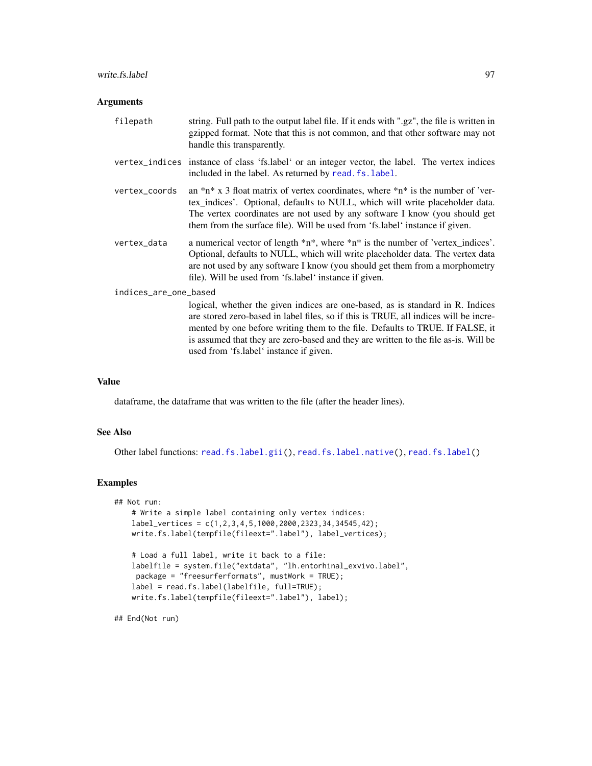#### write.fs.label 97

## Arguments

| filepath              | string. Full path to the output label file. If it ends with ".gz", the file is written in<br>gzipped format. Note that this is not common, and that other software may not<br>handle this transparently.                                                                                                                                                                                  |  |
|-----------------------|-------------------------------------------------------------------------------------------------------------------------------------------------------------------------------------------------------------------------------------------------------------------------------------------------------------------------------------------------------------------------------------------|--|
|                       | vertex_indices instance of class 'fs.label' or an integer vector, the label. The vertex indices<br>included in the label. As returned by read. fs. label.                                                                                                                                                                                                                                 |  |
| vertex_coords         | an $\pi^*$ x 3 float matrix of vertex coordinates, where $\pi^*$ is the number of 'ver-<br>tex_indices'. Optional, defaults to NULL, which will write placeholder data.<br>The vertex coordinates are not used by any software I know (you should get<br>them from the surface file). Will be used from 'fs.label' instance if given.                                                     |  |
| vertex_data           | a numerical vector of length $*n*,$ where $*n*$ is the number of 'vertex_indices'.<br>Optional, defaults to NULL, which will write placeholder data. The vertex data<br>are not used by any software I know (you should get them from a morphometry<br>file). Will be used from 'fs.label' instance if given.                                                                             |  |
| indices_are_one_based |                                                                                                                                                                                                                                                                                                                                                                                           |  |
|                       | logical, whether the given indices are one-based, as is standard in R. Indices<br>are stored zero-based in label files, so if this is TRUE, all indices will be incre-<br>mented by one before writing them to the file. Defaults to TRUE. If FALSE, it<br>is assumed that they are zero-based and they are written to the file as-is. Will be<br>used from 'fs.label' instance if given. |  |

# Value

dataframe, the dataframe that was written to the file (after the header lines).

## See Also

Other label functions: [read.fs.label.gii\(](#page-48-0)), [read.fs.label.native\(](#page-49-0)), [read.fs.label\(](#page-47-0))

### Examples

```
## Not run:
   # Write a simple label containing only vertex indices:
   label\_vertices = c(1, 2, 3, 4, 5, 1000, 2000, 2323, 34, 34545, 42);write.fs.label(tempfile(fileext=".label"), label_vertices);
    # Load a full label, write it back to a file:
   labelfile = system.file("extdata", "lh.entorhinal_exvivo.label",
    package = "freesurferformats", mustWork = TRUE);
   label = read.fs.label(labelfile, full=TRUE);
   write.fs.label(tempfile(fileext=".label"), label);
```
## End(Not run)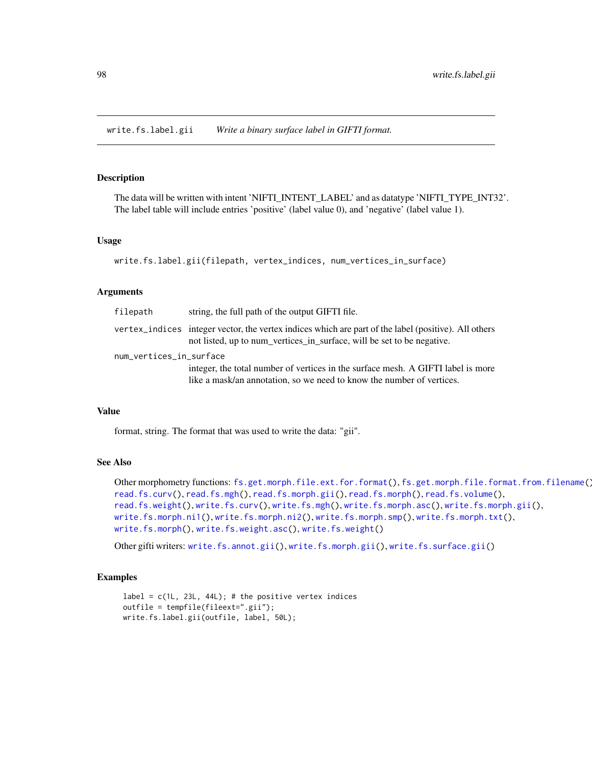<span id="page-97-0"></span>write.fs.label.gii *Write a binary surface label in GIFTI format.*

#### Description

The data will be written with intent 'NIFTI\_INTENT\_LABEL' and as datatype 'NIFTI\_TYPE\_INT32'. The label table will include entries 'positive' (label value 0), and 'negative' (label value 1).

#### Usage

```
write.fs.label.gii(filepath, vertex_indices, num_vertices_in_surface)
```
#### Arguments

| filepath                | string, the full path of the output GIFTI file.                                                                                                                                |  |
|-------------------------|--------------------------------------------------------------------------------------------------------------------------------------------------------------------------------|--|
|                         | vertex_indices integer vector, the vertex indices which are part of the label (positive). All others<br>not listed, up to num_vertices_in_surface, will be set to be negative. |  |
| num_vertices_in_surface |                                                                                                                                                                                |  |
|                         | integer, the total number of vertices in the surface mesh. A GIFTI label is more                                                                                               |  |
|                         | like a mask/an annotation, so we need to know the number of vertices.                                                                                                          |  |

#### Value

format, string. The format that was used to write the data: "gii".

### See Also

```
Other morphometry functions: fs.get.morph.file.ext.for.format(), fs.get.morph.file.format.from.filename(),
read.fs.curv(), read.fs.mgh(), read.fs.morph.gii(), read.fs.morph(), read.fs.volume(),
read.fs.weight(), write.fs.curv(), write.fs.mgh(), write.fs.morph.asc(), write.fs.morph.gii(),
write.fs.morph.ni1(), write.fs.morph.ni2(), write.fs.morph.smp(), write.fs.morph.txt(),
write.fs.morph(), write.fs.weight.asc(), write.fs.weight()
```
Other gifti writers: [write.fs.annot.gii\(](#page-93-0)), [write.fs.morph.gii\(](#page-100-1)), [write.fs.surface.gii\(](#page-109-0))

#### Examples

```
label = c(1L, 23L, 44L); # the positive vertex indices
outfile = tempfile(fileext=".gii");
write.fs.label.gii(outfile, label, 50L);
```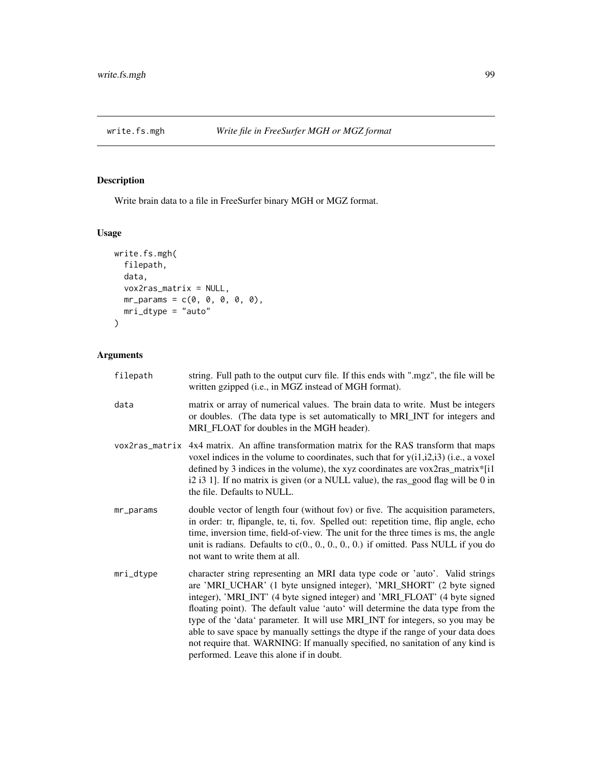<span id="page-98-0"></span>

# Description

Write brain data to a file in FreeSurfer binary MGH or MGZ format.

# Usage

```
write.fs.mgh(
 filepath,
 data,
 vox2ras_matrix = NULL,
 mr\_params = c(0, 0, 0, 0, 0),
 mri_dtype = "auto")
```
# Arguments

| filepath  | string. Full path to the output curv file. If this ends with ".mgz", the file will be<br>written gzipped (i.e., in MGZ instead of MGH format).                                                                                                                                                                                                                                                                                                                                                                                                                                                                            |
|-----------|---------------------------------------------------------------------------------------------------------------------------------------------------------------------------------------------------------------------------------------------------------------------------------------------------------------------------------------------------------------------------------------------------------------------------------------------------------------------------------------------------------------------------------------------------------------------------------------------------------------------------|
| data      | matrix or array of numerical values. The brain data to write. Must be integers<br>or doubles. (The data type is set automatically to MRI_INT for integers and<br>MRI_FLOAT for doubles in the MGH header).                                                                                                                                                                                                                                                                                                                                                                                                                |
|           | vox2ras_matrix 4x4 matrix. An affine transformation matrix for the RAS transform that maps<br>voxel indices in the volume to coordinates, such that for $y(i1,i2,i3)$ (i.e., a voxel<br>defined by 3 indices in the volume), the xyz coordinates are vox2ras_matrix*[i1]<br>i2 i3 1]. If no matrix is given (or a NULL value), the ras_good flag will be 0 in<br>the file. Defaults to NULL.                                                                                                                                                                                                                              |
| mr_params | double vector of length four (without fov) or five. The acquisition parameters,<br>in order: tr, flipangle, te, ti, fov. Spelled out: repetition time, flip angle, echo<br>time, inversion time, field-of-view. The unit for the three times is ms, the angle<br>unit is radians. Defaults to $c(0., 0., 0., 0., 0.)$ if omitted. Pass NULL if you do<br>not want to write them at all.                                                                                                                                                                                                                                   |
| mri_dtype | character string representing an MRI data type code or 'auto'. Valid strings<br>are 'MRI_UCHAR' (1 byte unsigned integer), 'MRI_SHORT' (2 byte signed<br>integer), 'MRI_INT' (4 byte signed integer) and 'MRI_FLOAT' (4 byte signed<br>floating point). The default value 'auto' will determine the data type from the<br>type of the 'data' parameter. It will use MRI_INT for integers, so you may be<br>able to save space by manually settings the dtype if the range of your data does<br>not require that. WARNING: If manually specified, no sanitation of any kind is<br>performed. Leave this alone if in doubt. |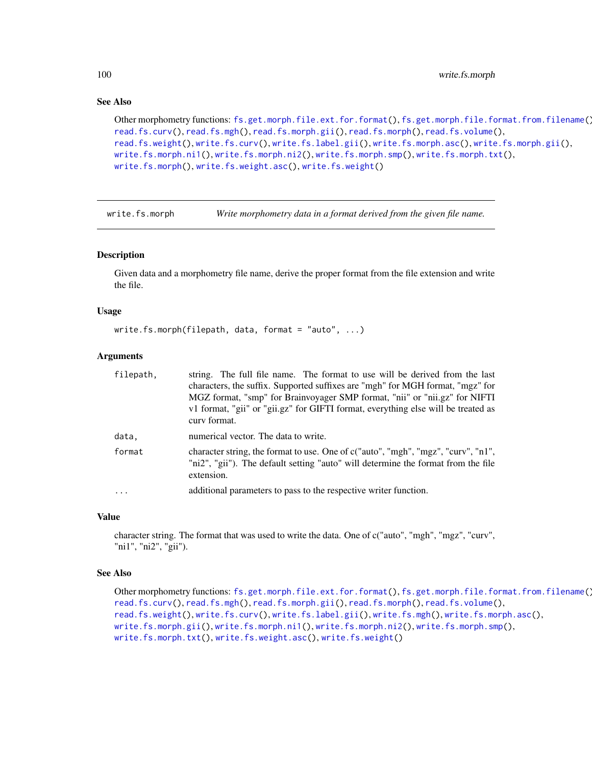# See Also

```
fs.get.morph.file.ext.for.format(fs.get.morph.file.format.from.filename()
read.fs.curv(), read.fs.mgh(), read.fs.morph.gii(), read.fs.morph(), read.fs.volume(),
read.fs.weight(), write.fs.curv(), write.fs.label.gii(), write.fs.morph.asc(), write.fs.morph.gii(),
write.fs.morph.ni1(), write.fs.morph.ni2(), write.fs.morph.smp(), write.fs.morph.txt(),
write.fs.morph(), write.fs.weight.asc(), write.fs.weight()
```
<span id="page-99-0"></span>write.fs.morph *Write morphometry data in a format derived from the given file name.*

### Description

Given data and a morphometry file name, derive the proper format from the file extension and write the file.

#### Usage

```
write.fs.morph(filepath, data, format = "auto", ...)
```
### Arguments

| filepath, | string. The full file name. The format to use will be derived from the last                                                                                                          |
|-----------|--------------------------------------------------------------------------------------------------------------------------------------------------------------------------------------|
|           | characters, the suffix. Supported suffixes are "mgh" for MGH format, "mgz" for                                                                                                       |
|           | MGZ format, "smp" for Brainvoyager SMP format, "nii" or "nii.gz" for NIFTI                                                                                                           |
|           | v1 format, "gii" or "gii.gz" for GIFTI format, everything else will be treated as<br>curv format.                                                                                    |
| data.     | numerical vector. The data to write.                                                                                                                                                 |
| format    | character string, the format to use. One of c("auto", "mgh", "mgz", "curv", "n1",<br>"ni2", "gii"). The default setting "auto" will determine the format from the file<br>extension. |
| $\ddots$  | additional parameters to pass to the respective writer function.                                                                                                                     |

# Value

character string. The format that was used to write the data. One of c("auto", "mgh", "mgz", "curv", "ni1", "ni2", "gii").

## See Also

```
Other morphometry functions: fs.get.morph.file.ext.for.format(), fs.get.morph.file.format.from.filename(),
read.fs.curv(), read.fs.mgh(), read.fs.morph.gii(), read.fs.morph(), read.fs.volume(),
read.fs.weight(), write.fs.curv(), write.fs.label.gii(), write.fs.mgh(), write.fs.morph.asc(),
write.fs.morph.gii(), write.fs.morph.ni1(), write.fs.morph.ni2(), write.fs.morph.smp(),
write.fs.morph.txt(), write.fs.weight.asc(), write.fs.weight()
```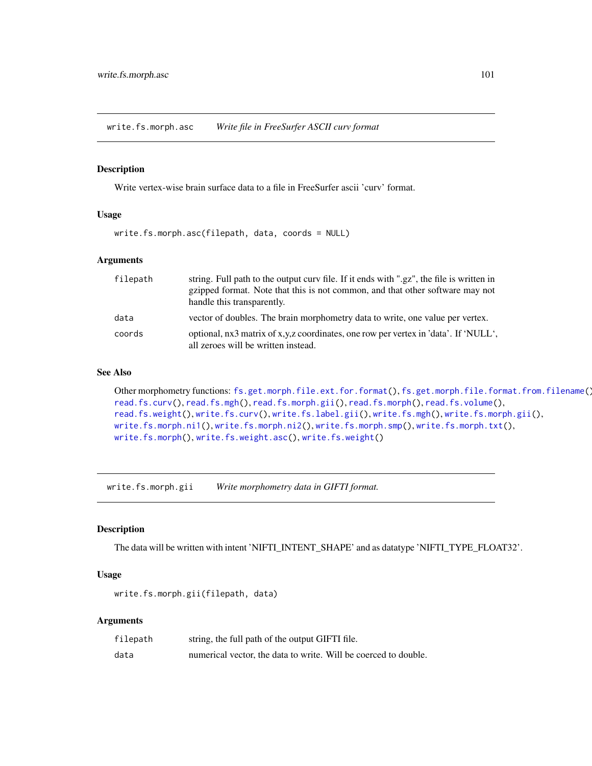<span id="page-100-0"></span>write.fs.morph.asc *Write file in FreeSurfer ASCII curv format*

## Description

Write vertex-wise brain surface data to a file in FreeSurfer ascii 'curv' format.

#### Usage

```
write.fs.morph.asc(filepath, data, coords = NULL)
```
### Arguments

| filepath | string. Full path to the output curv file. If it ends with ".gz", the file is written in                                   |
|----------|----------------------------------------------------------------------------------------------------------------------------|
|          | gzipped format. Note that this is not common, and that other software may not                                              |
|          | handle this transparently.                                                                                                 |
| data     | vector of doubles. The brain morphometry data to write, one value per vertex.                                              |
| coords   | optional, nx3 matrix of x,y,z coordinates, one row per vertex in 'data'. If 'NULL',<br>all zeroes will be written instead. |

# See Also

```
Other morphometry functions: fs.get.morph.file.ext.for.format(), fs.get.morph.file.format.from.filename(),
read.fs.curv(), read.fs.mgh(), read.fs.morph.gii(), read.fs.morph(), read.fs.volume(),
read.fs.weight(), write.fs.curv(), write.fs.label.gii(), write.fs.mgh(), write.fs.morph.gii(),
write.fs.morph.ni1(), write.fs.morph.ni2(), write.fs.morph.smp(), write.fs.morph.txt(),
write.fs.morph(), write.fs.weight.asc(), write.fs.weight()
```
<span id="page-100-1"></span>write.fs.morph.gii *Write morphometry data in GIFTI format.*

#### Description

The data will be written with intent 'NIFTI\_INTENT\_SHAPE' and as datatype 'NIFTI\_TYPE\_FLOAT32'.

# Usage

```
write.fs.morph.gii(filepath, data)
```
# Arguments

| filepath | string, the full path of the output GIFTI file.                 |
|----------|-----------------------------------------------------------------|
| data     | numerical vector, the data to write. Will be coerced to double. |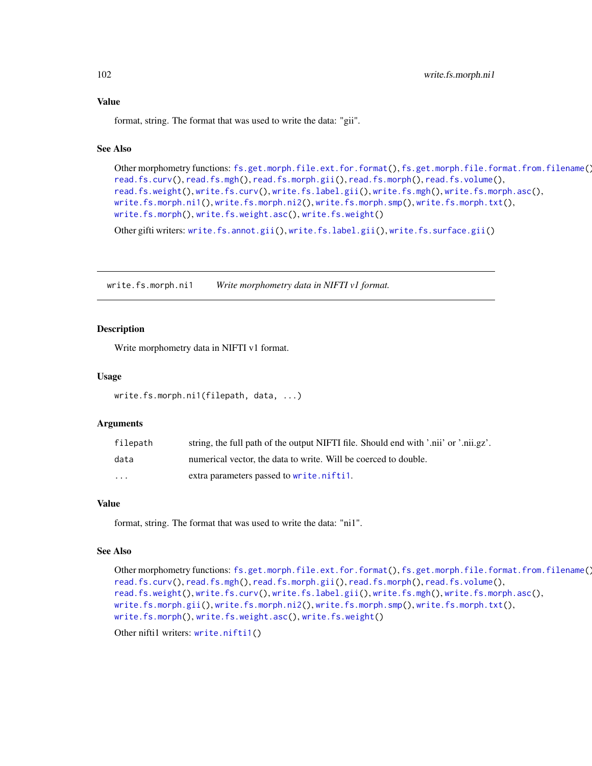format, string. The format that was used to write the data: "gii".

# See Also

```
Other morphometry functions: fs.get.morph.file.ext.for.format(), fs.get.morph.file.format.from.filename(),
read.fs.curv(), read.fs.mgh(), read.fs.morph.gii(), read.fs.morph(), read.fs.volume(),
read.fs.weight(), write.fs.curv(), write.fs.label.gii(), write.fs.mgh(), write.fs.morph.asc(),
write.fs.morph.ni1(), write.fs.morph.ni2(), write.fs.morph.smp(), write.fs.morph.txt(),
write.fs.morph(), write.fs.weight.asc(), write.fs.weight()
```
Other gifti writers: [write.fs.annot.gii\(](#page-93-0)), [write.fs.label.gii\(](#page-97-0)), [write.fs.surface.gii\(](#page-109-0))

<span id="page-101-0"></span>write.fs.morph.ni1 *Write morphometry data in NIFTI v1 format.*

### Description

Write morphometry data in NIFTI v1 format.

#### Usage

```
write.fs.morph.ni1(filepath, data, ...)
```
#### Arguments

| filepath | string, the full path of the output NIFTI file. Should end with '.nii' or '.nii.gz'. |
|----------|--------------------------------------------------------------------------------------|
| data     | numerical vector, the data to write. Will be coerced to double.                      |
| $\cdots$ | extra parameters passed to write.nifti1.                                             |

### Value

format, string. The format that was used to write the data: "ni1".

#### See Also

```
Other morphometry functions: fs.get.morph.file.ext.for.format(), fs.get.morph.file.format.from.filename(),
read.fs.curv(), read.fs.mgh(), read.fs.morph.gii(), read.fs.morph(), read.fs.volume(),
read.fs.weight(), write.fs.curv(), write.fs.label.gii(), write.fs.mgh(), write.fs.morph.asc(),
write.fs.morph.gii(), write.fs.morph.ni2(), write.fs.morph.smp(), write.fs.morph.txt(),
write.fs.morph(), write.fs.weight.asc(), write.fs.weight()
```
Other nifti1 writers: [write.nifti1\(](#page-118-0))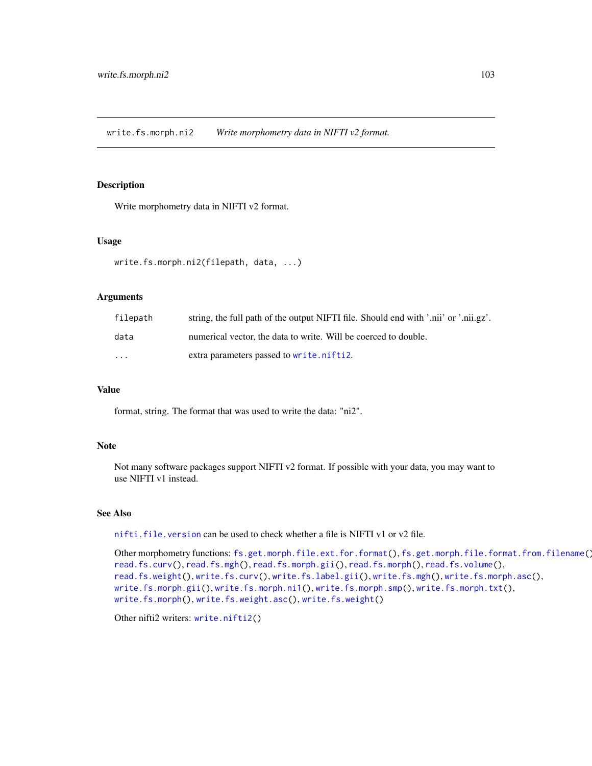<span id="page-102-0"></span>write.fs.morph.ni2 *Write morphometry data in NIFTI v2 format.*

# Description

Write morphometry data in NIFTI v2 format.

#### Usage

```
write.fs.morph.ni2(filepath, data, ...)
```
### **Arguments**

| filepath | string, the full path of the output NIFTI file. Should end with '.nii' or '.nii.gz'. |
|----------|--------------------------------------------------------------------------------------|
| data     | numerical vector, the data to write. Will be coerced to double.                      |
| $\cdots$ | extra parameters passed to write.nifti2.                                             |

#### Value

format, string. The format that was used to write the data: "ni2".

### Note

Not many software packages support NIFTI v2 format. If possible with your data, you may want to use NIFTI v1 instead.

#### See Also

[nifti.file.version](#page-35-0) can be used to check whether a file is NIFTI v1 or v2 file.

```
Other morphometry functions: fs.get.morph.file.ext.for.format(), fs.get.morph.file.format.from.filename(),
read.fs.curv(), read.fs.mgh(), read.fs.morph.gii(), read.fs.morph(), read.fs.volume(),
read.fs.weight(), write.fs.curv(), write.fs.label.gii(), write.fs.mgh(), write.fs.morph.asc(),
write.fs.morph.gii(), write.fs.morph.ni1(), write.fs.morph.smp(), write.fs.morph.txt(),
write.fs.morph(), write.fs.weight.asc(), write.fs.weight()
```
Other nifti2 writers: [write.nifti2\(](#page-118-1))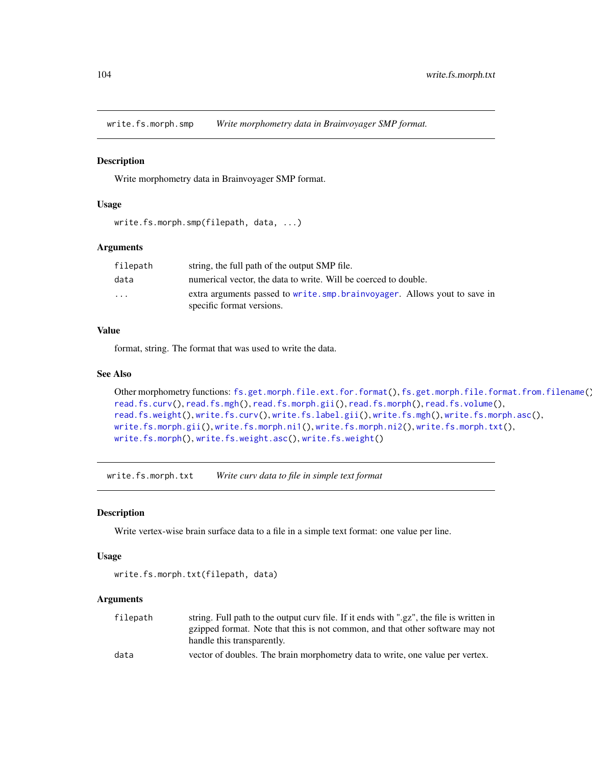<span id="page-103-0"></span>write.fs.morph.smp *Write morphometry data in Brainvoyager SMP format.*

#### Description

Write morphometry data in Brainvoyager SMP format.

#### Usage

```
write.fs.morph.smp(filepath, data, ...)
```
### Arguments

| filepath | string, the full path of the output SMP file.                                                         |
|----------|-------------------------------------------------------------------------------------------------------|
| data     | numerical vector, the data to write. Will be coerced to double.                                       |
| $\cdots$ | extra arguments passed to write.smp.brainvoyager. Allows yout to save in<br>specific format versions. |

# Value

format, string. The format that was used to write the data.

# See Also

```
Other morphometry functions: fs.get.morph.file.ext.for.format(), fs.get.morph.file.format.from.filename(),
read.fs.curv(), read.fs.mgh(), read.fs.morph.gii(), read.fs.morph(), read.fs.volume(),
read.fs.weight(), write.fs.curv(), write.fs.label.gii(), write.fs.mgh(), write.fs.morph.asc(),
write.fs.morph.gii(), write.fs.morph.ni1(), write.fs.morph.ni2(), write.fs.morph.txt(),
write.fs.morph(), write.fs.weight.asc(), write.fs.weight()
```
<span id="page-103-1"></span>write.fs.morph.txt *Write curv data to file in simple text format*

#### Description

Write vertex-wise brain surface data to a file in a simple text format: one value per line.

#### Usage

```
write.fs.morph.txt(filepath, data)
```
### Arguments

| filepath | string. Full path to the output curv file. If it ends with ".gz", the file is written in |
|----------|------------------------------------------------------------------------------------------|
|          | gzipped format. Note that this is not common, and that other software may not            |
|          | handle this transparently.                                                               |
| data     | vector of doubles. The brain morphometry data to write, one value per vertex.            |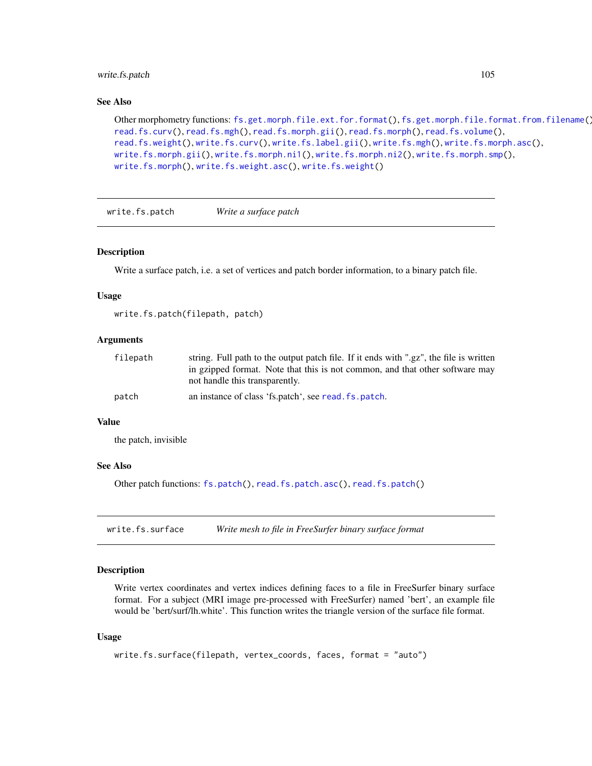# write.fs.patch 105

#### See Also

```
Other morphometry functions: fs.get.morph.file.ext.for.format(), fs.get.morph.file.format.from.filename(),
read.fs.curv(), read.fs.mgh(), read.fs.morph.gii(), read.fs.morph(), read.fs.volume(),
read.fs.weight(), write.fs.curv(), write.fs.label.gii(), write.fs.mgh(), write.fs.morph.asc(),
write.fs.morph.gii(), write.fs.morph.ni1(), write.fs.morph.ni2(), write.fs.morph.smp(),
write.fs.morph(), write.fs.weight.asc(), write.fs.weight()
```
write.fs.patch *Write a surface patch*

#### Description

Write a surface patch, i.e. a set of vertices and patch border information, to a binary patch file.

#### Usage

write.fs.patch(filepath, patch)

# Arguments

| filepath | string. Full path to the output patch file. If it ends with ".gz", the file is written<br>in gzipped format. Note that this is not common, and that other software may |
|----------|------------------------------------------------------------------------------------------------------------------------------------------------------------------------|
|          | not handle this transparently.                                                                                                                                         |
| patch    | an instance of class 'fs.patch', see read. fs.patch.                                                                                                                   |

#### Value

the patch, invisible

#### See Also

Other patch functions: [fs.patch\(](#page-13-0)), [read.fs.patch.asc\(](#page-59-1)), [read.fs.patch\(](#page-58-0))

<span id="page-104-0"></span>write.fs.surface *Write mesh to file in FreeSurfer binary surface format*

# Description

Write vertex coordinates and vertex indices defining faces to a file in FreeSurfer binary surface format. For a subject (MRI image pre-processed with FreeSurfer) named 'bert', an example file would be 'bert/surf/lh.white'. This function writes the triangle version of the surface file format.

### Usage

```
write.fs.surface(filepath, vertex_coords, faces, format = "auto")
```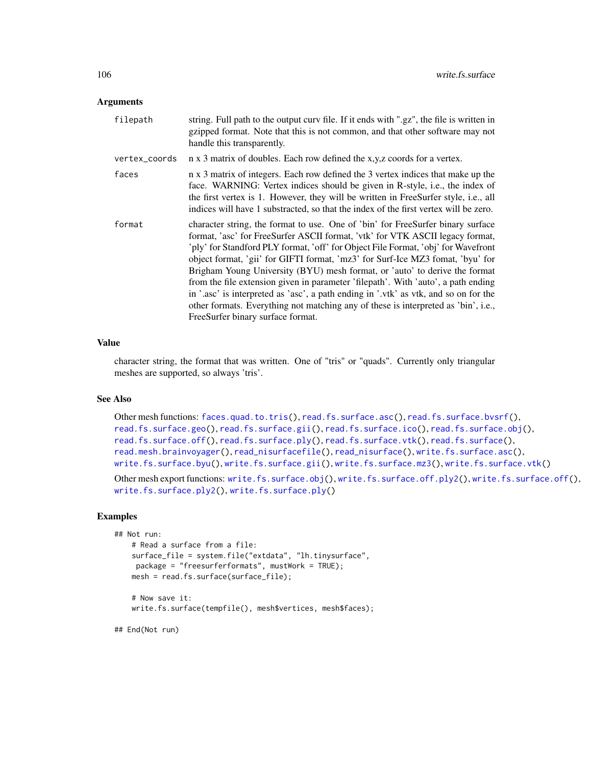#### **Arguments**

| filepath      | string. Full path to the output curv file. If it ends with ".gz", the file is written in<br>gzipped format. Note that this is not common, and that other software may not<br>handle this transparently.                                                                                                                                                                                                                                                                                                                                                                                                                                                                                                                       |
|---------------|-------------------------------------------------------------------------------------------------------------------------------------------------------------------------------------------------------------------------------------------------------------------------------------------------------------------------------------------------------------------------------------------------------------------------------------------------------------------------------------------------------------------------------------------------------------------------------------------------------------------------------------------------------------------------------------------------------------------------------|
| vertex_coords | n x 3 matrix of doubles. Each row defined the x,y,z coords for a vertex.                                                                                                                                                                                                                                                                                                                                                                                                                                                                                                                                                                                                                                                      |
| faces         | n x 3 matrix of integers. Each row defined the 3 vertex indices that make up the<br>face. WARNING: Vertex indices should be given in R-style, i.e., the index of<br>the first vertex is 1. However, they will be written in FreeSurfer style, i.e., all<br>indices will have 1 substracted, so that the index of the first vertex will be zero.                                                                                                                                                                                                                                                                                                                                                                               |
| format        | character string, the format to use. One of 'bin' for FreeSurfer binary surface<br>format, 'asc' for FreeSurfer ASCII format, 'vtk' for VTK ASCII legacy format,<br>'ply' for Standford PLY format, 'off' for Object File Format, 'obj' for Wavefront<br>object format, 'gii' for GIFTI format, 'mz3' for Surf-Ice MZ3 fomat, 'byu' for<br>Brigham Young University (BYU) mesh format, or 'auto' to derive the format<br>from the file extension given in parameter 'filepath'. With 'auto', a path ending<br>in '.asc' is interpreted as 'asc', a path ending in '.vtk' as vtk, and so on for the<br>other formats. Everything not matching any of these is interpreted as 'bin', i.e.,<br>FreeSurfer binary surface format. |

## Value

character string, the format that was written. One of "tris" or "quads". Currently only triangular meshes are supported, so always 'tris'.

# See Also

Other mesh functions: [faces.quad.to.tris\(](#page-9-0)), [read.fs.surface.asc\(](#page-60-0)), [read.fs.surface.bvsrf\(](#page-61-0)), [read.fs.surface.geo\(](#page-63-0)), [read.fs.surface.gii\(](#page-63-1)), [read.fs.surface.ico\(](#page-64-0)), [read.fs.surface.obj\(](#page-65-0)), [read.fs.surface.off\(](#page-66-0)), [read.fs.surface.ply\(](#page-67-0)), [read.fs.surface.vtk\(](#page-69-0)), [read.fs.surface\(](#page-59-0)), [read.mesh.brainvoyager\(](#page-78-0)), [read\\_nisurfacefile\(](#page-83-0)), [read\\_nisurface\(](#page-82-0)), [write.fs.surface.asc\(](#page-106-0)), [write.fs.surface.byu\(](#page-108-0)), [write.fs.surface.gii\(](#page-109-0)), [write.fs.surface.mz3\(](#page-110-0)), [write.fs.surface.vtk\(](#page-115-0))

Other mesh export functions: [write.fs.surface.obj\(](#page-111-0)), [write.fs.surface.off.ply2\(](#page-0-0)), [write.fs.surface.off\(](#page-112-0)), [write.fs.surface.ply2\(](#page-114-0)), [write.fs.surface.ply\(](#page-113-0))

# Examples

```
## Not run:
    # Read a surface from a file:
   surface_file = system.file("extdata", "lh.tinysurface",
    package = "freesurferformats", mustWork = TRUE);
   mesh = read.fs.surface(surface_file);
    # Now save it:
   write.fs.surface(tempfile(), mesh$vertices, mesh$faces);
```
## End(Not run)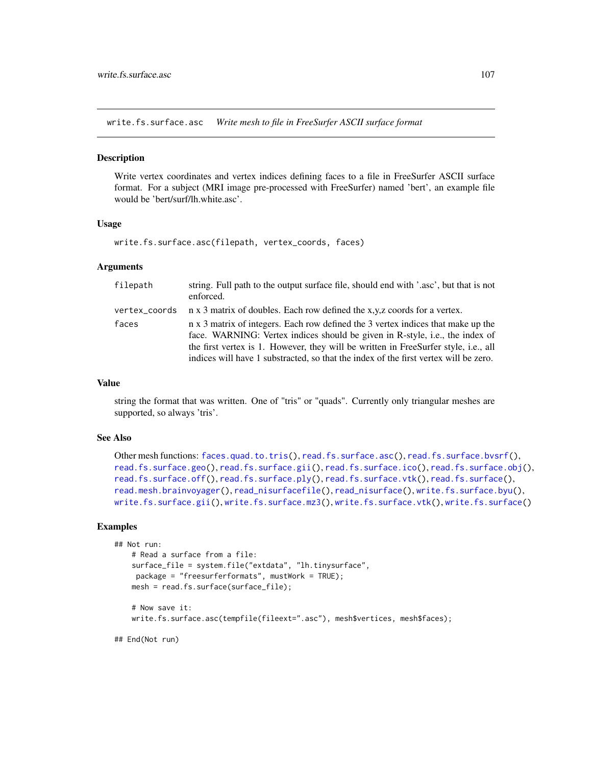<span id="page-106-0"></span>write.fs.surface.asc *Write mesh to file in FreeSurfer ASCII surface format*

#### **Description**

Write vertex coordinates and vertex indices defining faces to a file in FreeSurfer ASCII surface format. For a subject (MRI image pre-processed with FreeSurfer) named 'bert', an example file would be 'bert/surf/lh.white.asc'.

### Usage

write.fs.surface.asc(filepath, vertex\_coords, faces)

#### **Arguments**

| filepath      | string. Full path to the output surface file, should end with '.asc', but that is not<br>enforced.                                                                                                                                                                                                                                              |
|---------------|-------------------------------------------------------------------------------------------------------------------------------------------------------------------------------------------------------------------------------------------------------------------------------------------------------------------------------------------------|
| vertex_coords | n x 3 matrix of doubles. Each row defined the x,y,z coords for a vertex.                                                                                                                                                                                                                                                                        |
| faces         | n x 3 matrix of integers. Each row defined the 3 vertex indices that make up the<br>face. WARNING: Vertex indices should be given in R-style, i.e., the index of<br>the first vertex is 1. However, they will be written in FreeSurfer style, i.e., all<br>indices will have 1 substracted, so that the index of the first vertex will be zero. |

## Value

string the format that was written. One of "tris" or "quads". Currently only triangular meshes are supported, so always 'tris'.

# See Also

```
Other mesh functions: faces.quad.to.tris(), read.fs.surface.asc(), read.fs.surface.bvsrf(),
read.fs.surface.geo(read.fs.surface.gii(read.fs.surface.ico(read.fs.surface.obj(),
read.fs.surface.off(), read.fs.surface.ply(), read.fs.surface.vtk(), read.fs.surface(),
read.mesh.brainvoyager(), read_nisurfacefile(), read_nisurface(), write.fs.surface.byu(),
write.fs.surface.gii(), write.fs.surface.mz3(), write.fs.surface.vtk(), write.fs.surface()
```
## Examples

```
## Not run:
    # Read a surface from a file:
    surface_file = system.file("extdata", "lh.tinysurface",
    package = "freesurferformats", mustWork = TRUE);
   mesh = read.fs.surface(surface_file);
    # Now save it:
    write.fs.surface.asc(tempfile(fileext=".asc"), mesh$vertices, mesh$faces);
```
## End(Not run)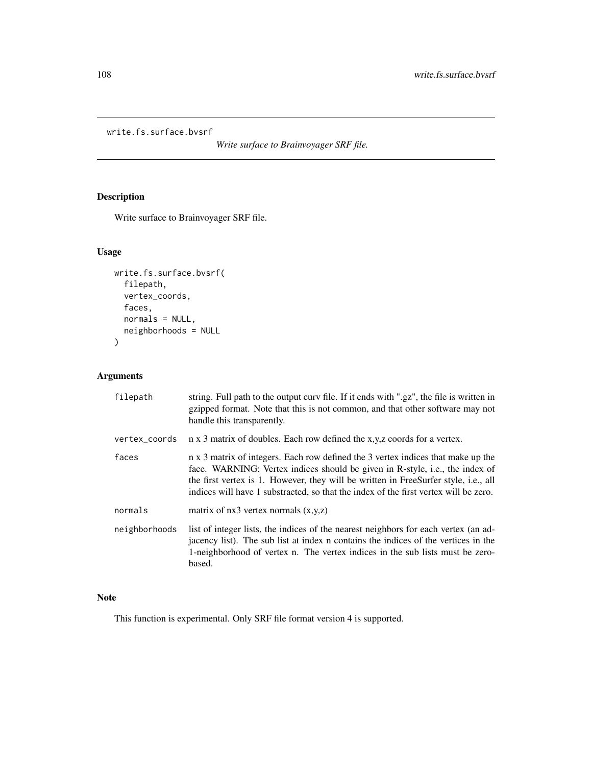```
write.fs.surface.bvsrf
```
*Write surface to Brainvoyager SRF file.*

# Description

Write surface to Brainvoyager SRF file.

# Usage

```
write.fs.surface.bvsrf(
  filepath,
  vertex_coords,
  faces,
  normals = NULL,
  neighborhoods = NULL
)
```
# Arguments

| filepath      | string. Full path to the output curv file. If it ends with ".gz", the file is written in<br>gzipped format. Note that this is not common, and that other software may not<br>handle this transparently.                                                                                                                                         |
|---------------|-------------------------------------------------------------------------------------------------------------------------------------------------------------------------------------------------------------------------------------------------------------------------------------------------------------------------------------------------|
| vertex_coords | n x 3 matrix of doubles. Each row defined the x,y,z coords for a vertex.                                                                                                                                                                                                                                                                        |
| faces         | n x 3 matrix of integers. Each row defined the 3 vertex indices that make up the<br>face. WARNING: Vertex indices should be given in R-style, i.e., the index of<br>the first vertex is 1. However, they will be written in FreeSurfer style, i.e., all<br>indices will have 1 substracted, so that the index of the first vertex will be zero. |
| normals       | matrix of $nx3$ vertex normals $(x,y,z)$                                                                                                                                                                                                                                                                                                        |
| neighborhoods | list of integer lists, the indices of the nearest neighbors for each vertex (an ad-<br>jacency list). The sub list at index n contains the indices of the vertices in the<br>1-neighborhood of vertex n. The vertex indices in the sub lists must be zero-<br>based.                                                                            |

# Note

This function is experimental. Only SRF file format version 4 is supported.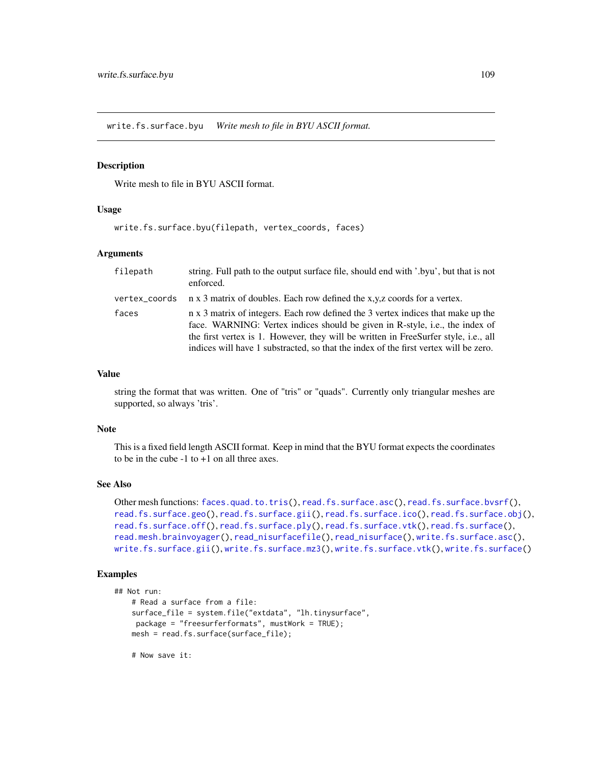<span id="page-108-1"></span><span id="page-108-0"></span>write.fs.surface.byu *Write mesh to file in BYU ASCII format.*

#### Description

Write mesh to file in BYU ASCII format.

#### Usage

```
write.fs.surface.byu(filepath, vertex_coords, faces)
```
#### Arguments

| filepath      | string. Full path to the output surface file, should end with '.byu', but that is not<br>enforced.                                                                                                                                                                                                                                              |
|---------------|-------------------------------------------------------------------------------------------------------------------------------------------------------------------------------------------------------------------------------------------------------------------------------------------------------------------------------------------------|
| vertex_coords | n x 3 matrix of doubles. Each row defined the x,y,z coords for a vertex.                                                                                                                                                                                                                                                                        |
| faces         | n x 3 matrix of integers. Each row defined the 3 vertex indices that make up the<br>face. WARNING: Vertex indices should be given in R-style, i.e., the index of<br>the first vertex is 1. However, they will be written in FreeSurfer style, i.e., all<br>indices will have 1 substracted, so that the index of the first vertex will be zero. |

#### Value

string the format that was written. One of "tris" or "quads". Currently only triangular meshes are supported, so always 'tris'.

#### Note

This is a fixed field length ASCII format. Keep in mind that the BYU format expects the coordinates to be in the cube  $-1$  to  $+1$  on all three axes.

## See Also

```
Other mesh functions: faces.quad.to.tris(), read.fs.surface.asc(), read.fs.surface.bvsrf(),
read.fs.surface.geo(read.fs.surface.gii(read.fs.surface.ico(read.fs.surface.obj(),
read.fs.surface.off(), read.fs.surface.ply(), read.fs.surface.vtk(), read.fs.surface(),
read.mesh.brainvoyager(), read_nisurfacefile(), read_nisurface(), write.fs.surface.asc(),
write.fs.surface.gii(), write.fs.surface.mz3(), write.fs.surface.vtk(), write.fs.surface()
```
## Examples

```
## Not run:
    # Read a surface from a file:
    surface_file = system.file("extdata", "lh.tinysurface",
    package = "freesurferformats", mustWork = TRUE);
   mesh = read.fs.surface(surface_file);
```
# Now save it: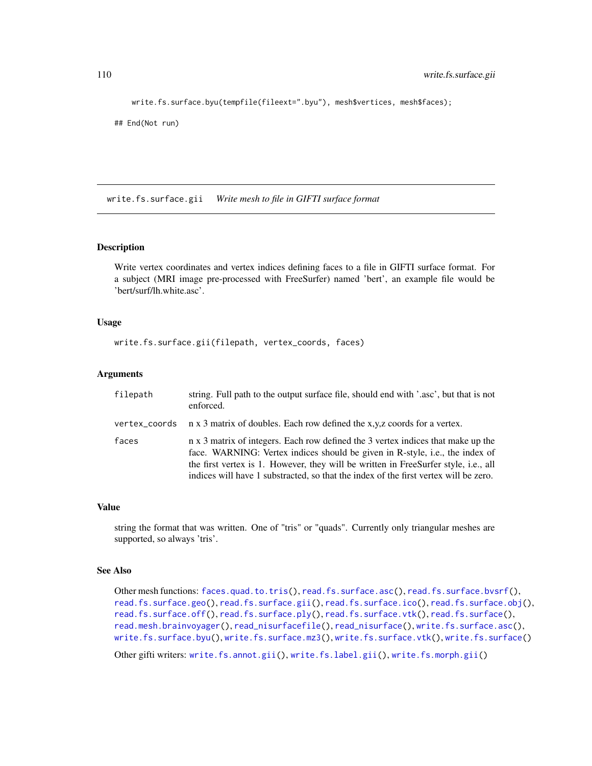```
write.fs.surface.byu(tempfile(fileext=".byu"), mesh$vertices, mesh$faces);
```

```
## End(Not run)
```
<span id="page-109-0"></span>write.fs.surface.gii *Write mesh to file in GIFTI surface format*

#### **Description**

Write vertex coordinates and vertex indices defining faces to a file in GIFTI surface format. For a subject (MRI image pre-processed with FreeSurfer) named 'bert', an example file would be 'bert/surf/lh.white.asc'.

#### Usage

```
write.fs.surface.gii(filepath, vertex_coords, faces)
```
#### Arguments

| filepath      | string. Full path to the output surface file, should end with '.asc', but that is not<br>enforced.                                                                                                                                                                                                                                              |
|---------------|-------------------------------------------------------------------------------------------------------------------------------------------------------------------------------------------------------------------------------------------------------------------------------------------------------------------------------------------------|
| vertex_coords | n x 3 matrix of doubles. Each row defined the x,y,z coords for a vertex.                                                                                                                                                                                                                                                                        |
| faces         | n x 3 matrix of integers. Each row defined the 3 vertex indices that make up the<br>face. WARNING: Vertex indices should be given in R-style, i.e., the index of<br>the first vertex is 1. However, they will be written in FreeSurfer style, i.e., all<br>indices will have 1 substracted, so that the index of the first vertex will be zero. |

#### Value

string the format that was written. One of "tris" or "quads". Currently only triangular meshes are supported, so always 'tris'.

## See Also

```
Other mesh functions: faces.quad.to.tris(), read.fs.surface.asc(), read.fs.surface.bvsrf(),
read.fs.surface.geo(read.fs.surface.gii(read.fs.surface.ico(read.fs.surface.obj(),
read.fs.surface.off(), read.fs.surface.ply(), read.fs.surface.vtk(), read.fs.surface(),
read.mesh.brainvoyager(), read_nisurfacefile(), read_nisurface(), write.fs.surface.asc(),
write.fs.surface.byu(write.fs.surface.mz3(write.fs.surface.vtk(write.fs.surface()
```
Other gifti writers: [write.fs.annot.gii\(](#page-93-0)), [write.fs.label.gii\(](#page-97-0)), [write.fs.morph.gii\(](#page-100-0))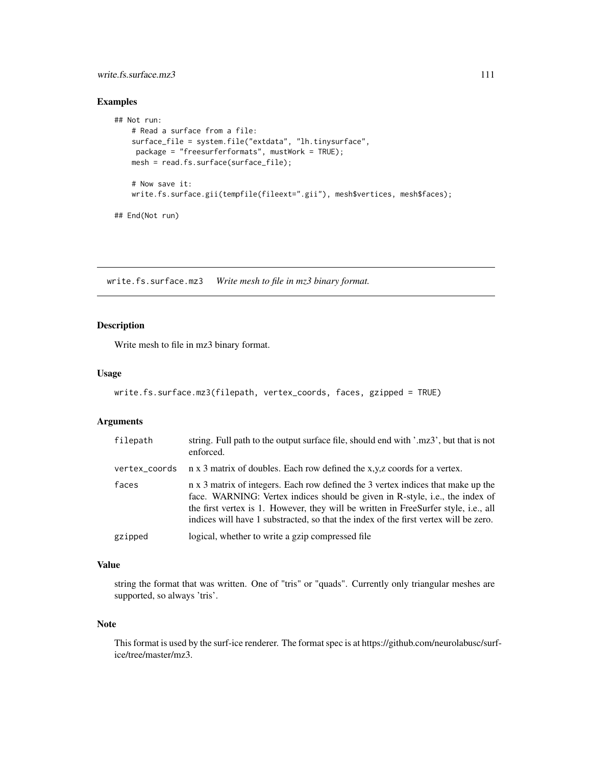## <span id="page-110-1"></span>write.fs.surface.mz3 111

## Examples

```
## Not run:
   # Read a surface from a file:
   surface_file = system.file("extdata", "lh.tinysurface",
    package = "freesurferformats", mustWork = TRUE);
   mesh = read.fs.surface(surface_file);
   # Now save it:
   write.fs.surface.gii(tempfile(fileext=".gii"), mesh$vertices, mesh$faces);
## End(Not run)
```
<span id="page-110-0"></span>write.fs.surface.mz3 *Write mesh to file in mz3 binary format.*

## Description

Write mesh to file in mz3 binary format.

## Usage

```
write.fs.surface.mz3(filepath, vertex_coords, faces, gzipped = TRUE)
```
## Arguments

| filepath      | string. Full path to the output surface file, should end with '.mz3', but that is not<br>enforced.                                                                                                                                                                                                                                              |
|---------------|-------------------------------------------------------------------------------------------------------------------------------------------------------------------------------------------------------------------------------------------------------------------------------------------------------------------------------------------------|
| vertex_coords | n x 3 matrix of doubles. Each row defined the x,y,z coords for a vertex.                                                                                                                                                                                                                                                                        |
| faces         | n x 3 matrix of integers. Each row defined the 3 vertex indices that make up the<br>face. WARNING: Vertex indices should be given in R-style, i.e., the index of<br>the first vertex is 1. However, they will be written in FreeSurfer style, i.e., all<br>indices will have 1 substracted, so that the index of the first vertex will be zero. |
| gzipped       | logical, whether to write a gzip compressed file                                                                                                                                                                                                                                                                                                |

## Value

string the format that was written. One of "tris" or "quads". Currently only triangular meshes are supported, so always 'tris'.

## Note

This format is used by the surf-ice renderer. The format spec is at https://github.com/neurolabusc/surfice/tree/master/mz3.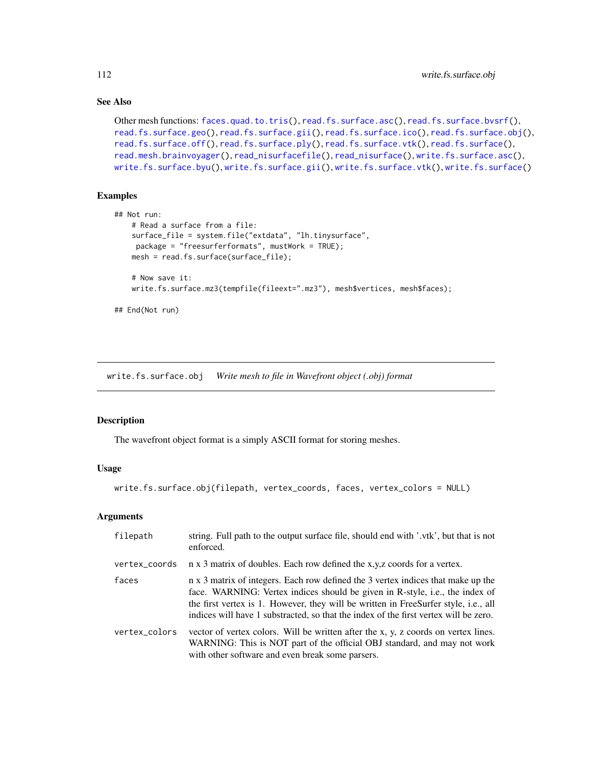## See Also

```
Other mesh functions: faces.quad.to.tris(), read.fs.surface.asc(), read.fs.surface.bvsrf(),
read.fs.surface.geo(read.fs.surface.gii(read.fs.surface.ico(read.fs.surface.obj(),
read.fs.surface.off(), read.fs.surface.ply(), read.fs.surface.vtk(), read.fs.surface(),
read.mesh.brainvoyager(), read_nisurfacefile(), read_nisurface(), write.fs.surface.asc(),
write.fs.surface.byu(), write.fs.surface.gii(), write.fs.surface.vtk(), write.fs.surface()
```
## Examples

```
## Not run:
    # Read a surface from a file:
   surface_file = system.file("extdata", "lh.tinysurface",
    package = "freesurferformats", mustWork = TRUE);
   mesh = read.fs.surface(surface_file);
    # Now save it:
   write.fs.surface.mz3(tempfile(fileext=".mz3"), mesh$vertices, mesh$faces);
```
## End(Not run)

<span id="page-111-0"></span>write.fs.surface.obj *Write mesh to file in Wavefront object (.obj) format*

#### Description

The wavefront object format is a simply ASCII format for storing meshes.

#### Usage

```
write.fs.surface.obj(filepath, vertex_coords, faces, vertex_colors = NULL)
```
#### Arguments

| filepath      | string. Full path to the output surface file, should end with '.vtk', but that is not<br>enforced.                                                                                                                                                                                                                                              |
|---------------|-------------------------------------------------------------------------------------------------------------------------------------------------------------------------------------------------------------------------------------------------------------------------------------------------------------------------------------------------|
| vertex_coords | n x 3 matrix of doubles. Each row defined the x,y,z coords for a vertex.                                                                                                                                                                                                                                                                        |
| faces         | n x 3 matrix of integers. Each row defined the 3 vertex indices that make up the<br>face. WARNING: Vertex indices should be given in R-style, i.e., the index of<br>the first vertex is 1. However, they will be written in FreeSurfer style, i.e., all<br>indices will have 1 substracted, so that the index of the first vertex will be zero. |
| vertex_colors | vector of vertex colors. Will be written after the x, y, z coords on vertex lines.<br>WARNING: This is NOT part of the official OBJ standard, and may not work<br>with other software and even break some parsers.                                                                                                                              |

<span id="page-111-1"></span>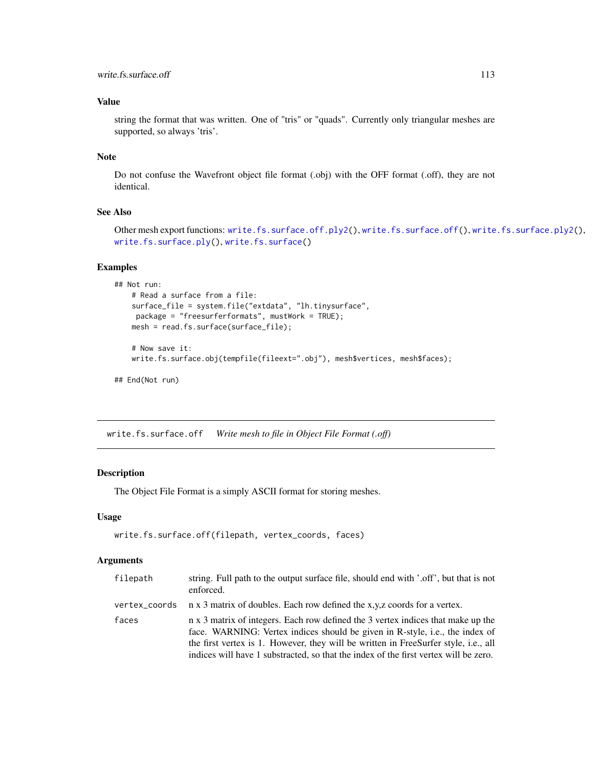## <span id="page-112-1"></span>Value

string the format that was written. One of "tris" or "quads". Currently only triangular meshes are supported, so always 'tris'.

## Note

Do not confuse the Wavefront object file format (.obj) with the OFF format (.off), they are not identical.

## See Also

Other mesh export functions: [write.fs.surface.off.ply2\(](#page-0-0)), [write.fs.surface.off\(](#page-112-0)), [write.fs.surface.ply2\(](#page-114-0)), [write.fs.surface.ply\(](#page-113-0)), [write.fs.surface\(](#page-104-0))

## Examples

```
## Not run:
   # Read a surface from a file:
   surface_file = system.file("extdata", "lh.tinysurface",
    package = "freesurferformats", mustWork = TRUE);
   mesh = read.fs.surface(surface_file);
    # Now save it:
   write.fs.surface.obj(tempfile(fileext=".obj"), mesh$vertices, mesh$faces);
## End(Not run)
```
<span id="page-112-0"></span>write.fs.surface.off *Write mesh to file in Object File Format (.off)*

## Description

The Object File Format is a simply ASCII format for storing meshes.

## Usage

```
write.fs.surface.off(filepath, vertex_coords, faces)
```
#### Arguments

| filepath | string. Full path to the output surface file, should end with '.off', but that is not<br>enforced.                                                                                                                                                                                                                                              |
|----------|-------------------------------------------------------------------------------------------------------------------------------------------------------------------------------------------------------------------------------------------------------------------------------------------------------------------------------------------------|
|          | vertex_coords $\pi$ x 3 matrix of doubles. Each row defined the x,y,z coords for a vertex.                                                                                                                                                                                                                                                      |
| faces    | n x 3 matrix of integers. Each row defined the 3 vertex indices that make up the<br>face. WARNING: Vertex indices should be given in R-style, i.e., the index of<br>the first vertex is 1. However, they will be written in FreeSurfer style, i.e., all<br>indices will have 1 substracted, so that the index of the first vertex will be zero. |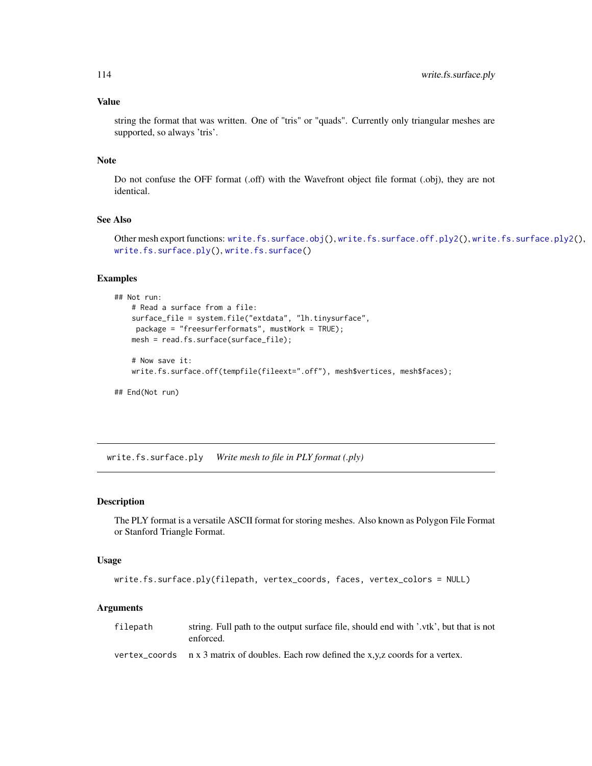## <span id="page-113-1"></span>Value

string the format that was written. One of "tris" or "quads". Currently only triangular meshes are supported, so always 'tris'.

#### Note

Do not confuse the OFF format (.off) with the Wavefront object file format (.obj), they are not identical.

#### See Also

Other mesh export functions: [write.fs.surface.obj\(](#page-111-0)), [write.fs.surface.off.ply2\(](#page-0-0)), [write.fs.surface.ply2\(](#page-114-0)), [write.fs.surface.ply\(](#page-113-0)), [write.fs.surface\(](#page-104-0))

#### Examples

```
## Not run:
    # Read a surface from a file:
    surface_file = system.file("extdata", "lh.tinysurface",
    package = "freesurferformats", mustWork = TRUE);
   mesh = read.fs.surface(surface_file);
    # Now save it:
   write.fs.surface.off(tempfile(fileext=".off"), mesh$vertices, mesh$faces);
## End(Not run)
```
<span id="page-113-0"></span>write.fs.surface.ply *Write mesh to file in PLY format (.ply)*

#### Description

The PLY format is a versatile ASCII format for storing meshes. Also known as Polygon File Format or Stanford Triangle Format.

#### Usage

```
write.fs.surface.ply(filepath, vertex_coords, faces, vertex_colors = NULL)
```
#### Arguments

filepath string. Full path to the output surface file, should end with '.vtk', but that is not enforced.

vertex\_coords  $n \times 3$  matrix of doubles. Each row defined the x,y,z coords for a vertex.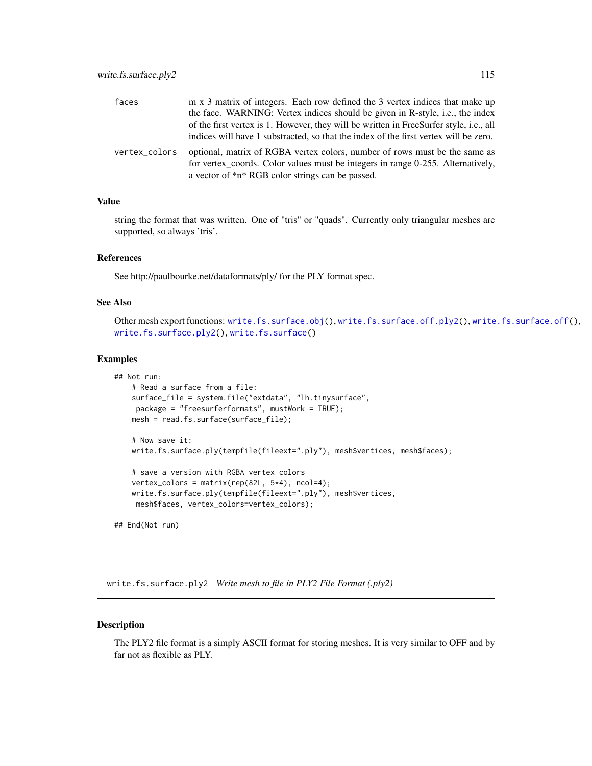<span id="page-114-1"></span>

| faces         | m x 3 matrix of integers. Each row defined the 3 vertex indices that make up                                                                                                                                      |
|---------------|-------------------------------------------------------------------------------------------------------------------------------------------------------------------------------------------------------------------|
|               | the face. WARNING: Vertex indices should be given in R-style, i.e., the index                                                                                                                                     |
|               | of the first vertex is 1. However, they will be written in FreeSurfer style, i.e., all                                                                                                                            |
|               | indices will have 1 substracted, so that the index of the first vertex will be zero.                                                                                                                              |
| vertex colors | optional, matrix of RGBA vertex colors, number of rows must be the same as<br>for vertex_coords. Color values must be integers in range 0-255. Alternatively,<br>a vector of *n* RGB color strings can be passed. |

## Value

string the format that was written. One of "tris" or "quads". Currently only triangular meshes are supported, so always 'tris'.

#### References

See http://paulbourke.net/dataformats/ply/ for the PLY format spec.

## See Also

Other mesh export functions: [write.fs.surface.obj\(](#page-111-0)), [write.fs.surface.off.ply2\(](#page-0-0)), [write.fs.surface.off\(](#page-112-0)), [write.fs.surface.ply2\(](#page-114-0)), [write.fs.surface\(](#page-104-0))

## Examples

```
## Not run:
    # Read a surface from a file:
   surface_file = system.file("extdata", "lh.tinysurface",
    package = "freesurferformats", mustWork = TRUE);
   mesh = read.fs.surface(surface_file);
   # Now save it:
   write.fs.surface.ply(tempfile(fileext=".ply"), mesh$vertices, mesh$faces);
    # save a version with RGBA vertex colors
   vertex_colors = matrix(rep(82L, 5*4), ncol=4);
   write.fs.surface.ply(tempfile(fileext=".ply"), mesh$vertices,
    mesh$faces, vertex_colors=vertex_colors);
## End(Not run)
```
<span id="page-114-0"></span>write.fs.surface.ply2 *Write mesh to file in PLY2 File Format (.ply2)*

#### Description

The PLY2 file format is a simply ASCII format for storing meshes. It is very similar to OFF and by far not as flexible as PLY.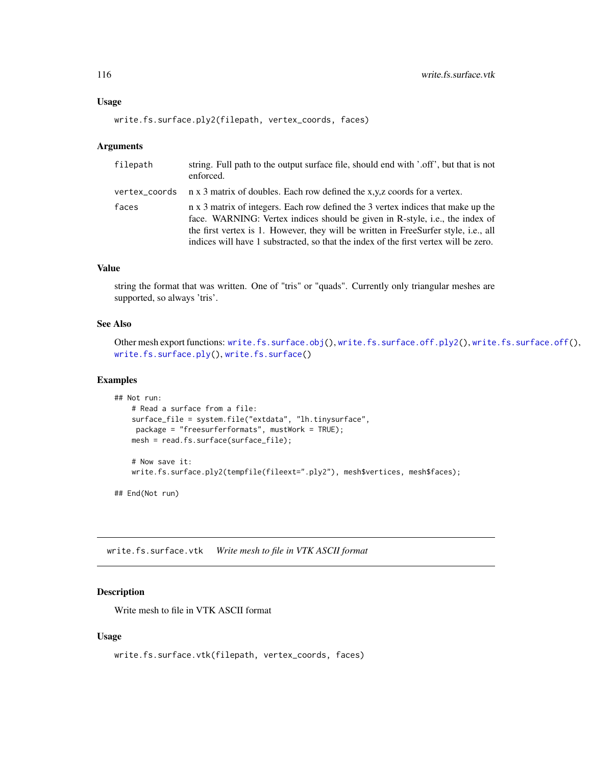#### Usage

```
write.fs.surface.ply2(filepath, vertex_coords, faces)
```
#### Arguments

| filepath | string. Full path to the output surface file, should end with '.off', but that is not<br>enforced.                                                                                                                                                                                                                                              |
|----------|-------------------------------------------------------------------------------------------------------------------------------------------------------------------------------------------------------------------------------------------------------------------------------------------------------------------------------------------------|
|          | vertex_coords $\pi$ x 3 matrix of doubles. Each row defined the x,y,z coords for a vertex.                                                                                                                                                                                                                                                      |
| faces    | n x 3 matrix of integers. Each row defined the 3 vertex indices that make up the<br>face. WARNING: Vertex indices should be given in R-style, i.e., the index of<br>the first vertex is 1. However, they will be written in FreeSurfer style, i.e., all<br>indices will have 1 substracted, so that the index of the first vertex will be zero. |

#### Value

string the format that was written. One of "tris" or "quads". Currently only triangular meshes are supported, so always 'tris'.

## See Also

```
Other mesh export functions: write.fs.surface.obj(), write.fs.surface.off.ply2(), write.fs.surface.off(),
write.fs.surface.ply(), write.fs.surface()
```
## Examples

```
## Not run:
   # Read a surface from a file:
   surface_file = system.file("extdata", "lh.tinysurface",
    package = "freesurferformats", mustWork = TRUE);
   mesh = read.fs.surface(surface_file);
    # Now save it:
```
write.fs.surface.ply2(tempfile(fileext=".ply2"), mesh\$vertices, mesh\$faces);

## End(Not run)

<span id="page-115-0"></span>write.fs.surface.vtk *Write mesh to file in VTK ASCII format*

## Description

Write mesh to file in VTK ASCII format

#### Usage

```
write.fs.surface.vtk(filepath, vertex_coords, faces)
```
<span id="page-115-1"></span>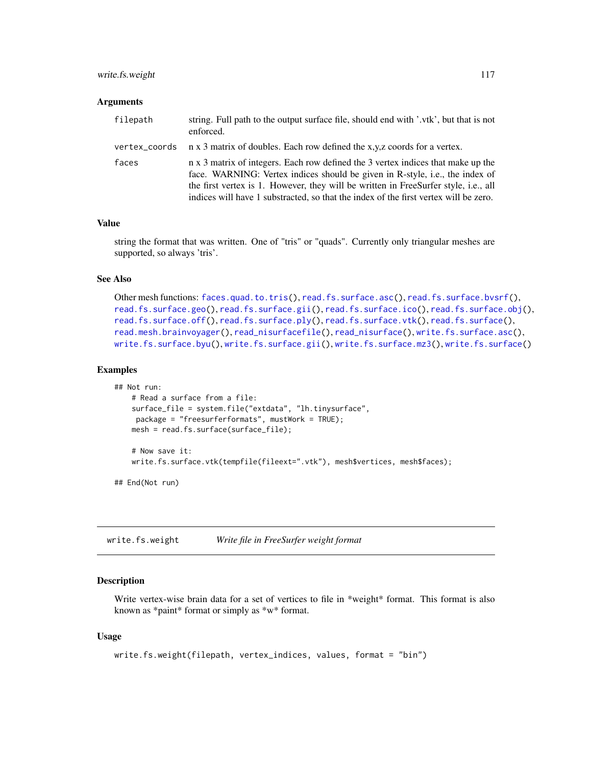## <span id="page-116-1"></span>write.fs.weight 117

#### **Arguments**

| filepath | string. Full path to the output surface file, should end with '.vtk', but that is not<br>enforced.                                                                                                                                                                                                                                              |
|----------|-------------------------------------------------------------------------------------------------------------------------------------------------------------------------------------------------------------------------------------------------------------------------------------------------------------------------------------------------|
|          | vertex_coords $\pi$ x 3 matrix of doubles. Each row defined the x,y,z coords for a vertex.                                                                                                                                                                                                                                                      |
| faces    | n x 3 matrix of integers. Each row defined the 3 vertex indices that make up the<br>face. WARNING: Vertex indices should be given in R-style, i.e., the index of<br>the first vertex is 1. However, they will be written in FreeSurfer style, i.e., all<br>indices will have 1 substracted, so that the index of the first vertex will be zero. |

## Value

string the format that was written. One of "tris" or "quads". Currently only triangular meshes are supported, so always 'tris'.

#### See Also

```
faces.quad.to.tris(read.fs.surface.asc(read.fs.surface.bvsrf(),
read.fs.surface.geo(read.fs.surface.gii(read.fs.surface.ico(read.fs.surface.obj(),
read.fs.surface.off(), read.fs.surface.ply(), read.fs.surface.vtk(), read.fs.surface(),
read.mesh.brainvoyager(), read_nisurfacefile(), read_nisurface(), write.fs.surface.asc(),
write.fs.surface.byu(), write.fs.surface.gii(), write.fs.surface.mz3(), write.fs.surface()
```
#### Examples

```
## Not run:
   # Read a surface from a file:
    surface_file = system.file("extdata", "lh.tinysurface",
    package = "freesurferformats", mustWork = TRUE);
   mesh = read.fs.surface(surface_file);
    # Now save it:
   write.fs.surface.vtk(tempfile(fileext=".vtk"), mesh$vertices, mesh$faces);
```
## End(Not run)

<span id="page-116-0"></span>write.fs.weight *Write file in FreeSurfer weight format*

#### **Description**

Write vertex-wise brain data for a set of vertices to file in \*weight\* format. This format is also known as \*paint\* format or simply as \*w\* format.

#### Usage

```
write.fs.weight(filepath, vertex_indices, values, format = "bin")
```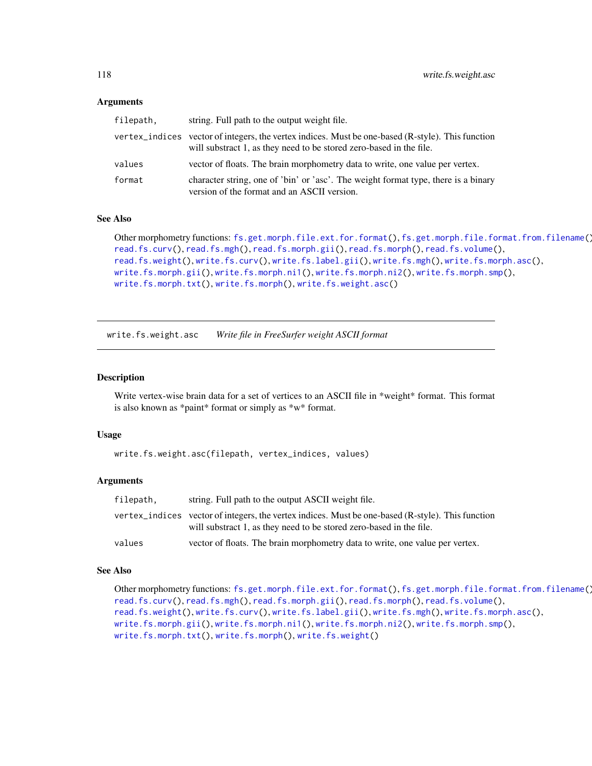#### <span id="page-117-1"></span>Arguments

| filepath, | string. Full path to the output weight file.                                                                                                                             |
|-----------|--------------------------------------------------------------------------------------------------------------------------------------------------------------------------|
|           | vertex_indices vector of integers, the vertex indices. Must be one-based (R-style). This function<br>will substract 1, as they need to be stored zero-based in the file. |
| values    | vector of floats. The brain morphometry data to write, one value per vertex.                                                                                             |
| format    | character string, one of 'bin' or 'asc'. The weight format type, there is a binary<br>version of the format and an ASCII version.                                        |

#### See Also

```
Other morphometry functions: fs.get.morph.file.ext.for.format(), fs.get.morph.file.format.from.filename(),
read.fs.curv(), read.fs.mgh(), read.fs.morph.gii(), read.fs.morph(), read.fs.volume(),
read.fs.weight(), write.fs.curv(), write.fs.label.gii(), write.fs.mgh(), write.fs.morph.asc(),
write.fs.morph.gii(), write.fs.morph.ni1(), write.fs.morph.ni2(), write.fs.morph.smp(),
write.fs.morph.txt(), write.fs.morph(), write.fs.weight.asc()
```
<span id="page-117-0"></span>write.fs.weight.asc *Write file in FreeSurfer weight ASCII format*

#### Description

Write vertex-wise brain data for a set of vertices to an ASCII file in \*weight\* format. This format is also known as \*paint\* format or simply as \*w\* format.

#### Usage

```
write.fs.weight.asc(filepath, vertex_indices, values)
```
#### Arguments

| filepath, | string. Full path to the output ASCII weight file.                                                                                                                       |
|-----------|--------------------------------------------------------------------------------------------------------------------------------------------------------------------------|
|           | vertex_indices vector of integers, the vertex indices. Must be one-based (R-style). This function<br>will substract 1, as they need to be stored zero-based in the file. |
| values    | vector of floats. The brain morphometry data to write, one value per vertex.                                                                                             |

## See Also

```
Other morphometry functions: fs.get.morph.file.ext.for.format(), fs.get.morph.file.format.from.filename(),
read.fs.curv(), read.fs.mgh(), read.fs.morph.gii(), read.fs.morph(), read.fs.volume(),
read.fs.weight(), write.fs.curv(), write.fs.label.gii(), write.fs.mgh(), write.fs.morph.asc(),
write.fs.morph.gii(), write.fs.morph.ni1(), write.fs.morph.ni2(), write.fs.morph.smp(),
write.fs.morph.txt(), write.fs.morph(), write.fs.weight()
```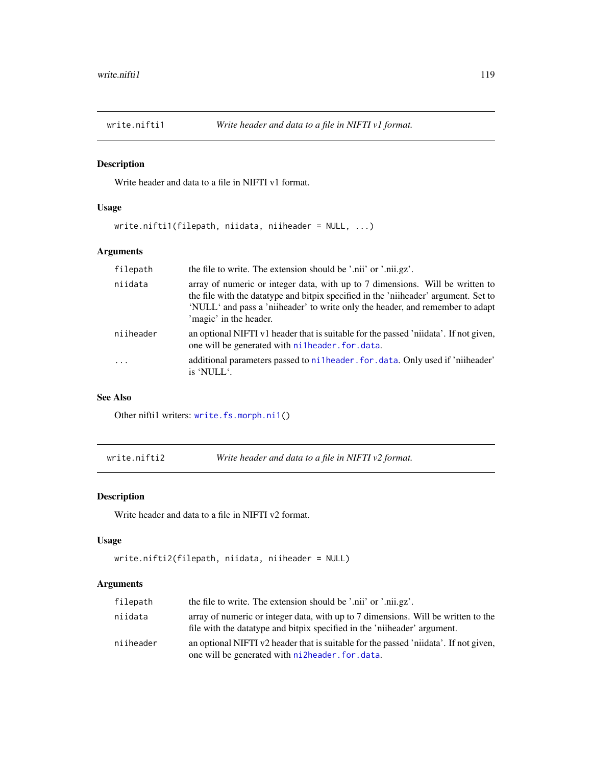<span id="page-118-0"></span>

## Description

Write header and data to a file in NIFTI v1 format.

## Usage

write.nifti1(filepath, niidata, niiheader = NULL, ...)

## Arguments

| filepath   | the file to write. The extension should be '.nii' or '.nii.gz'.                                                                                                                                                                                                                  |
|------------|----------------------------------------------------------------------------------------------------------------------------------------------------------------------------------------------------------------------------------------------------------------------------------|
| niidata    | array of numeric or integer data, with up to 7 dimensions. Will be written to<br>the file with the data type and bitpix specified in the 'niiheader' argument. Set to<br>'NULL' and pass a 'niiheader' to write only the header, and remember to adapt<br>'magic' in the header. |
| niiheader  | an optional NIFTI v1 header that is suitable for the passed 'niidata'. If not given,<br>one will be generated with nilheader. for data.                                                                                                                                          |
| $\ddots$ . | additional parameters passed to ni1header, for, data. Only used if 'niiheader'<br>is 'NULL'.                                                                                                                                                                                     |

## See Also

Other niftil writers: [write.fs.morph.ni1\(](#page-101-0))

write.nifti2 *Write header and data to a file in NIFTI v2 format.*

## Description

Write header and data to a file in NIFTI v2 format.

#### Usage

```
write.nifti2(filepath, niidata, niiheader = NULL)
```
## Arguments

| filepath  | the file to write. The extension should be '.nii' or '.nii.gz'.                                                                                                |
|-----------|----------------------------------------------------------------------------------------------------------------------------------------------------------------|
| niidata   | array of numeric or integer data, with up to 7 dimensions. Will be written to the<br>file with the data type and bitpix specified in the 'niiheader' argument. |
| niiheader | an optional NIFTI v2 header that is suitable for the passed 'niidata'. If not given,<br>one will be generated with ni2header. for data.                        |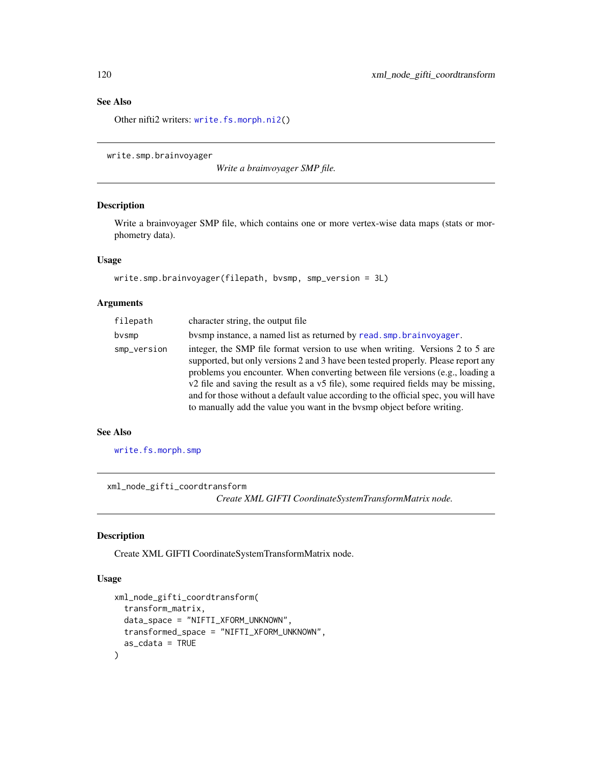## See Also

Other nifti2 writers: [write.fs.morph.ni2\(](#page-102-0))

write.smp.brainvoyager

*Write a brainvoyager SMP file.*

## Description

Write a brainvoyager SMP file, which contains one or more vertex-wise data maps (stats or morphometry data).

## Usage

```
write.smp.brainvoyager(filepath, bvsmp, smp_version = 3L)
```
## Arguments

| filepath    | character string, the output file                                                                                                                                                                                                                                                                                                                                                                                                                                                                          |
|-------------|------------------------------------------------------------------------------------------------------------------------------------------------------------------------------------------------------------------------------------------------------------------------------------------------------------------------------------------------------------------------------------------------------------------------------------------------------------------------------------------------------------|
| bvsmp       | by by instance, a named list as returned by read. smp. brainvoyager.                                                                                                                                                                                                                                                                                                                                                                                                                                       |
| smp_version | integer, the SMP file format version to use when writing. Versions 2 to 5 are<br>supported, but only versions 2 and 3 have been tested properly. Please report any<br>problems you encounter. When converting between file versions (e.g., loading a<br>v2 file and saving the result as a v5 file), some required fields may be missing,<br>and for those without a default value according to the official spec, you will have<br>to manually add the value you want in the bysmp object before writing. |

## See Also

[write.fs.morph.smp](#page-103-0)

xml\_node\_gifti\_coordtransform

*Create XML GIFTI CoordinateSystemTransformMatrix node.*

## Description

Create XML GIFTI CoordinateSystemTransformMatrix node.

## Usage

```
xml_node_gifti_coordtransform(
  transform_matrix,
  data_space = "NIFTI_XFORM_UNKNOWN",
  transformed_space = "NIFTI_XFORM_UNKNOWN",
  as_cdata = TRUE
\mathcal{E}
```
<span id="page-119-0"></span>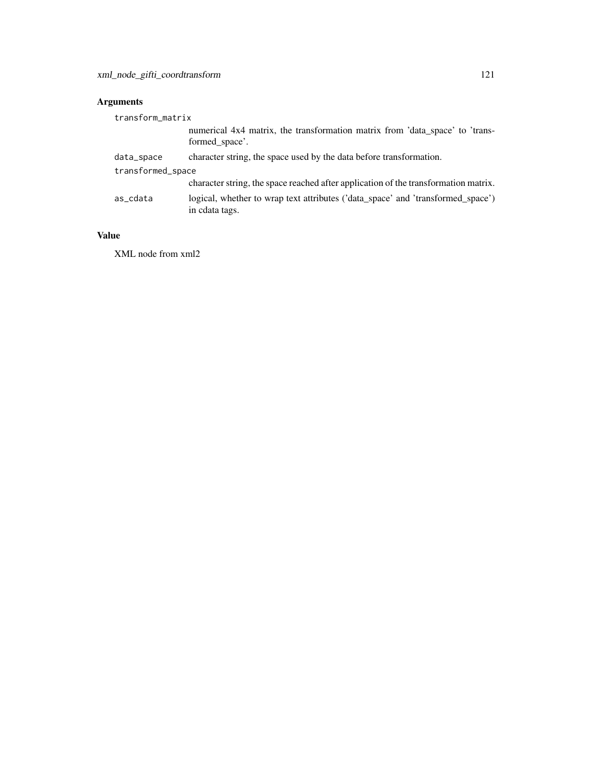# Arguments

| transform_matrix  |                                                                                                   |  |
|-------------------|---------------------------------------------------------------------------------------------------|--|
|                   | numerical 4x4 matrix, the transformation matrix from 'data_space' to 'trans-<br>formed space'.    |  |
| data_space        | character string, the space used by the data before transformation.                               |  |
| transformed_space |                                                                                                   |  |
|                   | character string, the space reached after application of the transformation matrix.               |  |
| as_cdata          | logical, whether to wrap text attributes ('data_space' and 'transformed_space')<br>in cdata tags. |  |

# Value

XML node from xml2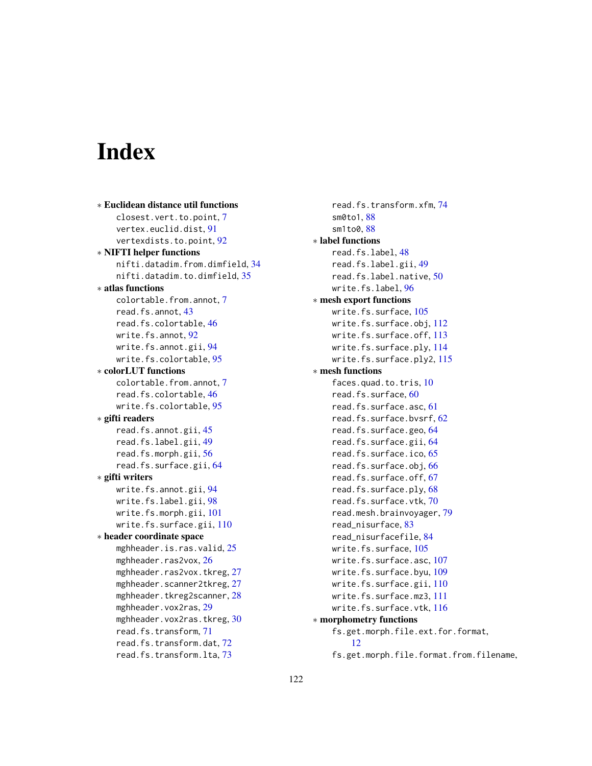# Index

```
∗ Euclidean distance util functions
   closest.vert.to.point, 7
   vertex.euclid.dist, 91
   vertexdists.to.point, 92
∗ NIFTI helper functions
   nifti.datadim.from.dimfield, 34
   nifti.datadim.to.dimfield, 35
∗ atlas functions
   colortable.from.annot, 7
   read.fs.annot, 43
   read.fs.colortable, 46
   write.fs.annot, 92
   write.fs.annot.gii, 94
   write.fs.colortable, 95
∗ colorLUT functions
   colortable.from.annot, 7
   read.fs.colortable, 46
   write.fs.colortable, 95
∗ gifti readers
   read.fs.annot.gii, 45
   read.fs.label.gii, 49
   read.fs.morph.gii, 56
   read.fs.surface.gii, 64
∗ gifti writers
   write.fs.annot.gii, 94
   write.fs.label.gii, 98
   write.fs.morph.gii, 101
   write.fs.surface.gii, 110
∗ header coordinate space
   mghheader.is.ras.valid, 25
   26
   27
   27
   28
   mghheader.vox2ras, 29
   mghheader.vox2ras.tkreg, 30
   read.fs.transform, 71
   read.fs.transform.dat, 72
   read.fs.transform.lta, 73
```
read.fs.transform.xfm, [74](#page-73-0) sm0to1, [88](#page-87-0) sm1to0, [88](#page-87-0) ∗ label functions read.fs.label, [48](#page-47-0) read.fs.label.gii, [49](#page-48-0) read.fs.label.native, [50](#page-49-0) write.fs.label, [96](#page-95-1) ∗ mesh export functions write.fs.surface, [105](#page-104-1) write.fs.surface.obj, [112](#page-111-1) write.fs.surface.off, [113](#page-112-1) write.fs.surface.ply, [114](#page-113-1) write.fs.surface.ply2, [115](#page-114-1) ∗ mesh functions faces.quad.to.tris, [10](#page-9-1) read.fs.surface, [60](#page-59-1) read.fs.surface.asc, [61](#page-60-1) read.fs.surface.bvsrf, [62](#page-61-1) read.fs.surface.geo, [64](#page-63-2) read.fs.surface.gii, [64](#page-63-2) read.fs.surface.ico, [65](#page-64-1) read.fs.surface.obj, [66](#page-65-1) read.fs.surface.off, [67](#page-66-1) read.fs.surface.ply, [68](#page-67-1) read.fs.surface.vtk, [70](#page-69-1) read.mesh.brainvoyager, [79](#page-78-1) read\_nisurface, [83](#page-82-1) read\_nisurfacefile, [84](#page-83-1) write.fs.surface, [105](#page-104-1) write.fs.surface.asc, [107](#page-106-1) write.fs.surface.byu, [109](#page-108-1) write.fs.surface.gii, [110](#page-109-1) write.fs.surface.mz3, [111](#page-110-1) write.fs.surface.vtk, [116](#page-115-1) ∗ morphometry functions fs.get.morph.file.ext.for.format, [12](#page-11-1) fs.get.morph.file.format.from.filename,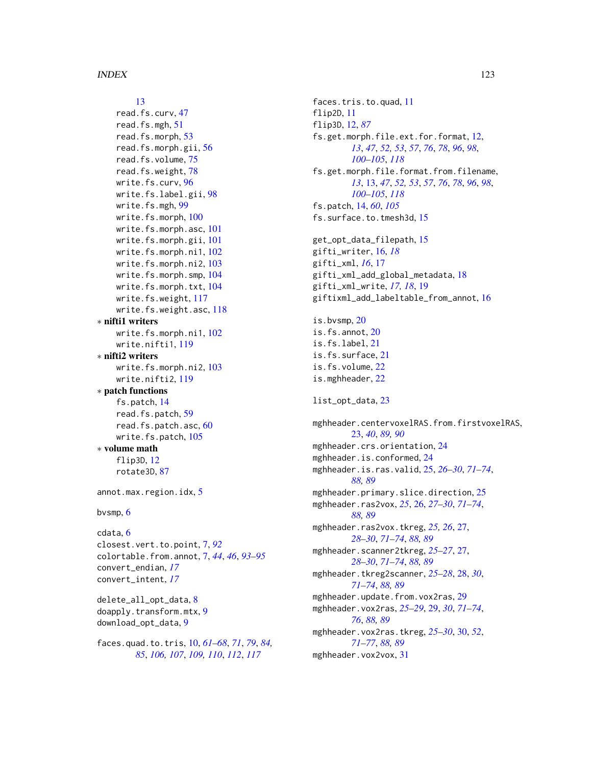# [13](#page-12-1)

```
read.fs.curv, 47
    read.fs.mgh, 51
    read.fs.morph, 53
    read.fs.morph.gii, 56
    read.fs.volume, 75
    read.fs.weight, 78
    write.fs.curv, 96
    write.fs.label.gii, 98
    write.fs.mgh, 99
    write.fs.morph, 100
    write.fs.morph.asc, 101
    write.fs.morph.gii, 101
    write.fs.morph.ni1, 102
    write.fs.morph.ni2, 103
    write.fs.morph.smp, 104
    write.fs.morph.txt, 104
    write.fs.weight, 117
    write.fs.weight.asc, 118
∗ nifti1 writers
    write.fs.morph.ni1, 102
    write.nifti1, 119
∗ nifti2 writers
    write.fs.morph.ni2, 103
    write.nifti2, 119
∗ patch functions
    fs.patch, 14
    read.fs.patch, 59
    read.fs.patch.asc, 60
    write.fs.patch, 105
∗ volume math
    flip3D, 12
    rotate3D, 87
annot.max.region.idx, 5
bvsmp, 6
cdata, 6
closest.vert.to.point, 7, 92
colortable.from.annot, 7, 44, 46, 93–95
convert_endian, 17
convert_intent, 17
delete_all_opt_data, 8
doapply.transform.mtx, 9
download_opt_data, 9
faces.quad.to.tris, 10, 61–68, 71, 79, 84,
        85, 106, 107, 109, 110, 112, 117
```
faces.tris.to.quad, [11](#page-10-0) flip2D, [11](#page-10-0) flip3D, [12,](#page-11-1) *[87](#page-86-0)* fs.get.morph.file.ext.for.format, [12,](#page-11-1) *[13](#page-12-1)*, *[47](#page-46-1)*, *[52,](#page-51-0) [53](#page-52-1)*, *[57](#page-56-0)*, *[76](#page-75-0)*, *[78](#page-77-1)*, *[96](#page-95-1)*, *[98](#page-97-1)*, *[100](#page-99-1)[–105](#page-104-1)*, *[118](#page-117-1)* fs.get.morph.file.format.from.filename, *[13](#page-12-1)*, [13,](#page-12-1) *[47](#page-46-1)*, *[52,](#page-51-0) [53](#page-52-1)*, *[57](#page-56-0)*, *[76](#page-75-0)*, *[78](#page-77-1)*, *[96](#page-95-1)*, *[98](#page-97-1)*, *[100](#page-99-1)[–105](#page-104-1)*, *[118](#page-117-1)* fs.patch, [14,](#page-13-0) *[60](#page-59-1)*, *[105](#page-104-1)* fs.surface.to.tmesh3d, [15](#page-14-0) get\_opt\_data\_filepath, [15](#page-14-0) gifti\_writer, [16,](#page-15-0) *[18](#page-17-0)* gifti\_xml, *[16](#page-15-0)*, [17](#page-16-0) gifti\_xml\_add\_global\_metadata, [18](#page-17-0) gifti\_xml\_write, *[17,](#page-16-0) [18](#page-17-0)*, [19](#page-18-0) giftixml\_add\_labeltable\_from\_annot, [16](#page-15-0) is.bvsmp, [20](#page-19-0) is.fs.annot, [20](#page-19-0) is.fs.label, [21](#page-20-0) is.fs.surface, [21](#page-20-0) is.fs.volume, [22](#page-21-0) is.mghheader, [22](#page-21-0) list\_opt\_data, [23](#page-22-0) mghheader.centervoxelRAS.from.firstvoxelRAS, [23,](#page-22-0) *[40](#page-39-0)*, *[89,](#page-88-0) [90](#page-89-0)* mghheader.crs.orientation, [24](#page-23-0) mghheader.is.conformed, [24](#page-23-0) mghheader.is.ras.valid, [25,](#page-24-0) *[26](#page-25-0)[–30](#page-29-0)*, *[71](#page-70-0)[–74](#page-73-0)*, *[88,](#page-87-0) [89](#page-88-0)* mghheader.primary.slice.direction, [25](#page-24-0) mghheader.ras2vox, *[25](#page-24-0)*, [26,](#page-25-0) *[27](#page-26-0)[–30](#page-29-0)*, *[71](#page-70-0)[–74](#page-73-0)*, *[88,](#page-87-0) [89](#page-88-0)* mghheader.ras2vox.tkreg, *[25,](#page-24-0) [26](#page-25-0)*, [27,](#page-26-0) *[28](#page-27-0)[–30](#page-29-0)*, *[71](#page-70-0)[–74](#page-73-0)*, *[88,](#page-87-0) [89](#page-88-0)* mghheader.scanner2tkreg, *[25](#page-24-0)[–27](#page-26-0)*, [27,](#page-26-0) *[28](#page-27-0)[–30](#page-29-0)*, *[71](#page-70-0)[–74](#page-73-0)*, *[88,](#page-87-0) [89](#page-88-0)* mghheader.tkreg2scanner, *[25](#page-24-0)[–28](#page-27-0)*, [28,](#page-27-0) *[30](#page-29-0)*, *[71](#page-70-0)[–74](#page-73-0)*, *[88,](#page-87-0) [89](#page-88-0)* mghheader.update.from.vox2ras, [29](#page-28-0) mghheader.vox2ras, *[25](#page-24-0)[–29](#page-28-0)*, [29,](#page-28-0) *[30](#page-29-0)*, *[71](#page-70-0)[–74](#page-73-0)*, *[76](#page-75-0)*, *[88,](#page-87-0) [89](#page-88-0)* mghheader.vox2ras.tkreg, *[25](#page-24-0)[–30](#page-29-0)*, [30,](#page-29-0) *[52](#page-51-0)*, *[71](#page-70-0)[–77](#page-76-0)*, *[88,](#page-87-0) [89](#page-88-0)* mghheader.vox2vox, [31](#page-30-0)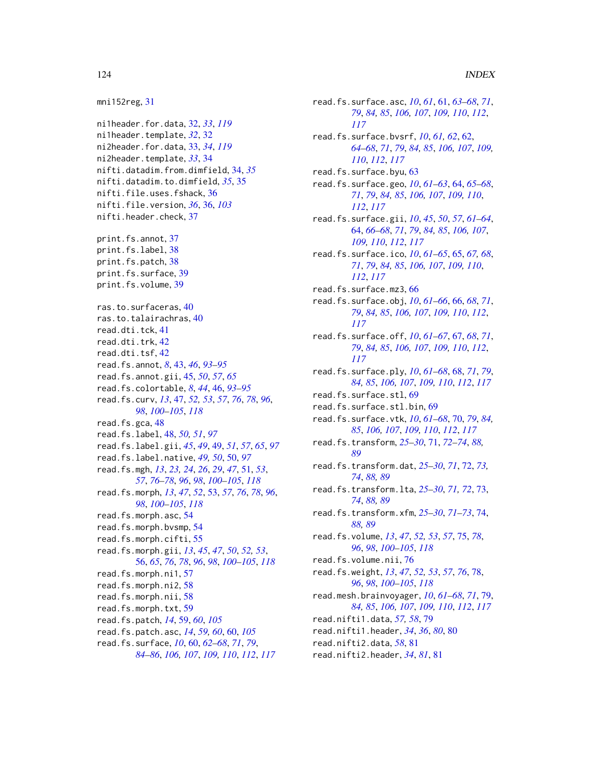```
mni152reg, 31
ni1header.for.data, 32, 33, 119
ni1header.template, 32, 32
ni2header.for.data, 33, 34, 119
ni2header.template, 33, 34
nifti.datadim.from.dimfield, 34, 35
nifti.datadim.to.dimfield, 35, 35
nifti.file.uses.fshack, 36
nifti.file.version, 36, 36, 103
nifti.header.check, 37
print.fs.annot, 37
print.fs.label, 38
print.fs.patch, 38
print.fs.surface, 39
print.fs.volume, 39
ras.to.surfaceras, 40
ras.to.talairachras, 40
read.dti.tck, 41
read.dti.trk, 42
read.dti.tsf, 42
read.fs.annot, 8, 43, 46, 93–95
read.fs.annot.gii, 45, 50, 57, 65
read.fs.colortable, 8, 44, 46, 93–95
read.fs.curv, 13, 47, 52, 53, 57, 76, 78, 96,
         98, 100–105, 118
read.fs.gca, 48
read.fs.label, 48, 50, 51, 97
read.fs.label.gii, 45, 49, 49, 51, 57, 65, 97
read.fs.label.native, 49, 50, 50, 97
read.fs.mgh, 13, 23, 24, 26, 29, 47, 51, 53,
         57, 76–78, 96, 98, 100–105, 118
read.fs.morph, 13, 47, 52, 53, 57, 76, 78, 96,
         98, 100–105, 118
read.fs.morph.asc, 54
read.fs.morph.bvsmp, 54
read.fs.morph.cifti, 55
read.fs.morph.gii, 13, 45, 47, 50, 52, 53,
         56, 65, 76, 78, 96, 98, 100–105, 118
read.fs.morph.ni1, 57
read.fs.morph.ni2, 58
read.fs.morph.nii, 58
read.fs.morph.txt, 59
read.fs.patch, 14, 59, 60, 105
read.fs.patch.asc, 14, 59, 60, 60, 105
read.fs.surface, 10, 60, 62–68, 71, 79,
         84–86, 106, 107, 109, 110, 112, 117
```
read.fs.surface.asc, *[10](#page-9-1)*, *[61](#page-60-1)*, [61,](#page-60-1) *[63](#page-62-0)[–68](#page-67-1)*, *[71](#page-70-0)*, *[79](#page-78-1)*, *[84,](#page-83-1) [85](#page-84-0)*, *[106,](#page-105-0) [107](#page-106-1)*, *[109,](#page-108-1) [110](#page-109-1)*, *[112](#page-111-1)*, *[117](#page-116-1)* read.fs.surface.bvsrf, *[10](#page-9-1)*, *[61,](#page-60-1) [62](#page-61-1)*, [62,](#page-61-1) *[64](#page-63-2)[–68](#page-67-1)*, *[71](#page-70-0)*, *[79](#page-78-1)*, *[84,](#page-83-1) [85](#page-84-0)*, *[106,](#page-105-0) [107](#page-106-1)*, *[109,](#page-108-1) [110](#page-109-1)*, *[112](#page-111-1)*, *[117](#page-116-1)* read.fs.surface.byu, [63](#page-62-0) read.fs.surface.geo, *[10](#page-9-1)*, *[61](#page-60-1)[–63](#page-62-0)*, [64,](#page-63-2) *[65](#page-64-1)[–68](#page-67-1)*, *[71](#page-70-0)*, *[79](#page-78-1)*, *[84,](#page-83-1) [85](#page-84-0)*, *[106,](#page-105-0) [107](#page-106-1)*, *[109,](#page-108-1) [110](#page-109-1)*, *[112](#page-111-1)*, *[117](#page-116-1)* read.fs.surface.gii, *[10](#page-9-1)*, *[45](#page-44-0)*, *[50](#page-49-0)*, *[57](#page-56-0)*, *[61](#page-60-1)[–64](#page-63-2)*, [64,](#page-63-2) *[66](#page-65-1)[–68](#page-67-1)*, *[71](#page-70-0)*, *[79](#page-78-1)*, *[84,](#page-83-1) [85](#page-84-0)*, *[106,](#page-105-0) [107](#page-106-1)*, *[109,](#page-108-1) [110](#page-109-1)*, *[112](#page-111-1)*, *[117](#page-116-1)* read.fs.surface.ico, *[10](#page-9-1)*, *[61](#page-60-1)[–65](#page-64-1)*, [65,](#page-64-1) *[67,](#page-66-1) [68](#page-67-1)*, *[71](#page-70-0)*, *[79](#page-78-1)*, *[84,](#page-83-1) [85](#page-84-0)*, *[106,](#page-105-0) [107](#page-106-1)*, *[109,](#page-108-1) [110](#page-109-1)*, *[112](#page-111-1)*, *[117](#page-116-1)* read.fs.surface.mz3, [66](#page-65-1) read.fs.surface.obj, *[10](#page-9-1)*, *[61](#page-60-1)[–66](#page-65-1)*, [66,](#page-65-1) *[68](#page-67-1)*, *[71](#page-70-0)*, *[79](#page-78-1)*, *[84,](#page-83-1) [85](#page-84-0)*, *[106,](#page-105-0) [107](#page-106-1)*, *[109,](#page-108-1) [110](#page-109-1)*, *[112](#page-111-1)*, *[117](#page-116-1)* read.fs.surface.off, *[10](#page-9-1)*, *[61](#page-60-1)[–67](#page-66-1)*, [67,](#page-66-1) *[68](#page-67-1)*, *[71](#page-70-0)*, *[79](#page-78-1)*, *[84,](#page-83-1) [85](#page-84-0)*, *[106,](#page-105-0) [107](#page-106-1)*, *[109,](#page-108-1) [110](#page-109-1)*, *[112](#page-111-1)*, *[117](#page-116-1)* read.fs.surface.ply, *[10](#page-9-1)*, *[61](#page-60-1)[–68](#page-67-1)*, [68,](#page-67-1) *[71](#page-70-0)*, *[79](#page-78-1)*, *[84,](#page-83-1) [85](#page-84-0)*, *[106,](#page-105-0) [107](#page-106-1)*, *[109,](#page-108-1) [110](#page-109-1)*, *[112](#page-111-1)*, *[117](#page-116-1)* read.fs.surface.stl, [69](#page-68-0) read.fs.surface.stl.bin, [69](#page-68-0) read.fs.surface.vtk, *[10](#page-9-1)*, *[61](#page-60-1)[–68](#page-67-1)*, [70,](#page-69-1) *[79](#page-78-1)*, *[84,](#page-83-1) [85](#page-84-0)*, *[106,](#page-105-0) [107](#page-106-1)*, *[109,](#page-108-1) [110](#page-109-1)*, *[112](#page-111-1)*, *[117](#page-116-1)* read.fs.transform, *[25](#page-24-0)[–30](#page-29-0)*, [71,](#page-70-0) *[72](#page-71-0)[–74](#page-73-0)*, *[88,](#page-87-0) [89](#page-88-0)* read.fs.transform.dat, *[25](#page-24-0)[–30](#page-29-0)*, *[71](#page-70-0)*, [72,](#page-71-0) *[73,](#page-72-0) [74](#page-73-0)*, *[88,](#page-87-0) [89](#page-88-0)* read.fs.transform.lta, *[25](#page-24-0)[–30](#page-29-0)*, *[71,](#page-70-0) [72](#page-71-0)*, [73,](#page-72-0) *[74](#page-73-0)*, *[88,](#page-87-0) [89](#page-88-0)* read.fs.transform.xfm, *[25](#page-24-0)[–30](#page-29-0)*, *[71](#page-70-0)[–73](#page-72-0)*, [74,](#page-73-0) *[88,](#page-87-0) [89](#page-88-0)* read.fs.volume, *[13](#page-12-1)*, *[47](#page-46-1)*, *[52,](#page-51-0) [53](#page-52-1)*, *[57](#page-56-0)*, [75,](#page-74-1) *[78](#page-77-1)*, *[96](#page-95-1)*, *[98](#page-97-1)*, *[100](#page-99-1)[–105](#page-104-1)*, *[118](#page-117-1)* read.fs.volume.nii, [76](#page-75-0) read.fs.weight, *[13](#page-12-1)*, *[47](#page-46-1)*, *[52,](#page-51-0) [53](#page-52-1)*, *[57](#page-56-0)*, *[76](#page-75-0)*, [78,](#page-77-1) *[96](#page-95-1)*, *[98](#page-97-1)*, *[100](#page-99-1)[–105](#page-104-1)*, *[118](#page-117-1)* read.mesh.brainvoyager, *[10](#page-9-1)*, *[61](#page-60-1)[–68](#page-67-1)*, *[71](#page-70-0)*, [79,](#page-78-1) *[84,](#page-83-1) [85](#page-84-0)*, *[106,](#page-105-0) [107](#page-106-1)*, *[109,](#page-108-1) [110](#page-109-1)*, *[112](#page-111-1)*, *[117](#page-116-1)* read.nifti1.data, *[57,](#page-56-0) [58](#page-57-0)*, [79](#page-78-1) read.nifti1.header, *[34](#page-33-0)*, *[36](#page-35-0)*, *[80](#page-79-0)*, [80](#page-79-0) read.nifti2.data, *[58](#page-57-0)*, [81](#page-80-0) read.nifti2.header, *[34](#page-33-0)*, *[81](#page-80-0)*, [81](#page-80-0)